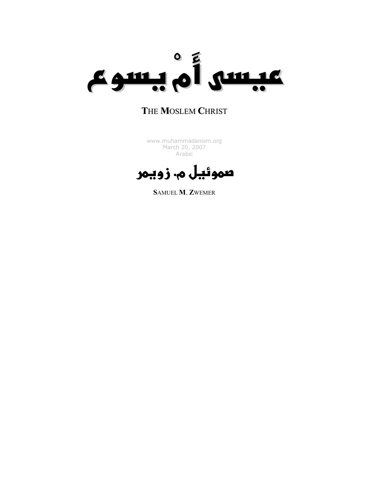

### THE MOSLEM CHRIST

[www.muhammadanism.org](http://www.muhammadanism.org/Arabic/default.htm)  March 20, 2007 Arabic

صموئيل م. زويمر

SAMUEL M. ZWEMER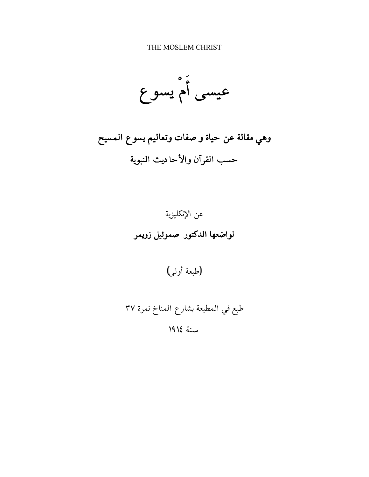THE MOSLEM CHRIST

عيسى أُمْ يسو ع

وهي مقالة عن حياة و صفات وتعاليم يسوع المسيح حسب القرآن والأحا ديث النبوية



(طبعة أولى)

طبع في المطبعة بشارع المناخ نمرة ٣٧ سنة ١٩١٤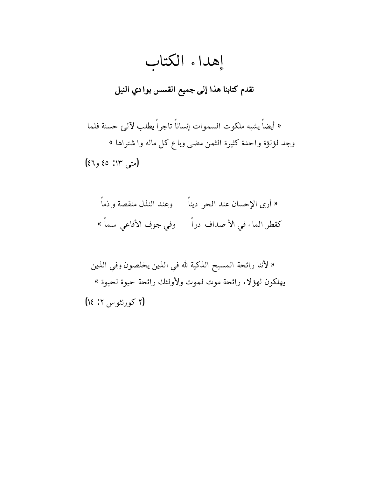# إهداء الكتاب

## نقدم كتابنا هذا إلى جميع القسس بوادي النيل

« أيضاً يشبه ملكوت السموات إنساناً تاجراً يطلب لآل*ئ* حسنة فلما وجد لؤلؤة واحدة كثيرة الثمن مضى وباع كل ماله وا شتراها » (متى ١٣: ٤٥ و٤٦)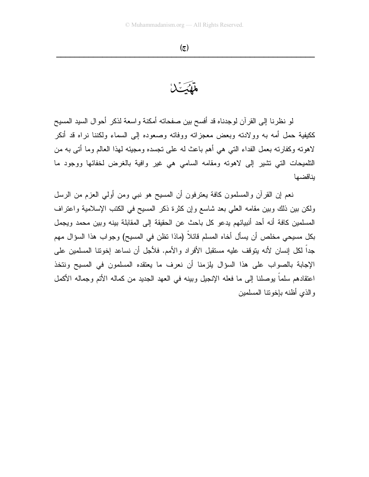تشكيك

لو نظرنا إلى القرآن لوجدناه قد أفسح بين صفحاته أمكنة واسعة لذكر أحوال السيد المسيح ككيفية حمل أمه به وولادته وبعض معجزاته ووفاته وصعوده إلى السماء ولكننا نراه قد أنكر لاهوته وكفارته بعمل الفداء التبي هي أهم باعث له على نجسده ومجيئه لمهذا العالم وما أتبي به من التلميحات التبي تشير إلى لاهونه ومقامه السامى هي غير وافية بالغرض لخفائها ووجود ما بناقضها

نعم إن القرآن والمسلمون كافة يعترفون أن المسيح هو نبي ومن أولى العزم من الرسل ولكن بين ذلك وبين مقامه العلي بعد شاسع وإن كثرة ذكر المسيح في الكتب الإسلامية واعتراف المسلمين كافة أنه أحد أنبيائهم يدعو كل باحث عن الحقيقة إلى المقابلة بينه وبين محمد ويجمل بكل مسيحي مخلص أن يسأل أخاه المسلم قائلاً (ماذا نظن في المسيح) وجواب هذا السؤال مهم جداً لكل إنسان لأنه يتوقف عليه مستقبل الأفراد والأمم. فلأجل أن نساعد إخونتا المسلمين على الإجابة بالصواب على هذا السؤال بلزمنا أن نعرف ما يعتقده المسلمون في المسيح ونتخذ اعتقادهم سلماً بوصلنا إلى ما فعله الإنجيل وبينه في العهد الجديد من كماله الأتم وجماله الأكمل والذى أظنه بإخونتا المسلمين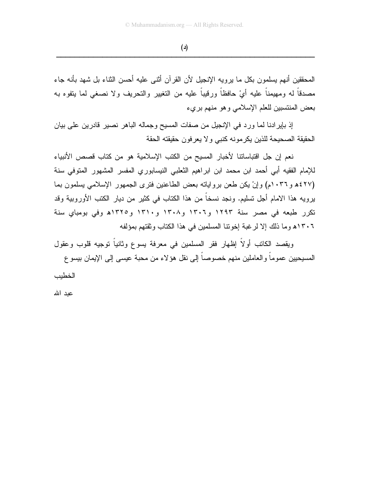$(4)$ 

المحققين أنهم بسلمون بكل ما بر وبه الإنجيل لأن القر آن أثنى عليه أحسن الثناء بل شهد بأنه جاء مصدقاً له ومهيمناً عليه أيْ حافظاً ورقيباً عليه من النغيير والنحريف ولا نصغي لما يتفوه به بعض المنتسبين للعلم الإسلامي وهو منهم بريء

إذ بإيرادنا لما ورد في الإنجيل من صفات المسيح وجماله الباهر نصير قادرين على بيان الحقيقة الصحيحة للذين يكرمونه كنبي ولا يعرفون حقيقته الحقة

نعم إن جل اقتباساتنا لأخبار المسيح من الكتب الإسلامية هو من كتاب قصص الأنبياء للإمام الفقيه أبي أحمد ابن محمد ابن ابراهيم الثعلبي النيسابوري المفسر المشهور المنوفي سنة (٤٢٧ه و١٠٣٦م) وإنْ يكن طعن برواياته بعض الطاعنين فترى الجمهور الإسلامي يسلمون بما يرويه هذا الامام أجل تسليم. ونجد نسخاً من هذا الكتاب في كثير من ديار الكتب الأوروبية وقد تكرر طبعه في مصر سنة ١٢٩٣ و١٣٠٦ و١٣٠٨ و١٣١٠ و١٣٢٥ه وفي بومباي سنة ٢٠٦٦ه وما ذلك إلا لرغبة إخوننا المسلمين في هذا الكتاب وثقتهم بمؤلفه

ويقصد الكاتب أولاً إظهار فقر المسلمين في معرفة يسوع وثانياً توجيه قلوب وعقول المسيحيين عمو ماً و العاملين منهم خصوصاً إلى نقل هوَ لاء من محبة عيسى إلى الإيمان بيسو ع

الخطبب

عىد الله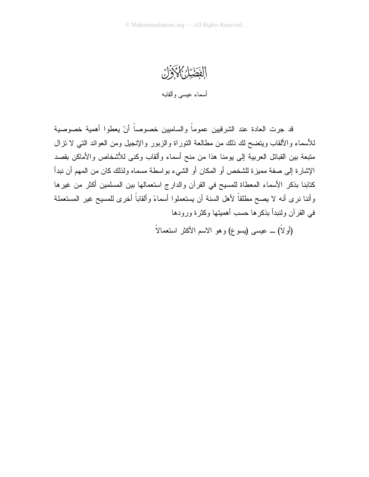الفَضَيْلُ الْمَجَمَّلُ أسماء عيسى وألقابه

قد جرت العادة عند الشرقيين عموماً والساميين خصوصاً أنْ يعطوا أهمية خصوصية للأسماء والألقاب وينضح لك ذلك من مطالعة النوراة والزبور والإنجيل ومن العوائد التي لا نزال متبعة بين القبائل العربية إلى يومنا هذا من منح أسماء وألقاب وكنى للأشخاص والأماكن بقصد الإشارة إلى صفة مميزة للشخص أو المكان أو الشيء بواسطة مسماه ولذلك كان من المهم أن نبدأ كتابنا بذكر الأسماء المعطاة للمسيح في القرآن والدارج استعمالها بين المسلمين أكثر من غيرها وأننا نرى أنه لا يصح مطلقاً لأهل السنة أن يستعملوا أسماءً وألقاباً أخرى للمسيح غير المستعملة في القرآن ولنبدأ بذكرها حسب أهميتها وكثرة ورودها

(أو لاً) ـــ عيسى (يسوع) و هو الاسم الأكثر استعمالاً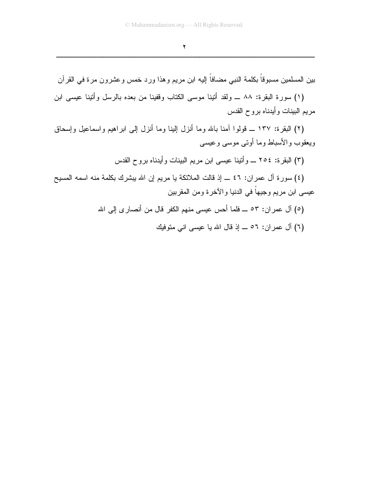$\blacktriangledown$ 

بين المسلمين مسبوقاً بكلمة النبي مضافاً إليه ابن مريم وهذا ورد خمس وعشرون مرة في القرآن

(١) سورة البقرة: ٨٨ ــ ولقد أنينا موسى الكتاب وقفينا من بعده بالرسل وأتينا عيسى ابن مريم البينات وأيدناه بروح القدس

(٢) البقرة: ١٣٧ ـــ قولوا أمنا بالله وما أنزل البنا وما أنزل إلى ابر اهيم وإسماعيل وإسحاق ويعقوب والأسباط وما أوتبي موسى وعيسى

(٣) البقرة: ٢٥٤ ـــ وأننينا عيسى ابن مريم البينات وأيدناه بروح القدس

(٤) سورة آل عمران: ٤٦ ـــ إذ قالت الملائكة يا مريم إن الله يبشرك بكلمة منه اسمه المسيح عيسى ابن مريم وجيهاً في الدنيا والآخرة ومن المقربين

- (٥) آل عمر ان: ٥٣ ـــ فلما أحس عيسى منهم الكفر قال من أنصار ي إلى الله
	- (٦) آل عمر ان: ٥٦ ـــ إذ قال الله يا عيسى انى متوفيك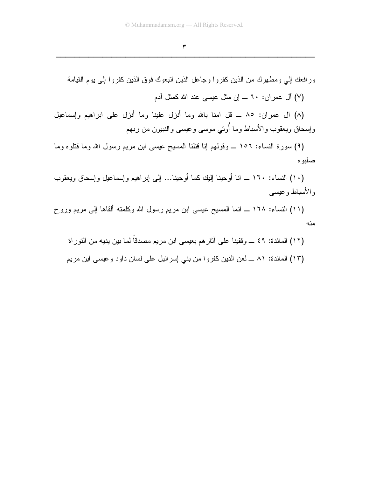#### $\pmb{\mathtt{y}}$

ورافعك إلى ومطهرك من الذين كفروا وجاعل الذين انبعوك فوق الذين كفروا إلى يوم القيامة (٧) آل عمر إن: ٦٠ ــــ إن مثل عيسى عند الله كمثل آدم (٨) أل عمران: ٨٥ ــ قل أمنا بالله وما أنزل علينا وما أنزل على ابراهيم وإسماعيل وإسحاق ويعقوب والأسباط وما أوتي موسى وعيسى والنبيون من ربهم (٩) سورة النساء: ١٥٦ ــ وقولهم إنا قُتلنا المسيح عيسى ابن مريم رسول الله وما قُتلوه وما

صلبو م (١٠) النساء: ١٦٠ ـــ انا أوحينا إليك كما أوحينا... إلى إبراهيم وإسماعيل وإسحاق ويعقوب

و الأسباط و عيسى (١١) النساء: ١٦٨ ـــ انما المسيح عيسى ابن مريم رسول الله وكلمته ألقاها إلى مريم وروح

منه

(١٢) المائدة: ٤٩ ـــ وقفينا على آثارهم بعيسى ابن مريم مصدقاً لما بين يديه من النوراة (١٣) المائدة: ٨١ ــ لعن الذين كفروا من بني إسرائيل على لسان داود وعيسى ابن مريع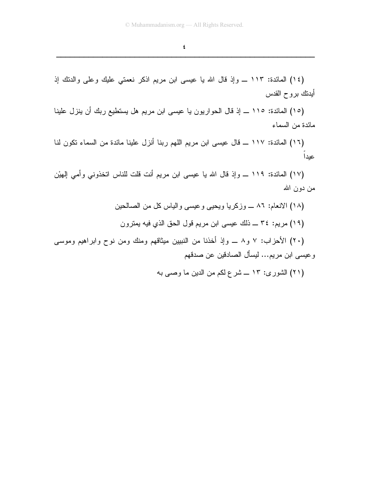(١٤) المائدة: ١١٣ ـــ وإذ قال الله يا عيسى ابن مريم اذكر نعمتي عليك وعلى والدنك إذ أيدنك بروح القدس

(١٥) المائدة: ١١٥ ـــ إذ قال الحواريون يا عيسى ابن مريم هل يستطيع ربك أن ينزل علينا مائدة من السماء

(١٦) المائدة: ١١٧ ـــ قال عيسى ابن مريم اللهم ربنا أنزل علينا مائدة من السماء نكون لنا عيدا

(١٧) المائدة: ١١٩ ـــ وإذ قال الله يا عيسى ابن مريم أنت قلت للناس اتخذوني وأمي المهيْن من دون الله

> (١٨) الانعام: ٨٦ ـــ وزكريا ويحيبي وعيسى والياس كل من الصـالـحين (١٩) مريم: ٣٤ ـــ ذلك عيسى ابن مريم قول الحق الذي فيه يمترون

(۲۰) الأحزاب: ۷ و ۸ ـــ وإذ أخذنا من النببين ميثاقهم ومنك ومن نوح وابراهيم وموسى وعيسى ابن مريم... ليسأل الصادقين عن صدقهم

(۲۱) الشوری: ۱۳ ـــ شر ع لکم من الدین ما وصبی به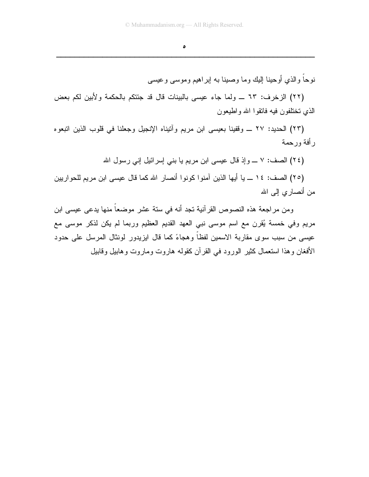$\bullet$ 

نوحاً والذي أوحينا البك وما وصينا به ابر اهيم وموسى وعيسى

(٢٢) الزخرف: ٦٣ \_ ولما جاء عيسى بالبينات قال قد جئتكم بالحكمة ولأبين لكم بعض الذي تختلفون فيه فانقوا الله واطيعون

(٢٣) الحديد: ٢٧ ـــ وقفينا بعيسى ابن مريم وأنيناه الإنجيل وجعلنا في قلوب الذين انبعوه ر أفة ورحمة

(٢٤) الصف: ٧ ـــ وإذ قال عيسى ابن مريم يا بني إسرائيل إني رسول الله

(٢٥) الصف: ١٤ ــ يا أيها الذين آمنوا كونوا أنصار الله كما قال عيسى ابن مريم للحواريين من أنصاري إلىي الله

ومن مراجعة هذه النصوص القرآنية تجد أنه في ستة عشر موضعاً منها يدعى عيسى ابن مريع وفي خمسة يُقرن مع اسم موسى نبي العهد القديم العظيم وربما لم يكن لذكر موسى مع عيسى من سبب سوى مقاربة الاسمين لفظا وهجاءً كما قال ايزيدور لونثال المرسل على حدود الأفغان وهذا استعمال كثير الورود في القرآن كقوله هاروت وماروت وهابيل وقابيل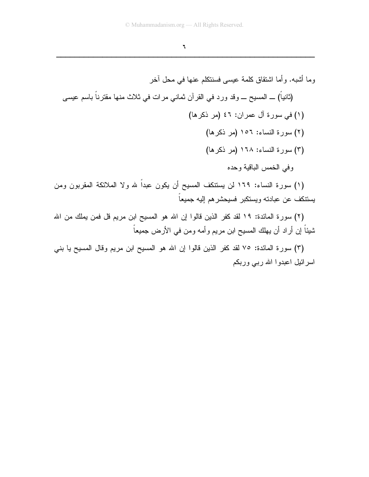$\mathbf{I}$ 

(١) سورة النساء: ١٦٩ لن يستنكف المسيح أن يكون عبدا لله ولا الملائكة المقربون ومن يستنكف عن عبادته ويستكبر فسيحشرهم إليه جميعاً

(٢) سورة المائدة: ١٩ لقد كفر الذين قالوا إن الله هو المسيح ابن مريم قل فمن يملك من الله شيئاً إن أراد أن يهلك المسيح ابن مريم وأمه ومن في الأرض جميعاً

(٣) سورة المائدة: ٧٥ لقد كفر الذين قالوا إن الله هو المسيح ابن مريم وقال المسيح يا بني اسرائیل اعبدوا الله رببی وربکم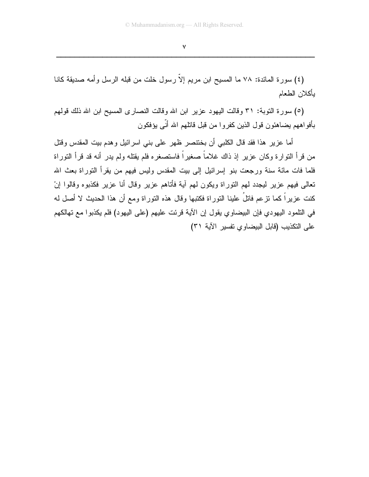$\mathsf{V}$ 

(٤) سورة المائدة: ٧٨ ما المسيح ابن مريم إلاّ رسول خلت من قبله الرسل وأمه صديقة كانا بأكلان الطعام

(٥) سورة النوبة: ٣١ وقالت اليهود عزير ابن الله وقالت النصارى المسيح ابن الله ذلك قولهم بأفواههم يضاهئون قول الذين كفروا من قبل قاتلهم الله أنّى يؤفكون

أما عزير هذا فقد قال الكلبي أن بختنصر ظهر على بني اسرائيل وهدم بيت المقدس وقتل من قرأ النوارة وكان عزير إذ ذاك غلاماً صغيراً فاستصغره فلم يقتله ولم يدر أنه قد قرأ النوراة فلما فات مائة سنة ورجعت بنو إسرائيل إلى بيت المقدس وليس فيهم من يقرأ النوراة بعث الله تعالى فيهم عزير ليجدد لمهم التوراة ويكون لمهم آية فأتاهم عزير وقال أنا عزير فكذبوه وقالوا إنْ كنت عزيراً كما نزعم فاتلُ علينا النوراة فكتبها وقال هذه النوراة ومع أن هذا الحديث لا أصل له في التلمود اليهودي فإن البيضاوي يقول إن الآية قرئت عليهم (على اليهود) فلم يكذبوا مع تهالكهم على التكذيب (قابل البيضاوي تفسير الآية ٣١)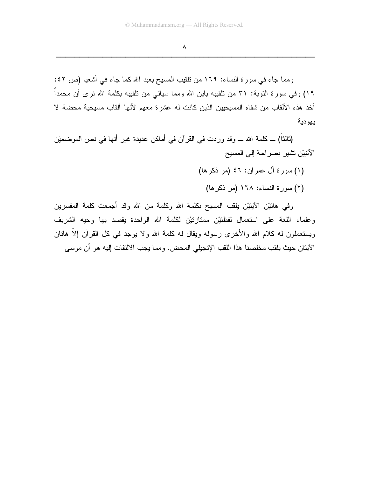$\pmb{\wedge}$ 

ومما جاء في سورة النساء: ١٦٩ من نلقيب المسيح بعبد الله كما جاء في أشعيا (ص ٤٢: ١٩) وفي سورة التوبة: ٣١ من تلقيبه بابن الله ومما سيأتي من تلقيبه بكلمة الله نرى أن محمداً أخذ هذه الألقاب من شفاه المسيحيين الذين كانت له عشرة معهم لأنها ألقاب مسيحية محضة لا يهو دية

(ثالثاً) ــ كلمة الله ـــ وقد وردت في القرآن في أماكن عديدة غير أنها في نص الموضعيْن الآتييْن تشير بصراحة إلى المسيح

- (١) سورة آل عمران: ٤٦ (مر ذكر ها)
	- (٢) سورة النساء: ١٦٨ (مر ذكرها)

وفي هاتيْن الأيتيْن يلقب المسيح بكلمة الله وكلمة من الله وقد أجمعت كلمة المفسرين وعلماء اللغة على استعمال لفظتيْن ممتازتيْن لكلمة الله الواحدة يقصد بها وحيه الشريف ويستعملون له كلام الله والأخرى رسوله ويقال له كلمة الله ولا يوجد في كل القرآن إلاّ هاتان الآيتان حيث يلقب مخلصنا هذا اللقب الإنجيلي المحض. ومما يجب الالتفات إليه هو أن موسى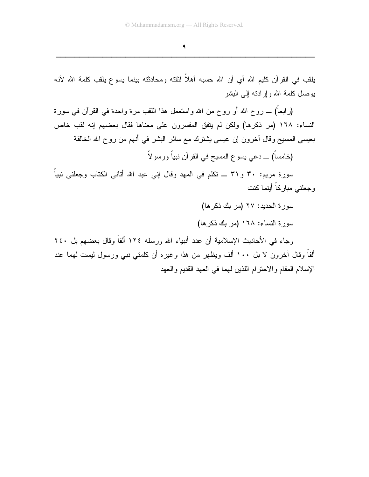$\mathbf{q}$ 

يلقب في القرآن كليم الله أي أن الله حسبه أهلاً لثقته ومحادثته بينما يسوع يلقب كلمة الله لأنه يوصل كلمة الله وإرادته إلى البشر

(رابعاً) ـــ روح الله أو روح من الله واستعمل هذا اللقب مرة واحدة في القرآن في سورة النساء: ١٦٨ (مر ذكرها) ولكن لم يتفق المفسرون على معناها فقال بعضهم إنه لقب خاص بعيسى المسيح وقال أخرون إن عيسى يشترك مع سائر البشر في أنهم من روح الله الخالقة

(خامساً) ـــ دعى يسو ع المسيح في القرآن نبياً ورسو لاً

سورة مريم: ٣٠ و٣١ ـــ نكلم في المـهد وقال إنـي عبد الله أتانـي الكتاب وجعلنـي نبياً وجعلني مباركاً أينما كنت

سورة الحديد: ٢٧ (مر بك ذكر ها)

سورة النساء: ١٦٨ (مر بك ذكرها)

وجاء في الأحاديث الإسلامية أن عدد أنبياء الله ورسله ١٢٤ ألفاً وقال بعضهم بل ٢٤٠ ألفاً وقال آخرون لا بل ١٠٠ ألف ويظهر من هذا وغيره أن كلمتي نبي ورسول ليست لهما عند الإسلام المقام والاحتر ام اللذين لمهما في العهد القديم و العهد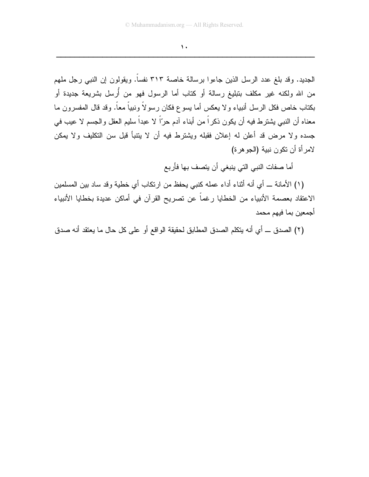$\mathbf{A}$ 

الجديد. وقد بلغ عدد الرسل الذين جاءوا برسالة خاصة ٣١٣ نفساً. ويقولون إن النبي رجل ملهم من الله ولكنه غير مكلف بتبليغ رسالة أو كتاب أما الرسول فهو من أرسل بشريعة جديدة أو بكتاب خاص فكل الرسل أنبياء ولا يعكس أما يسوع فكان رسولاً ونبياً معاً. وقد قال المفسرون ما معناه أن النبـي يشترط فيه أن يكون ذكراً من أبناء آدم حرّاً لا عبداً سليم العقل والـجسم لا عيب في جسده ولا مرض قد أعلن له إعلان فقبله ويشترط فيه أن لا يتتبأ قبل سن التكليف ولا يمكن لامرأة أن تكون نبية (الجوهرة)

أما صفات النبي التي ينبغي أن يتصف بها فأربع

(١) الأمانة ــ أي أنه أنثاء أداء عمله كنبي يحفظ من ارتكاب أي خطية وقد ساد بين المسلمين الاعتقاد بعصمة الأنبياء من الخطايا رغماً عن تصريح القرآن في أماكن عديدة بخطايا الأنبياء أجمعين بما فيهم محمد

(٢) الصدق \_ أي أنه يتكلم الصدق المطابق لحقيقة الواقع أو على كل حال ما يعتقد أنه صدق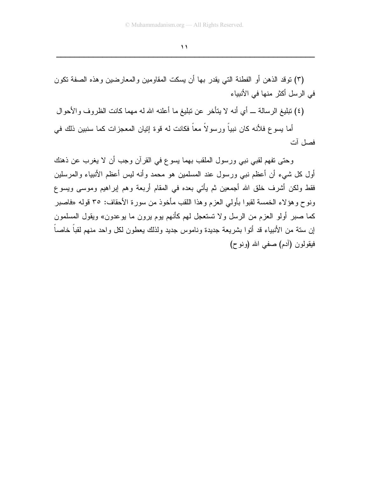(٣) نوفد الذهن أو الفطنة التي يقدر بها أن يسكت المقاومين والمعارضين وهذه الصفة نكون في الرسل أكثر منها في الأنبياء

(٤) تبليغ الرسالة ـــ أي أنه لا يتأخر عن تبليغ ما أعلنه الله له مهما كانت الظروف والأحوال

أما يسو ع فلأنه كان نبياً ورسو لاً معاً فكانت له قوة إنيان المعجزات كما سنبين ذلك في فصل آت

وحتى تفهم لقبي نبي ورسول الملقب بهما يسوع في القرآن وجب أن لا يغرب عن ذهنك أول كل شيء أن أعظم نبي ورسول عند المسلمين هو محمد وأنه ليس أعظم الأنبياء والمرسلين فقط ولكن أشرف خلق الله أجمعين ثم يأتي بعده في المقام أربعة وهم إبراهيم وموسى ويسوع ونوح وهؤلاء الخمسة لقبوا بأولى العزم وهذا اللقب مأخوذ من سورة الأحقاف: ٣٥ قوله «فاصبر كما صبر أولو العزم من الرسل ولا تستعجل لهم كأنهم بوم برون ما بوعدون» ويقول المسلمون إن سنة من الأنبياء قد أنوا بشريعة جديدة وناموس جديد ولذلك يعطون لكل واحد منهم لقباً خاصاً فيقولون (أدم) صفى الله (ونوح)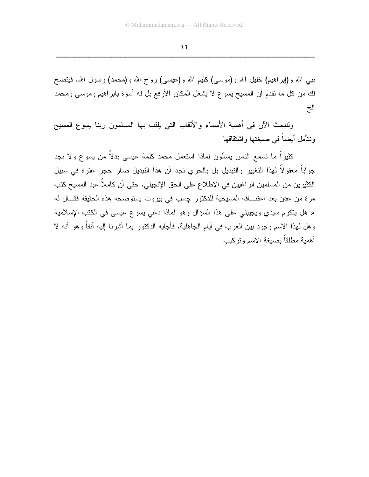$\sqrt{7}$ 

نبی الله و(إبراهيم) خليل الله و(موسى) كليم الله و(عيسى) روح الله و(محمد) رسول الله. فيتضح لك من كل ما نقدم أن المسيح يسوع لا يشغل المكان الأرفع بل له أسوة بابر اهيم وموسى ومحمد الخ

ولنبحث الآن في أهمية الأسماء والألقاب التي يلقب بها المسلمون ربنا يسوع المسيح ونتأمل أيضاً في صيغتها واشتقاقها

كثيرًا ما نسمع الناس يسألون لماذا استعمل محمد كلمة عيسى بدلًا من يسوع ولا نجد جواباً معقولاً لهذا التغيير والتبديل بل بالحري نجد أن هذا التبديل صار حجر عثرة في سبيل الكثيرين من المسلمين الراغبين في الاطلاع على الحق الإنجيلي. حتى أن كاملاً عبد المسيح كتب مرة من عدن بعد اعتنـــاقه المسيحية للدكتور جسب في بيروت يستوضحه هذه الحقيقة فقـــال له « هل يتكرم سيدي ويجيبني على هذا السؤال وهو لماذا دعى يسوع عيسى في الكتب الإسلامية وهل لهذا الاسم وجود بين العرب في أيام الجاهلية. فأجابه الدكتور بما أشرنا إليه آنفاً وهو أنه لا أهمية مطلقاً بصيغة الاسم وتركيب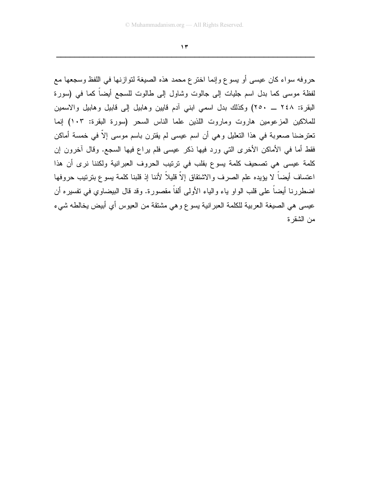$\gamma$ 

حروفه سواء كان عيسى أو يسوع وإنما اخترع محمد هذه الصيغة لتوازنها في اللفظ وسجعها مع لفظة موسى كما بدل اسم جليات إلى جالوت وشاول إلى طالوت للسجع أيضا كما في (سورة البقرة: ٢٤٨ \_ ٢٥٠) وكذلك بدل اسمى ابنى آدم قايين وهابيل إلى قابيل وهابيل والاسمين للملاكين المزعومين هاروت وماروت اللذين علما الناس السحر (سورة البقرة: ١٠٣) إنما تعترضنا صعوبة في هذا التعليل وهي أن اسم عيسى لم يقترن باسم موسى إلاّ في خمسة أماكن فقط أما في الأماكن الأخرى التي ورد فيها ذكر عيسى فلم براع فيها السجع. وقال أخرون إن كلمة عيسى هي تصحيف كلمة يسوع بقلب في نرنيب الحروف العبرانية ولكننا نرى أن هذا اعتساف أيضاً لا يؤيده علم الصرف والاشتقاق إلاّ قليلاً لأننا إذ قلبنا كلمة يسوع بترتيب حروفها اضطررنا أيضاً على قلب الواو ياء والياء الأولى ألفاً مقصورة. وقد قال البيضاوي في تفسيره أن عيسى هي الصبيغة العربية للكلمة العبر انية يسوع وهي مشتقة من العيوس أي أبيض يخالطه شيء من الشقر ة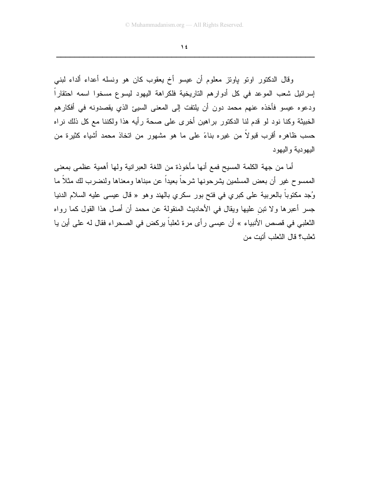$\lambda$ 

وفال الدكتور اونو باونز معلوم أن عيسو أخ يعقوب كان هو ونسله أعداء ألداء لبني إسرائيل شعب الموعد في كل أدوارهم التاريخية فلكراهة اليهود ليسوع مسخوا اسمه احتقاراً ودعوه عيسو فأخذه عنهم محمد دون أن يلتفت إلى المعنى السيئ الذي يقصدونه في أفكارهم الخبيثة وكنا نود لو قدم لنا الدكتور براهين أخرى على صحة رأيه هذا ولكننا مع كل ذلك نراه حسب ظاهره أقرب قبولاً من غيره بناءً على ما هو مشهور من انخاذ محمد أشياء كثيرة من اليهو دية و اليهو د

أما من جهة الكلمة المسيح فمع أنها مأخوذة من اللغة العبرانية ولها أهمية عظمى بمعنى الممسوح غير أن بعض المسلمين يشرحونها شرحاً بعيداً عن مبناها ومعناها ولنضرب لك مثلاً ما وُجِد مكتوباً بالعربية على كبرى في فتح بور سكرى بالهند وهو « قال عيسى عليه السلام الدنيا جسر أعبرها ولا نبن عليها ويقال في الأحاديث المنقولة عن محمد أن أصل هذا القول كما رواه النُّعلبي في قصص الأنبياء » أن عيسى رأى مرة نْعلباً يركض في الصحراء فقال له على أين يا تْعلب؟ قال التْعلب أتبت من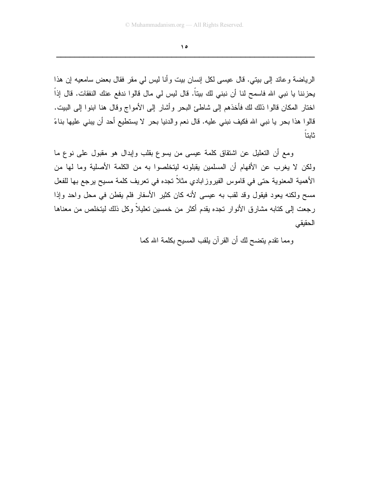$\Delta$ 

الرياضة و عائد إلى بيتي. قال عيسى لكل إنسان بيت و أنا ليس لي مقر فقال بعض سامعيه إن هذا يحزننا يا نبي الله فاسمح لنا أن نبني لك بيتاً. قال ليس لي مال قالوا ندفع عنك النفقات. قال إذاً اختار المكان قالوا ذلك لك فأخذهم إلى شاطئ البحر وأشار إلى الأمواج وقال هنا ابنوا إلى البيت. قالوا هذا بحر يا نبي الله فكيف نبني عليه. قال نعم والدنيا بحر لا يستطيع أحد أن يبني عليها بناءً ثابتا

ومع أن النعليل عن اشتقاق كلمة عيسى من يسوع بقلب وإبدال هو مقبول على نوع ما ولكن لا يغرب عن الأفهام أن المسلمين يقبلونه ليتخلصوا به من الكلمة الأصلية وما لها من الأهمية المعنوية حتى في قاموس الفيروز ابادي مثلاً تجده في تعريف كلمة مسيح يرجع بها للفعل مسح ولكنه يعود فيقول وقد لقب به عيسى لأنه كان كثير الأسفار فلم يقطن في محل واحد وإذا رجعت إلى كتابه مشارق الأنوار تجده يقدم أكثر من خمسين تعليلاً وكل ذلك ليتخلص من معناها الحقبقى

ومما نقدم يتضح لك أن القرآن يلقب المسيح بكلمة الله كما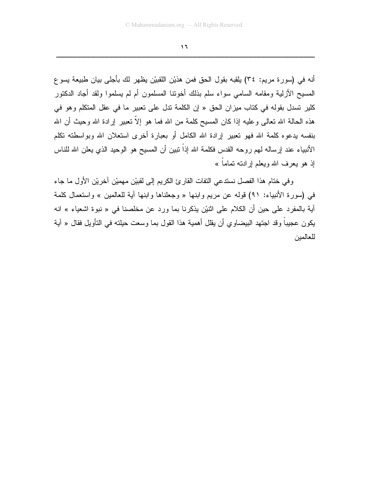$\mathbf{1}$ 

أنه في (سورة مريم: ٣٤) يلقبه بقول الحق فمن هذيْن اللقبيْن يظهر لك بأجلى بيان طبيعة يسوع المسيح الأزلية ومقامه السامى سواء سلم بذلك أخوننا المسلمون أم لم يسلموا ولقد أجاد الدكتور كلير تسدل بقوله في كتاب ميزان الحق « إن الكلمة تدل على تعبير ما في عقل المتكلم وهو في هذه الحالة الله تعالى وعليه إذا كان المسيح كلمة من الله فما هو إلاَّ تعبير إرادة الله وحيث أن الله بنفسه يدعوه كلمة الله فهو تعبير إرادة الله الكامل أو بعبارة أخرى استعلان الله وبواسطته تكلم الأنبياء عند إرساله لهم روحه القدس فكلمة الله إذا نبين أن المسيح هو الوحيد الذي يعلن الله للناس إذ هو يعرف الله ويعلم إرادته نماماً »

وفي ختام هذا الفصل نستدعى التفات القارئ الكريم إلى لقبيْن مهميْن أخريْن الأول ما جاء في (سورة الأنبياء: ٩١) قوله عن مريع وابنها « وجعلناها وابنها أية للعالمين » واستعمال كلمة آية بالمفرد على حين أن الكلام على اثنيْن يذكرنا بما ورد عن مخلصنا في « نبوة اشعياء » انه يكون عجيباً وقد اجتهد البيضاوي أن يقلل أهمية هذا القول بما وسعت حيلته في التأويل فقال « آية للعالمبن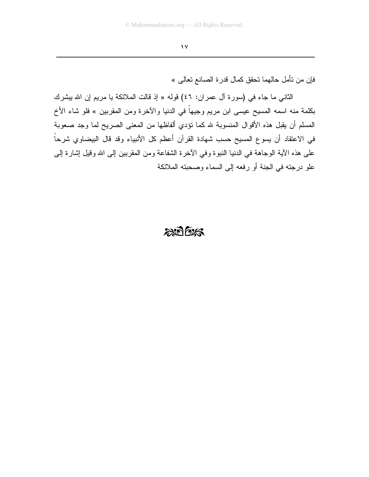فإن من تأمل حالهما تحقق كمال قدر ة الصانع تعالى »

الثاني ما جاء في (سورة آل عمران: ٤٦) قوله « إذ قالت الملائكة يا مريم إن الله يبشرك بكلمة منه اسمه المسيح عيسى ابن مريم وجيهاً في الدنيا والأخرة ومن المقربين » فلو شاء الأخ المسلم أن يقبل هذه الأقوال المنسوبة لله كما نؤدي ألفاظها من المعنى الصريح لما وجد صعوبة في الاعتقاد أن يسوع المسيح حسب شهادة القرآن أعظم كل الأنبياء وقد قال البيضاوي شرحاً على هذه الآية الوجاهة في الدنيا النبوة وفي الأخرة الشفاعة ومن المقربين إلى الله وقيل إشارة إلى علو درجته في الجنة أو رفعه إلى السماء وصحبته الملائكة

### $2007/525$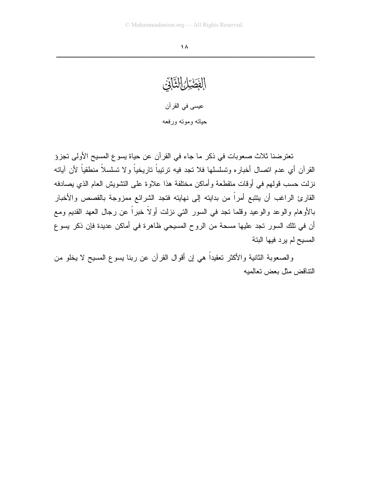الفَطَيْرُ الثَّانَيْ عيسى في القرآن حياته وموته ورفعه

تعترضنا ثلاث صعوبات في ذكر ما جاء في القرآن عن حياة يسوع المسيح الأولى تجزؤ القرآن أي عدم اتصال أخباره وتسلسلها فلا تجد فيه نرنيباً ناريخياً ولا نسلسلاً منطقياً لأن آياته نزلت حسب قولهم في أوقات متقطعة وأماكن مختلفة هذا علاوة على التشويش العام الذي يصادفه القارئ الراغب أن يتتبع أمراً من بدايته إلى نهايته فتجد الشرائع ممزوجة بالقصص والأخبار بالأوهام والوعد والوعيد وقلما نجد في السور التي نزلت أولاً خبراً عن رجال العهد القديم ومع أن في نلك السور تجد عليها مسحة من الروح المسيحي ظاهرة في أماكن عديدة فإن ذكر يسوع المسيح لم يرد فيها البتة

والصعوبة الثانية والأكثر تعقيداً هي إن أقوال القرآن عن ربنا يسوع المسيح لا يخلو من النتاقض مثل بعض تعالميه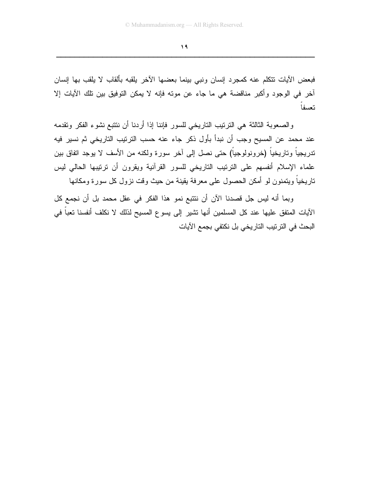$\sqrt{9}$ 

فبعض الآيات نتكلم عنه كمجرد إنسان ونبي ببنما بعضها الآخر يلقبه بألقاب لا يلقب بها إنسان أخر في الوجود وأكبر مناقضة هي ما جاء عن مونه فإنه لا يمكن التوفيق بين تلك الآيات إلا تعسفا

والصعوبة الثالثة هي الترتيب التاريخي للسور فإننا إذا أردنا أن نتتبع نشوء الفكر وتقدمه عند محمد عن المسيح وجب أن نبدأ بأول ذكر جاء عنه حسب الترنيب التاريخي ثم نسير فيه تدريجياً وتاريخياً (خرونولوجياً) حتى نصل إلى آخر سورة ولكنه من الأسف لا يوجد اتفاق بين علماء الإسلام أنفسهم على النرنيب الناريخي للسور القرآنية ويقرون أن نرنيبها الحالي ليس تاريخياً ويتمنون لو أمكن الحصول على معرفة يقينة من حيث وقت نزول كل سورة ومكانها

وبما أنه ليس جل قصدنا الآن أن ننتبع نمو هذا الفكر في عقل محمد بل أن نجمع كل الآيات المتفق عليها عند كل المسلمين أنها نشير إلى يسوع المسيح لذلك لا نكلف أنفسنا تعباً في البحث في الترتيب التاريخي بل نكتفي بجمع الآيات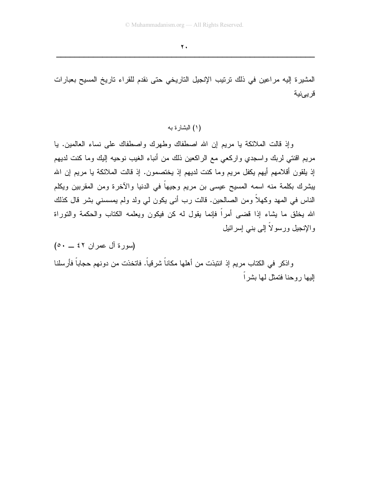المشيرة إليه مراعين في ذلك ترتيب الإنجيل التاريخي حتى نقدم للقراء تاريخ المسيح بعبارات قريىنية

(١) البشارة به

وإذ قالت الملائكة يا مريع إن الله اصطفاك وطهرك واصطفاك على نساء العالمين. يا مريم اقنتي لربك واسجدي واركعي مع الراكعين ذلك من أنباء الغيب نوحيه إليك وما كنت لديهم إذ يلقون أقلامهم أيهم يكفل مريم وما كنت لديهم إذ يختصمون. إذ قالت الملائكة يا مريم إن الله يبشرك بكلمة منه اسمه المسيح عيسى بن مريم وجيها في الدنيا والآخرة ومن المقربين ويكلم الناس في المهد وكهلاً ومن الصالحين. قالت رب أني يكون لي ولد ولم يمسسني بشر قال كذلك الله بخلق ما بِشاء إذا قضـي أمراً فإنما بقول له كن فيكون ويعلمه الكتاب والحكمة والتوراة والإنجيل ورسولاً إلى بنبي إسرائيل

(سورة آل عمران ٤٢ \_ ٥٠) واذكر في الكتاب مريم إذ انتبذت من أهلها مكاناً شرقياً. فاتخذت من دونهم حجاباً فأرسلنا البها روحنا فتمثل لها بشر أ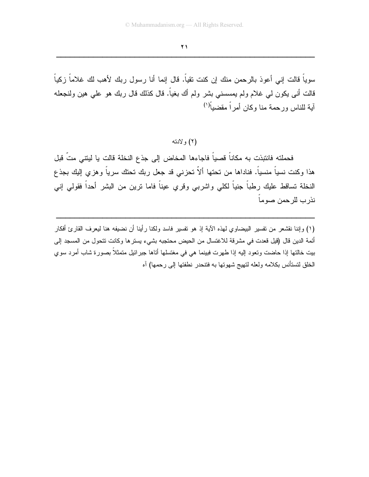$\overline{Y}$ 

سوياً قالت إني أعوذ بالرحمن منك إن كنت تقياً. قال إنما أنا رسول ربك لأهب لك غلاماً زكياً قالت أنـى يكون لـي غلام ولم يمسسنـي بشر ولم أك بـغياً. قال كذلك قال ربك هو علـي هين ولنـجعله آبة للناس ورحمة منا وكان أمر أ مقضباً<sup>(١)</sup>

(۲) و لادته

فحملته فانتبذت به مكاناً قصياً فاجاءها المخاض إلى جذع النخلة قالت يا ليتنى متّ قبل هذا وكنت نسياً منسياً. فناداها من تحتها ألاّ تحزني قد جعل ربك تحتك سرياً وهزي إليك بجذع النخلة تساقط عليك رطباً جنياً لكلَّى واشربـي وقرى عيناً فاما نرين من البشر أحداً فقولـي إنـي نذر ب للر حمن صوماً ـ

(١) وإننا نقشعر من نفسير البيضاوي لهذه الآية إذ هو نفسير فاسد ولكنا رأينا أن نضيفه هنا ليعرف القارئ أفكار أئمة الدين قال (قيل قعدت في مشرقة للاغتسال من الحيض محتجبه بشيء يسترها وكانت نتحول من المسجد إلى بيت خالتها إذا حاضت وتعود إليه إذا طهرت فبينما هي في مغتسلها أتاها جبرائيل متمثلاً بصورة شاب أمرد سوى الخلق لتستأنس بكلامه ولعله لتهيج شهوتها به فتتحدر نطفتها إلى رحمها) آه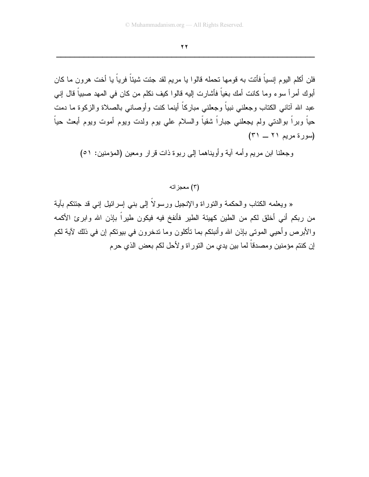$\overline{Y}$ 

فلن أكلم اليوم إنسياً فأنت به قومها تحمله قالوا يا مريم لقد جئت شيئاً فرياً يا أخت هرون ما كان أبوك أمر أ سوء و ما كانت أمك بغياً فأشارت إليه قالو ا كيف نكلم من كان في المهد صبياً قال إني عبد الله أنناني الكتاب وجعلني نبياً وجعلني مباركاً أينما كنت وأوصانى بالصلاة والزكوة ما دمت حياً وبراً بوالدتـى ولم يجعلنـى جباراً شقياً والسلام علـى يوم ولدت ويوم أموت ويوم أبعث حياً (سورة مريم ٢١ ــ ٣١)

وجعلنا ابن مريع وأمه أية وأويناهما إلى ربوة ذات قرار ومعين (المؤمنين: ٥١)

#### (۳) معجز اته

« ويعلمه الكتاب والحكمة والنوراة والإنجيل ورسولاً إلى بنبي إسرائيل إنبي قد جئتكم بآية من ربكم أني أخلق لكم من الطين كهيئة الطير فأنفخ فيه فيكون طيراً بإذن الله وابرئ الأكمه والأبرص وأحيى الموتى بإذن الله وأنبئكم بما نأكلون وما تدخرون في بيونكم إن في ذلك لآية لكم إن كنتم مؤمنين ومصدقاً لما بين يدي من النور اة و لأحل لكم بعض الذي حرم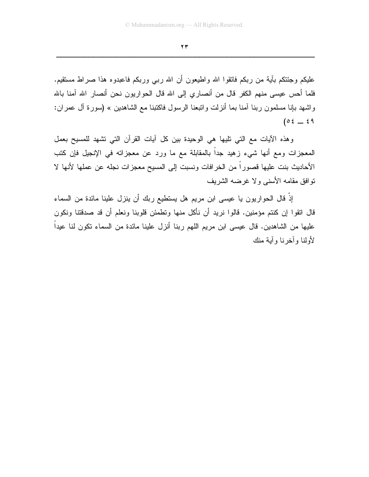$\mathbf{y}$ 

عليكم وجئتكم بأية من ربكم فانقوا الله واطيعون أن الله رببي وربكم فاعبدوه هذا صراط مستقيم. فلما أحس عيسى منهم الكفر قال من أنصاري إلى الله قال الحواريون نحن أنصار الله آمنا بالله واشهد بإنا مسلمون ربنا أمنا بما أنزلت واتبعنا الرسول فاكتبنا مع الشاهدين » (سورة أل عمران:  $(0 \xi - \xi)$ 

وهذه الأيات مع التي تليها هي الوحيدة بين كل أيات القرأن التي نشهد للمسيح بعمل المعجزات ومع أنها شيء زهيد جدا بالمقابلة مع ما ورد عن معجزاته في الإنجيل فإن كتب الأحاديث بنت عليها قصوراً من الخرافات ونسبت إلى المسيح معجزات نجله عن عملها لأنها لا نو افق مقامه الأسنى و لا غرضه الشريف

إِذْ قَالَ الحواريون يا عيسى ابن مريم هل يستطيع ربك أن ينزل علينا مائدة من السماء قال انقوا إن كنتم مؤمنين. قالوا نريد أن نأكل منها وتطمئن قلوبنا ونعلم أن قد صدقتنا ونكون عليها من الشاهدين. قال عيسى ابن مريم اللهم ربنا أنزل علينا مائدة من السماء نكون لنا عيداً لأولنا وأخرنا وأبة منك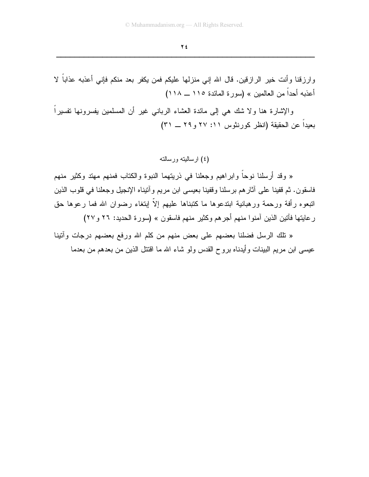وارزقنا وأنت خير الرازقين. قال الله إني منزلها عليكم فمن يكفر بعد منكم فإنبي أعذبه عذاباً لا أعذبه أحداً من العالمين » (سور ة المائدة ١١٥ ــ ١١٨)

والإشارة هنا ولا شك هي إلى مائدة العشاء الربانـي غير أن المسلمين يفسرونـها نفسيراً بعيداً عن الحقيقة (انظر كورنثوس ١١: ٢٧ و ٢٩ ــ ٣١)

(٤) ارسالیته ورسالته

« وقد أرسلنا نوحاً وإبراهيم وجعلنا في ذريتهما النبوة والكتاب فمنهم مهتد وكثير منهم فاسقون. ثم قفينا على آثار هم برسلنا وقفينا بعيسى ابن مريع وأتيناه الإنجيل وجعلنا في قلوب الذين انبعوه رأفة ورحمة ورهبانية ابتدعوها ما كتبناها عليهم إلاّ إبتغاء رضوان الله فما رعوها حق رِ عايتها فأنين الذين أمنوا منهم أجرِهم وكثيرٍ منهم فاسقون » (سورة الحديد: ٢٦ و ٢٧)

« نلك الرسل فضلنا بعضهم على بعض منهم من كلم الله ورفع بعضهم درجات وأننينا عيسى ابن مريم البينات وأيدناه بروح القدس ولو شاء الله ما اقتتل الذين من بعدهم من بعدما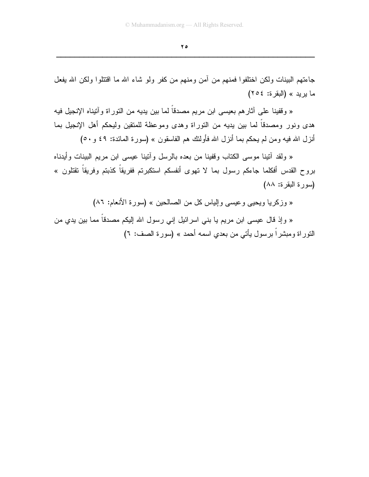$\forall$  0

جاءتهم البينات ولكن اختلفوا فمنهم من أمن ومنهم من كفر ولو شاء الله ما اقتتلوا ولكن الله يفعل ما بريد » (البقرة: ٢٥٤)

« وقفينا على أثارهم بعيسى ابن مريم مصدقاً لما بين يديه من النوراة وأنيناه الإنجيل فيه هدى ونور ومصدقاً لما بين يديه من النوراة وهدى وموعظة للمتقين وليحكم أهل الإنجيل بما أنزل الله فيه ومن لم يحكم بما أنزل الله فأولئك هم الفاسقون » (سورة المائدة: ٤٩ و ٥٠)

« ولقد أننينا موسى الكتاب وقفينا من بعده بالرسل وأننينا عيسى ابن مريم البينات وأيدناه بروح القدس أفكلما جاءكم رسول بما لا تهوى أنفسكم استكبرتم ففريقاً كذبتم وفريقاً نقتلون » (سورة البقرة: ٨٨)

« وزكريا ويحيى وعيسى وإلياس كل من الصالحين » (سورة الأنعام: ٨٦)

« وإذ قال عيسى ابن مريم يا بني اسرائيل إني رسول الله إليكم مصدقاً مما بين يدي من النَّور اة ومبشَّر أ بر سول يأتي من بعدي اسمه أحمد » (سور ة الصف: ٦)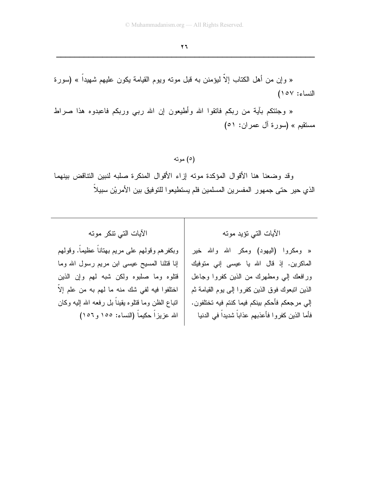« وإن من أهل الكتاب إلاَّ ليؤمنن به قبل موته ويوم القيامة يكون عليهم شهيداً » (سورة النساء: ١٥٧)

« وجَنْتَكُم بأيةٌ من ربكم فانقوا الله وأطيعون إن الله ربـي وربكم فاعبدوه هذا صراط مستقيم » (سورة آل عمر ان: ٥١)

(٥) موته

وقد وضعنا هنا الأقوال المؤكدة موته إزاء الأقوال المنكرة صلبه لنبين التناقض بينهما الذي حير حتى جمهور المفسرين المسلمين فلم يستطيعوا للتوفيق بين الأمريْن سبيلاً

الآيات التي نتكر موته

وبكفرهم وقولهم على مريم بهتاناً عظيماً. وقولهم إنا فتلنا المسيح عيسى ابن مريم رسول الله وما قتلوه وما صلبوه ولكن شبه لهم وإن الذين اختلفوا فيه لفي شك منه ما لهم به من علم إلاّ انباع الظن وما قنلوه بقيناً بل رفعه الله اليه وكان الله عزيزاً حكيماً (النساء: ١٥٥ و ١٥٦)

الآيات التي تؤيد موته

« ومكروا (اليهود) ومكر الله والله خير الماكرين. إذ قال الله يا عيسى إني متوفيك ورافعك إلى ومطهرك من الذين كفروا وجاعل الذين انتبعوك فوق الذين كفروا إلىي يوم القيامة ثم إلى مرجعكم فأحكم بينكم فيما كنتم فيه تختلفون. فأما الذين كفروا فأعذبهم عذاباً شديداً فى الدنيا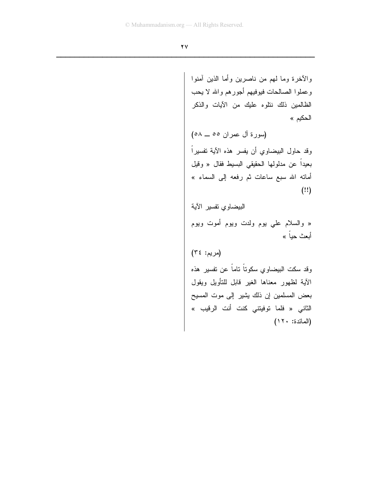$\overline{Y}V$ 

والأخرة وما لمهم من ناصرين وأما الذين آمنوا وعملوا الصالحات فيوفيهم أجورهم والله لا يحب الظالمين ذلك ننلوه عليك من الآيات والذكر الحكيم » (سورة آل عمران ٥٥ ـــ ٥٨) وقد حاول البيضاوي أن يفسر هذه الآية تفسيراً بعيداً عن مدلولها الحقيقي البسيط فقال « وقيل أمانه الله سبع ساعات ثم رفعه إلى السماء »  $(!!)$ البيضاوي تفسير الآية « والسلام علي يوم ولدت ويوم أموت ويوم أبعث حباً » (مريم: ٣٤) وقد سكت البيضاوي سكوتاً ناماً عن نفسير هذه الآية لظهور معناها الغير قابل للنأويل ويقول بعض المسلمين إن ذلك يشير إلى موت المسيح الثاني « فلما توفيتني كنت أنت الرقيب » (المائدة: ١٢٠)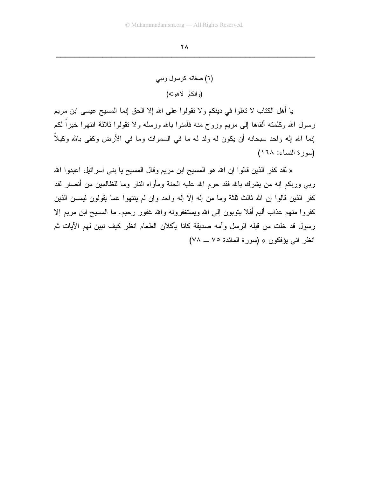```
(٦) صفاته كرسول ونبي
(و انكار لاهوته)
```
يا أهل الكتاب لا تغلوا في دينكم ولا نقولوا على الله إلا الحق إنما المسيح عيسى ابن مريم رسول الله وكلمته ألقاها إلىي مريع وروح منه فأمنوا بالله ورسله ولا نقولوا ثلاثة انتهوا خيراً لكم إنما الله إله واحد سبحانه أن يكون له ولد له ما في السموات وما في الأرض وكفي بالله وكيلاً ۖ (سورة النساء: ١٦٨)

« لقد كفر الذين قالوا إن الله هو المسيح ابن مريم وقال المسيح يا بني اسرائيل اعبدوا الله رببي وربكم إنه من يشرك بالله فقد حرم الله عليه الجنة ومأواه النار وما للظالمين من أنصار لقد كفر الذين قالوا إن الله ثالث ثلثة وما من إله إلا إله واحد وإن لم ينتهوا عما يقولون ليمسن الذين كفروا منهم عذاب أليم أفلا ينوبون إلى الله ويستغفرونه والله غفور رحيم. ما المسيح ابن مريم إلا رسول قد خلت من قبله الرسل وأمه صديقة كانا يأكلان الطعام انظر كيف نبين لهم الآيات ثم انظر اني يؤفكون » (سورة المائدة ٧٥ ــ ٧٨)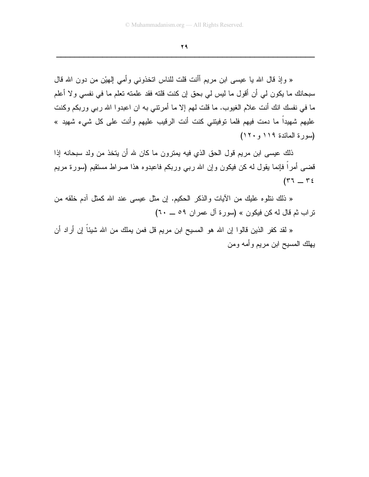29

« وإذ قال الله يا عيسى ابن مريم أأنت قلت للناس اتخذوني وأمي إلهيْن من دون الله قال سبحانك ما يكون لمي أن أقول ما ليس لمي بحق إن كنت قلته فقد علمته تعلم ما في نفسي ولا أعلم ما في نفسك انك أنت علام الغيوب. ما قلت لهم إلا ما أمرنتي به ان اعبدوا الله ربي وربكم وكنت عليهم شهيداً ما دمت فيهم فلما توفيتني كنت أنت الرقيب عليهم وأنت على كل شيء شهيد » (سورة المائدة ١١٩ و ١٢٠)

ذلك عيسى ابن مريم قول الحق الذي فيه يمترون ما كان لله أن يتخذ من ولد سبحانه إذا قضـي أمراً فإنمـا يقول لـه كن فيكون وإن الله ربـي وربكم فاعبدوه هذا صـراط مستقيم (سورة مريم  $(57 - 56)$ 

« ذلك نتلوه عليك من الأيات والذكر الحكيم. إن مثل عيسى عند الله كمثل أدم خلقه من تراب ثم قال له كن فيكون » (سورة آل عمران ٥٩ \_ ٢٠)

« لقد كفر الذين قالوا إن الله هو المسيح ابن مريم قل فمن يملك من الله شيئا إن أراد أن يهلك المسيح ابن مريم وأمه ومن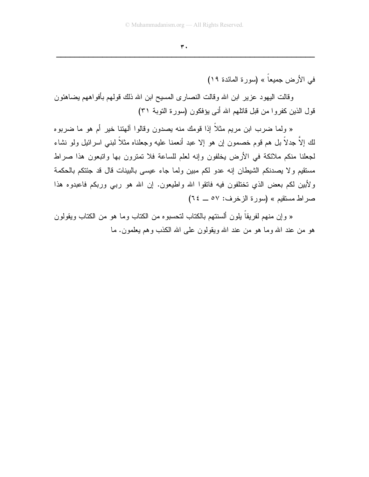في الأرض جميعاً » (سورة المائدة ١٩)

وقالت اليهود عزير ابن الله وقالت النصارى المسيح ابن الله ذلك قولهم بأفواههم يضاهئون قول الذين كفروا من قبل قاتلهم الله أنى يؤفكون (سورة النوبة ٣١)

« ولما ضرب ابن مريع مثلاً إذا قومك منه يصدون وقالوا ألهتنا خير أم هو ما ضربوه لك إلاَّ جدلاً بل هم قوم خصمون إن هو إلا عبد أنعمنا عليه وجعلناه مثلاً لبني اسرائيل ولو نشاء لجعلنا منكم ملائكة في الأرض يخلفون وإنه لعلم للساعة فلا تمترون بها وانبعون هذا صراط مستقيم ولا يصدنكم الشيطان إنه عدو لكم مبين ولما جاء عيسى بالبينات قال قد جئتكم بالحكمة ولأبين لكم بعض الذي نختلفون فيه فاتقوا الله واطيعون. إن الله هو ربي وربكم فاعبدوه هذا صر اط مستقيم » (سورة الزخرف: ٥٧ \_ ٢٤)

« وإن منهم لفريقاً بلون ألسنتهم بالكتاب لتحسبوه من الكتاب وما هو من الكتاب ويقولون هو من عند الله وما هو من عند الله ويقولون على الله الكذب وهم يعلمون. ما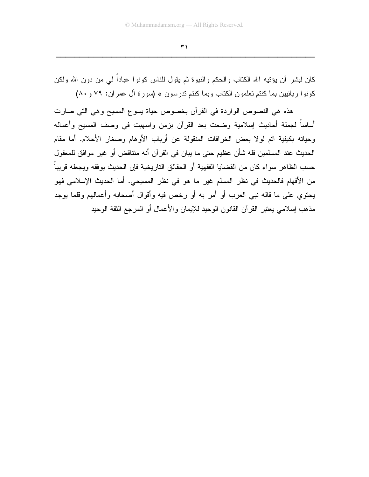$\overline{r}$ 

كان لبشر أن يؤنيه الله الكتاب والحكم والنبوة ثم يقول للناس كونوا عباداً لمى من دون الله ولكن كونوا ربانيين بما كنتم تعلمون الكتاب وبما كنتم تدرسون » (سورة آل عمران: ٧٩ و ٨٠)

هذه هي النصوص الواردة في القرآن بخصوص حياة يسوع المسيح وهي التي صارت أساساً لجملة أحاديث إسلامية وضعت بعد القرآن بزمن واسهبت في وصف المسيح وأعماله وحياته بكيفية اتم لولا بعض الخرافات المنقولة عن أرباب الأوهام وصغار الأحلام. أما مقام الحديث عند المسلمين فله شأن عظيم حتى ما يبان في القرآن أنه متناقض أو غير موافق للمعقول حسب الظاهر سواء كان من القضايا الفقهية أو الحقائق التاريخية فإن الحديث يوفقه ويجعله قريباً من الأفهام فالحديث في نظر المسلم غير ما هو في نظر المسيحي. أما الحديث الإسلامي فهو يحتوي على ما قاله نبي العرب أو أمر به أو رخص فيه وأقوال أصحابه وأعمالهم وقلما يوجد مذهب إسلامي يعتبر القر آن القانون الوحيد للإيمان والأعمال أو المرجع الثقة الوحيد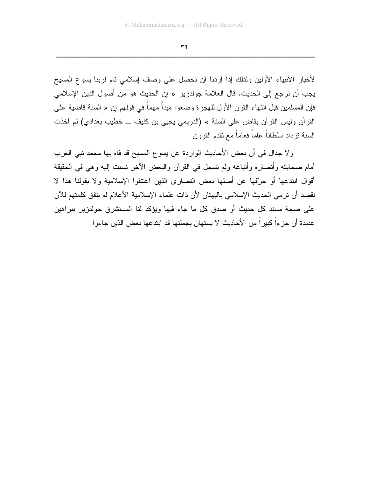$\pmb{\tau}$ <br> $\pmb{\tau}$ 

لأخبار الأنبياء الأولين ولذلك إذا أردنا أن نحصل على وصف إسلامي تام لربنا يسوع المسيح يجب أن نرجع إلى الحديث. قال العلامة جولدزير « إن الحديث هو من أصول الدين الإسلامي فإن المسلمين قبل انتهاء القرن الأول للهجرة وضعوا مبدأً مهماً في قولهم إن « السنة قاضية على القرآن وليس القرآن بقاض على السنة » (الدريمي يـحيى بن كنيف ـــ خطيب بغدادي) ثم أخذت السنة نزداد سلطاناً عاماً فعاماً مع نقدم القرون

ولا جدال في أن بعض الأحاديث الواردة عن يسوع المسيح قد فاه بها محمد نبي العرب أمام صحابته وأنصاره وأتباعه ولم تسجل في القرآن والبعض الآخر نسبت إليه وهي في الحقيقة أقوال ابتدعها أو حرّفها عن أصلها بعض النصارى الذين اعتنقوا الإسلامية ولا بقولنا هذا لا نقصد أن نرمي الحديث الإسلامي بالبهتان لأن ذات علماء الإسلامية الأعلام لم تتفق كلمتهم للآن على صحة مسند كل حديث أو صدق كل ما جاء فيها ويؤكد لنا المستشرق جولدزير ببراهين عديدة أن جزءاً كبيرٍ اً من الأحاديث لا يستهان بجملتها قد ابتدعها بعض الذين جاءو ا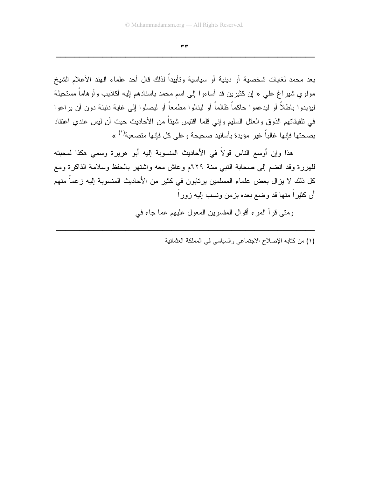$\tau \tau$ 

بعد محمد لغايات شخصية أو دينية أو سياسية وتأييداً لذلك قال أحد علماء الهند الأعلام الشيخ مولوي شيراغ علي « إن كثيرين قد أساءوا إلى اسم محمد باسنادهم إليه أكاذيب وأوهاماً مستحيلة ليؤيدوا باطلاً أو ليدعموا حاكماً ظالماً أو لينالوا مطمعاً أو ليصلوا إلى غاية دنيئة دون أن يراعوا في نلفيقاتهم الذوق والعقل السليم وإني قلما اقتبس شيئاً من الأحاديث حيث أن ليس عندي اعتقاد بصحتها فإنها غالباً غير مؤيدة بأسانيد صحيحة و على كل فإنها متصعبة'') »

هذا وإن أوسع الناس قولاً في الأحاديث المنسوبة إليه أبو هريرة وسمى هكذا لمحبته للهررة وقد انضم إلى صحابة النبي سنة ٦٢٩م وعاش معه واشتهر بالحفظ وسلامة الذاكرة ومع كل ذلك لا يزال بعض علماء المسلمين يرتابون في كثير من الأحاديث المنسوبة إليه زعماً منهم أن كثيراً منها قد وضع بعده بزمن ونسب إليه زوراً

ومتبي قرأ المرء أقوال المفسرين المعول عليهم عما جاء في

(١) من كتابه الإصلاح الاجتماعي والسياسي في المملكة العثمانية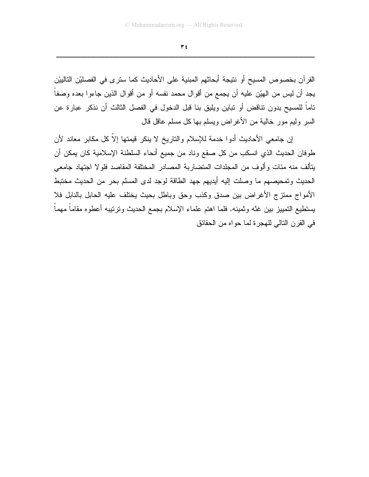$\forall$  ź

القرآن بخصوص المسيح أو نتيجة أبحاثهم المبنية على الأحاديث كما سترى في الفصليْن التالييْن يجد أن ليس من الهيّن عليه أن يجمع من أقوال محمد نفسه أو من أقوال الذين جاءوا بعده وصفاً تاماً للمسيح بدون نتاقض أو تباين ويليق بنا قبل الدخول في الفصل الثالث أن نذكر عبارة عن السر وليم مور خالية من الأغراض ويسلم بها كل مسلم عاقل قال

إن جامعي الأحاديث أدوا خدمة للإسلام والتاريخ لا ينكر فيمتها إلاَّ كل مكابر معاند لأن طوفان الحديث الذي انسكب من كل صقع وناد من جميع أنحاء السلطنة الإسلامية كان يمكن أن يتألف منه مئات وألوف من المجلدات المتضاربة المصادر المختلفة المقاصد فلولا اجتهاد جامعي الحديث وتمحيصهم ما وصلت إليه أيديهم جهد الطاقة لوجد لدى المسلم بحر من الحديث مختبط الأمواج ممتزج الأغراض بين صدق وكذب وحق وباطل بحيث يختلف عليه الحابل بالنابل فلا يستطيع التمييز ببن غثه وثمينه. فلما اهتم علماء الإسلام بجمع الحديث ونرنتيبه أعطوه مقاماً مهماً في القرن النالي للهجرة لما حواه من الحقائق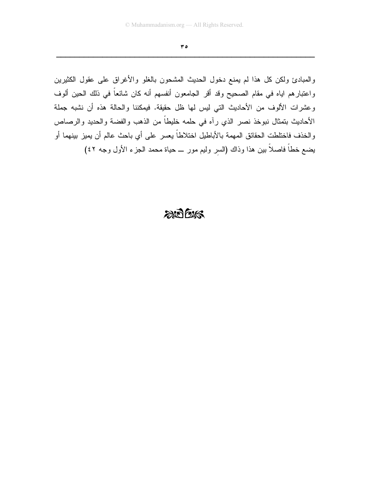$\mathbf{r} \bullet$ 

والمبادئ ولكن كل هذا لم يمنع دخول الحديث المشحون بالغلو والأغراق على عقول الكثيرين واعتبارهم اياه في مقام الصحيح وقد أقر الجامعون أنفسهم أنه كان شائعاً في ذلك الحين ألوف وعشرات الألوف من الأحاديث التي ليس لها ظل حقيقة. فيمكننا والحالة هذه أن نشبه جملة الأحاديث بتمثال نبوخذ نصر الذي رأه في حلمه خليطاً من الذهب والفضة والحديد والرصاص والخذف فاختلطت الحقائق المهمة بالأباطيل اختلاطاً يعسر على أي باحث عالم أن يميز بينهما أو يضع خطَّا فاصلاً بين هذا وذاك (السر وليم مور \_ حياة محمد الـجزء الأول وجه ٤٢)

## $2075$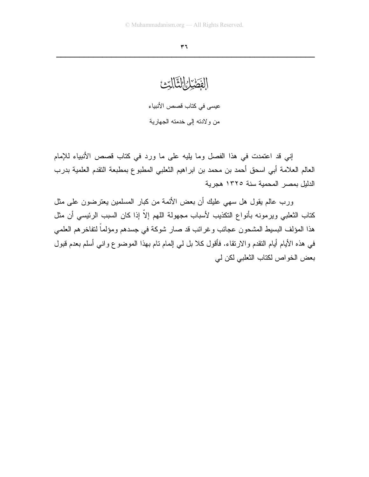الفَصْرُ التَّالِّيْ عيسى في كتاب قصص الأنبياء من ولادته إلى خدمته الجهارية

إني قد اعتمدت في هذا الفصل وما بليه على ما ورد في كتاب قصص الأنبياء للإمام العالم العلامة أبي اسحق أحمد بن محمد بن ابراهيم الثعلبي المطبوع بمطبعة التقدم العلمية بدرب الدلبل بمصر المحمبة سنة ١٣٢٥ هجربة

ورب عالم يقول هل سهى عليك أن بعض الأئمة من كبار المسلمين يعترضون على مثل كتاب الثعلبي ويرمونه بأنواع التكذيب لأسباب مجهولة اللهم إلاّ إذا كان السبب الرئيسي أن مثل هذا المؤلف البسيط المشحون عجائب وغرائب قد صار شوكة في جسدهم ومؤلماً لنفاخرهم العلمي في هذه الأيام أيام النقدم والارتقاء. فأقول كلا بل لي إلمام تام بهذا الموضوع واني أسلم بعدم قبول بعض الخواص لكتاب الثعلبي لكن لي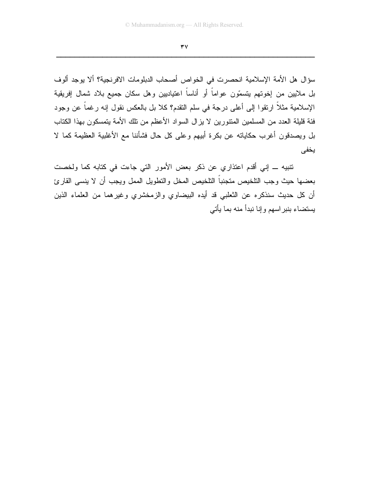سؤال هل الأمة الإسلامية انحصرت في الخواص أصحاب الدبلومات الافرنجية؟ ألا يوجد ألوف بل ملايين من إخوتهم يتسمّون عواماً أو أناساً اعتياديين وهل سكان جميع بلاد شمال إفريقية الإسلامية مثلاً ارتقوا إلى أعلى درجة في سلم النقدم؟ كلا بل بالعكس نقول إنه رغماً عن وجود فئة قليلة العدد من المسلمين المنتورين لا يزال السواد الأعظم من نلك الأمة يتمسكون بهذا الكتاب بل ويصدقون أغرب حكاياته عن بكرة أبيهم وعلى كل حال فشأننا مع الأغلبية العظيمة كما لا يخفى

نتبيه ـــ إني أقدم اعتذاري عن ذكر بعض الأمور التي جاءت في كتابه كما ولخصت بعضها حيث وجب النلخيص متجنباً النلخيص المخل والنطويل الممل ويجب أن لا ينسى القارئ أن كل حديث سنذكره عن الثعلبي قد أيده البيضاوي والزمخشري وغيرهما من العلماء الذين يستضاء بنبر اسهم وإننا نبدأ منه بما يأتى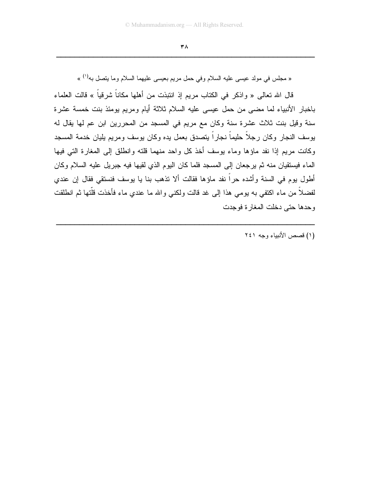« مجلس في مولد عيسى عليه السلام وفي حمل مريم بعيسى عليهما السلام وما ينصل به<sup>(١)</sup> »

قال الله تعالى « واذكر في الكتاب مريم إذ انتبذت من أهلها مكانا شرقيا » قالت العلماء باخبار الأنبياء لما مضـي من حمل عيسـي عليه السلام ثلاثة أيام ومريم بومئذ بنت خمسة عشرة سنة وقيل بنت ثلاث عشرة سنة وكان مع مريم في المسجد من المحررين ابن عم لها يقال له يوسف النجار وكان رجلا حليما نجارا بتصدق بعمل يده وكان بوسف ومريم يليان خدمة المسجد وكانت مريم إذا نفد ماؤها وماء يوسف أخذ كل واحد منهما قلته وانطلق إلىي المغارة التي فيها الماء فيستقيان منه ثم يرجعان إلى المسجد فلما كان اليوم الذي لقيها فيه جبريل عليه السلام وكان أُطُولُ يوم في السنة وأشده حرًا نفد ماؤها فقالت ألا تذهب بنا يا يوسف فنستقي فقال إن عندي لفضلا من ماء اكتفي به بومي هذا إلى غد قالت ولكني والله ما عندي ماء فأخذت قلتها ثم انطلقت وحدها حتى دخلت المغارة فوجدت

ZZZZZZZZZZZZZZZZZZZZZZZZZZZZZZZZZZZZZZZZZZZZZZZZZZZZZZZZ

(۱) قصص الأنبياء وجه ۲٤۱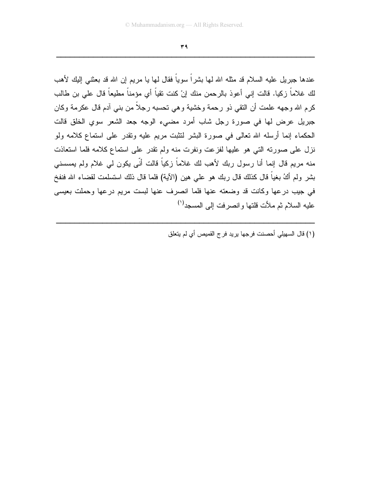$H$ <u> 2000 - Jan James James James James James James James James James James James James James James James James J</u>

عندها جبريل عليه السلام قد مثله الله لـها بشرًا سويًا فقال لـها يا مريم إن الله قد بعثنـي إليك لأهب لك غلاما زكيا. قالت إني أعوذ بالرحمن منك إنْ كنت نقيا أي مؤمنا مطيعا قال علي بن طالب كرم الله وجهه علمت أن النقي ذو رحمة وخشية وهي تحسبه رجلا من بني أدم قال عكرمة وكان جبريل عرض لها في صورة رجل شاب أمرد مضييء الوجه جعد الشعر سوي الخلق قالت الحكماء إنما أرسله الله تعالى في صورة البشر لنثبت مريع عليه ونقدر على استماع كلامه ولو نزل على صورته التي هو عليها لفزعت ونفرت منه ولم نقدر على استماع كلامه فلما استعاذت منه مريم قال إنما أنا رسول ربك لأهب لك غلاما زكيا قالت أنى يكون لي غلام ولم يمسسني بشر ولم أكُ بغيا قال كذلك قال ربك هو علي هين (الأية) فلما قال ذلك استسلمت لقضـاء الله فنفخ في جيب درعها وكانت قد وضعته عنها فلما انصرف عنها لبست مريم درعها وحملت بعيسى عليه السلام ثم ملأت قلتها و انصرفت إلى المسجد<sup>(י)</sup>

ZZZZZZZZZZZZZZZZZZZZZZZZZZZZZZZZZZZZZZZZZZZZZZZZZZZZZZZZ

(١) قال السهيلي أحصنت فرجها يريد فر ج القميص أي لم يتعلق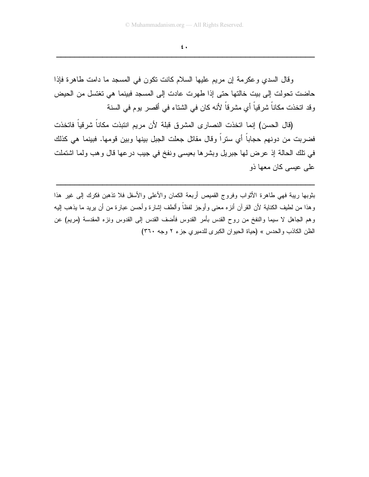$\epsilon$ .

وقال السدي وعكرمة إن مريم عليها السلام كانت نكون في المسجد ما دامت طاهرة فإذا حاضت تحولت إلى بيت خالتها حتى إذا طهرت عادت إلى المسجد فبينما هي تغتسل من الحيض وقد اتخذت مكاناً شرقياً أي مشرقاً لأنه كان في الشتاء في أقصر يوم في السنة

(قال الحسن) إنما اتخذت النصارى المشرق قبلة لأن مريم انتبذت مكاناً شرقياً فاتخذت فضربت من دونهم حجاباً أي ستراً وقال مقاتل جعلت الجبل بينها وبين قومها. فبينما هي كذلك في نلك الحالة إذ عرض لها جبريل وبشرها بعيسى ونفخ في جيب درعها قال وهب ولما اشتملت علمی عیسی کان معها ذو

بثوبها ريبة فهي طاهرة الأثواب وفروج القميص أربعة الكمان والأعلى والأسفل فلا تذهبن فكرك إلى غير هذا وهذا من لطيف الكناية لأن القرآن أنزه معنى وأوجز لفظاً وألطف إشارة وأحسن عبارة من أن بريد ما يذهب إليه وهم الجاهل لا سيما والنفخ من روح القدس بأمر القدوس فأضف القدس إلى القدوس ونزه المقدسة (مريم) عن الظن الكاذب والحدس » (حياة الحيوان الكبرى للدميري جزء ٢ وجه ٣٦٠)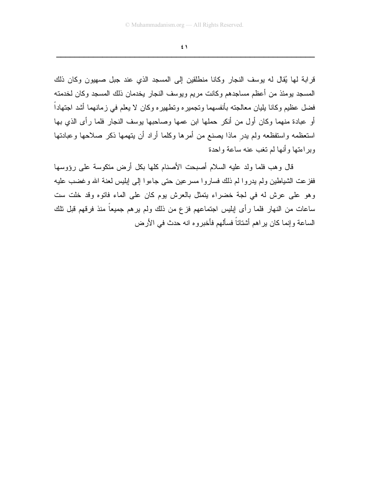$\epsilon$  \

قرابة لها يُقال له يوسف النجار وكانا منطلقين إلى المسجد الذي عند جبل صهيون وكان ذلك المسجد يومئذ من أعظم مساجدهم وكانت مريم ويوسف النجار يخدمان ذلك المسجد وكان لخدمته فضل عظيم وكانا يليان معالجته بأنفسهما وتجميره وتطهيره وكان لا يعلم في زمانهما أشد اجتهاداً أو عبادة منهما وكان أول من أنكر حملها ابن عمها وصاحبها يوسف النجار فلما رأى الذي بها استعظمه واستفظعه ولم يدر ماذا يصنع من أمرها وكلما أراد أن يتهمها ذكر صلاحها وعبادتها وبر اءتها وأنها لم تغب عنه ساعة واحدة

قال وهب فلما ولد عليه السلام أصبحت الأصنام كلها بكل أرض منكوسة على رؤوسها ففزعت الشباطين ولم بدروا لم ذلك فساروا مسرعين حتى جاءوا إلى إبليس لعنة الله وغضب عليه وهو على عرش له في لجة خضراء يتمثَّل بالعرش يوم كان على الماء فاتوه وقد خلت ست ساعات من النهار فلما رأى إبليس اجتماعهم فزع من ذلك ولم يرهم جميعاً منذ فرقهم قبل نلك الساعة وإنما كان بر اهم أشتاتاً فسألهم فأخبروه انه حدث في الأرض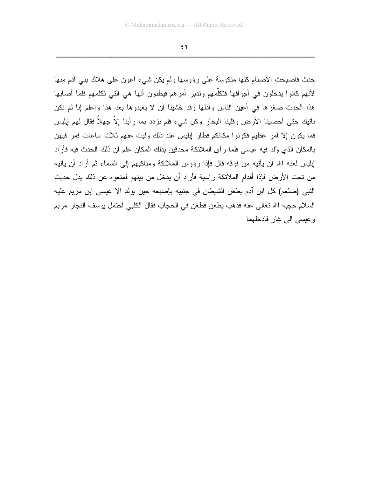$\epsilon$   $\tau$ 

حدث فأصبحت الأصنام كلها منكوسة على رؤوسها ولم يكن شيء أعون على هلاك بني آدم منها لأنهم كانوا يدخلون في أجوافها فتكلَّمهم وتدبر أمرهم فيظنون أنها هي التي تكلمهم فلما أصابها هذا الحدث صغرها في أعين الناس وأذلها وقد خشينا أن لا يعبدوها بعد هذا واعلم إنا لم نكن نأنيك حتى أحصينا الأرض وقلبنا البحار وكل شيء فلم نزدد بما رأينا إلاّ جهلاً فقال لمهم إبليس فما يكون إلا أمر عظيم فكونوا مكانكم فطار إبليس عند ذلك ولبث عنهم ثلاث ساعات فمر فيهن بالمكان الذي وُلد فيه عيسى فلما رأى الملائكة محدقين بذلك المكان علم أن ذلك الحدث فيه فأراد ابِلْيِس لعنه الله أن يأتيه من فوقه قال فإذا رؤوس الملائكة ومناكبهم إلى السماء ثم أراد أن يأتيه من تحت الأر ض فإذا أقدام الملائكة ر اسية فأر اد أن يدخل من بينهم فمنعو ه عن ذلك يدل حديث النبي (صلعم) كل ابن آدم يطعن الشيطان في جنبيه بإصبعه حين يولد الا عيسى ابن مريم عليه السلام حجبه الله تعالى عنه فذهب يطعن فطعن في الحجاب فقال الكلبي احتمل بوسف النجار ًمر يم وعيسى إلى غار فادخلهما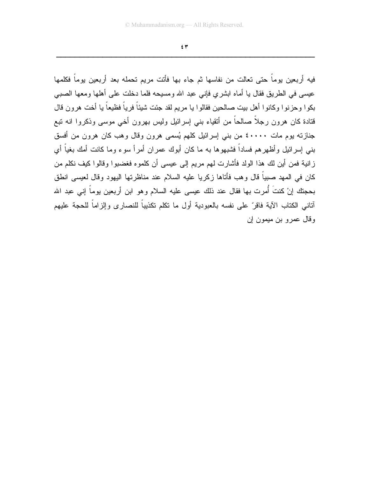$\epsilon$  ۳

فيه أربعين يوماً حتى تعالت من نفاسها ثم جاء بها فأتت مريم تحمله بعد أربعين يوماً فكلمها عيسى في الطريق فقال يا أماه ابشرى فإني عبد الله ومسيحه فلما دخلت على أهلها ومعها الصببي بكوا وحزنوا وكانوا أهل بيت صالحين فقالوا يا مريم لقد جئت شيئاً فرياً فظيعاً يا أخت هرون قال قتادة كان هرون رجلاً صالحاً من أتقياء بنـى إسرائيل وليس بـهرون أخـى موسـى وذكروا انـه ننبع جنازته بوم مات ٤٠٠٠٠ من بنبي إسرائيل كلهم يُسمى هرون وقال وهب كان هرون من أفسق بني إسرائيل وأظهرهم فساداً فشبهوها به ما كان أبوك عمران أمرأ سوء وما كانت أمك بغياً أي زانية فمن أين لك هذا الولد فأشارت لهم مريم إلى عيسى أن كلموه فغضبوا وقالوا كيف نكلم من كان في المهد صبياً قال و هب فأتاها زكر يا عليه السلام عند مناظر تها اليهود وقال لعيسى انطق بحجتك إنْ كنتَ أُمرت بها فقال عند ذلك عيسى عليه السلام وهو ابن أربعين يوماً إني عبد الله آتاني الكتاب الآية فاقر ّ على نفسه بالعبودية أول ما نكلم تكذيباً للنصار ي وإلز اماً للحجة عليهم وقال عمرو بن ميمون إن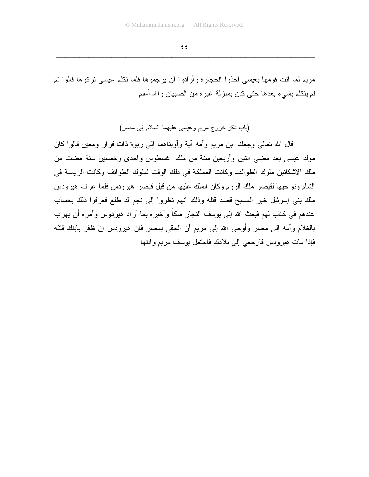مريم لما أنت قومها بعيسى أخذوا الحجارة وأرادوا أن يرجموها فلما نكلم عيسى نركوها قالوا ثم لم ينكلم بشيء بعدها حتى كان بمنزلة غير ه من الصبيان والله أعلم

(باب ذكر خروج مريع وعيسى عليهما السلام إلى مصر)

قال الله تعالى وجعلنا ابن مريع وأمه آية وأويناهما إلى ربوة ذات قرار ومعين قالوا كان مولد عيسى بعد مضى اثنين وأربعين سنة من ملك اغسطوس واحدى وخمسين سنة مضت من ملك الاشكانين ملوك الطوائف وكانت المملكة في ذلك الوقت لملوك الطوائف وكانت الرياسة في الشام ونواحيها لقيصر ملك الروم وكان الملك عليها من قبل قيصر هيرودس فلما عرف هيرودس ملك بني إسرئيل خبر المسيح قصد قتله وذلك انهم نظروا إلى نجم قد طلع فعرفوا ذلك بحساب عندهم في كتاب لمهم فبعث الله إلى يوسف النجار ملكاً وأخبره بما أراد هيردوس وأمره أن يهرب بالغلام وأمه إلى مصر وأوحى الله إلى مريم أن الحقى بمصر فإن هيرودس إنْ ظفر بابنك قتله فإذا مات هيرودس فارجعي إلى بلادك فاحتمل بوسف مريع وابنها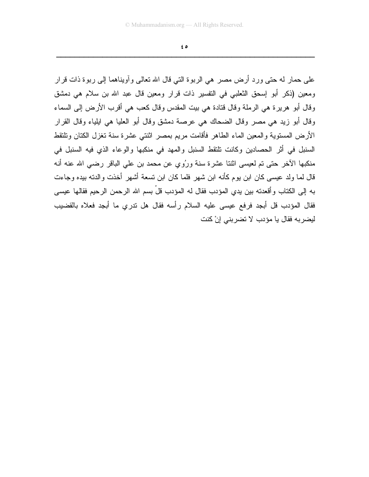$\epsilon$  o

علمي حمار له حتى ورد أرض مصر هي الربوة التي قال الله تعالى وآويناهما إلى ربوة ذات قرار ومعين (ذكر أبو إسحق الثعلبي في التفسير ذات قرار ومعين قال عبد الله بن سلام هي دمشق وقال أبو هريرة هي الرملة وقال قتادة هي بيت المقدس وقال كعب هي أقرب الأرض إلى السماء وفال أبو زيد هي مصر وفال الضحاك هي عرصة دمشق وفال أبو العليا هي ابلياء وقال القرار الأرض المسنوية والمعين الماء الطاهر فأقامت مريم بمصر اثنتي عشرة سنة نغزل الكنان ونلنقط السنبل في أثر الحصادين وكانت تلتقط السنبل والمهد في منكبها والوعاء الذي فيه السنبل في منكبها الأخر حتى تم لعيسى اثنتا عشرة سنة ورُوى عن محمد بن على الباقر رضي الله عنه أنه قال لما ولد عيسى كان ابن يو م كأنه ابن شهر فلما كان ابن نسعة أشهر أخذت و الدته بيده و جاءت به إلى الكتاب وأقعدته بين يدي المؤدب فقال له المؤدب قلْ بسم الله الرحمن الرحيم فقالها عيسى فقال المؤدب قل أبجد فرفع عيسى عليه السلام رأسه فقال هل ندرى ما أبجد فعلاه بالقضيب ليضربه فقال يا مؤدب لا تضربني إنْ كنت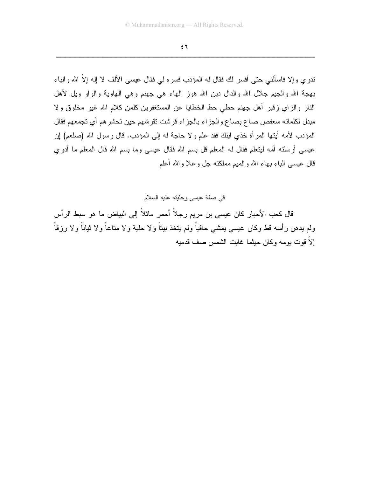$\epsilon$  ٦

ندر ي وإلا فاسألنبي حتى أفسر لك فقال له المؤدب فسره لي فقال عيسى الألف لا إله إلاَّ الله والباء بهجة الله والجيع جلال الله والدال دين الله هوز الهاء هي جهنم وهي الهاوية والواو ويل لأهل النار والزاي زفير أهل جهنم حطى حط الخطايا عن المستغفرين كلمن كلام الله غير مخلوق ولا مبدل لكلماته سعفص صاع بصاع والجزاء بالجزاء قرشت تقرشهم حين تحشرهم أي تجمعهم فقال المؤدب لأمه أيتها المرأة خذي ابنك فقد علم ولا حاجة له إلى المؤدب. قال رسول الله (صلعم) إن عيسى أرسلته أمه ليتعلم فقال له المعلم قل بسم الله فقال عيسى وما بسم الله قال المعلم ما أدري قال عيسى الباء بـهاء الله والمبم مملكنـه جل وعلا والله أعلم

في صفة عيسى وحليته عليه السلام

قال كعب الأحبار كان عيسى بن مريم رجلاً أحمر مائلاً إلى البياض ما هو سبط الرأس ولم يدهن رأسه قط وكان عيسى يمشى حافياً ولم يتخذ بيتاً ولا حلية ولا متاعاً ولا ثياباً ولا رزقاً إلاَّ قوت بومه وكان حبثما غابت الشمس صف قدمبه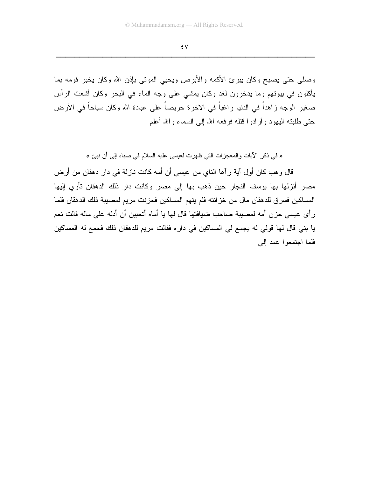٤V

وصلَّى حتَّى بصبح وكان بيرئ الأكمه والأبرص ويحيى الموتى بإذن الله وكان يخبر قومه بما بِأكلون في بيونهم وما يدخرون لغد وكان يمشى على وجه الماء في البحر وكان أشعث الرأس صغير الوجه زاهداً في الدنيا راغباً في الآخرة حريصاً على عبادة الله وكان سياحاً في الأرض حتى طلبته اليهود وأرادوا قتله فرفعه الله إلى السماء والله أعلم

« في ذكر الأيات والمعجزات التي ظهرت لعيسى عليه السلام في صباه إلى أن نبئ »

قال و هب كان أول آية رآها الناي من عيسى أن أمه كانت نازلة في دار دهقان من أرض مصر أنزلها بها يوسف النجار حين ذهب بها إلى مصر وكانت دار ذلك الدهقان تأوي إليها المساكين فسرق للدهقان مال من خزانته فلم يتهم المساكين فحزنت مريم لمصبيبة ذلك الدهقان فلما ر أي عيسى حزن أمه لمصيبة صاحب ضيافتها قال لها يا أماه أتحبين أن أدله على ماله قالت نعم يا بني قال لها قولي له يجمع لي المساكين في داره فقالت مريم للدهقان ذلك فجمع له المساكين فلما اجتمعوا عمد إلى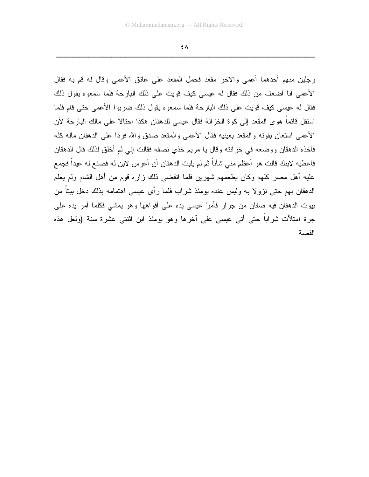٤٨

رِجلين منهم أحدهما أعمى والآخر مقعد فحمل المقعد على عاتق الأعمى وقال له قم به فقال الأعمى أنا أضعف من ذلك فقال له عيسى كيف قويت على ذلك البارحة فلما سمعوه يقول ذلك فقال له عيسى كيف قويت على ذلك البارحة فلما سمعوه يقول ذلك ضربوا الأعمى حتى قام فلما استقل قائماً هوى المقعد إلى كوة الخزانة فقال عيسى للدهقان هكذا احتالا على مالك البارحة لأن الأعمى استعان بقوته والمقعد بعينيه فقال الأعمى والمقعد صدق والله فردا على الدهقان ماله كله فأخذه الدهقان ووضعه في خزانته وقال يا مريم خذى نصفه فقالت إني لم أخلق لذلك قال الدهقان فاعطيه لابنك قالت هو أعظم منى شأناً ثم لم يلبث الدهقان أن أعرس لابن له فصنع له عيداً فجمع عليه أهل مصـر كلـهم وكـان يطعمهم شـهرين فلمـا انقضـي ذلك زاره قوم من أهل الشام ولم يعلم الدهقان بهم حتى نزولا به ولبس عنده بومئذ شراب فلما رأى عيسى اهتمامه بذلك دخل بيناً من بيوت الدهقان فيه صفان من جرار فأمرٌ عيسى يده على أفواهها وهو يمشى فكلما أمر يده على جرة امتلأت شراباً حتى أتى عيسى على أخرها وهو يومئذ ابن اثنتى عشرة سنة (ولعل هذه القصبة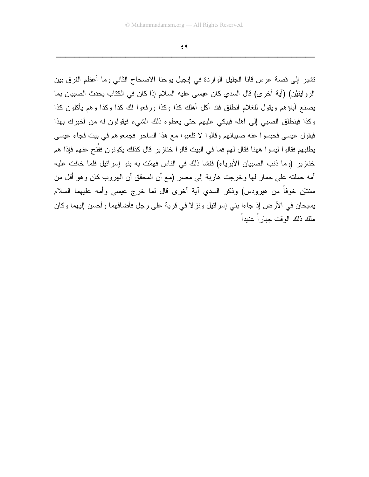$69$ 

نشير إلى قصة عرس قانا الجليل الواردة في إنجيل يوحنا الاصحاح الثاني وما أعظم الفرق بين الروايتيْن) (آية أخرى) قال السدي كان عيسى عليه السلام إذا كان في الكتاب يحدث الصبيان بما يصنع أباؤهم ويقول للغلام انطلق فقد أكل أهلك كذا وكذا ورفعوا لك كذا وكذا وهم يأكلون كذا وكذا فينطلق الصببي إلى أهله فيبكي عليهم حتى يعطوه ذلك الشيء فيقولون له من أخبرك بهذا فيقول عيسى فحبسوا عنه صبيانهم وقالوا لا نلعبوا مع هذا الساحر فجمعوهم في بيت فجاء عيسى يطلبهم فقالوا ليسوا ههنا فقال لهم فما في البيت قالوا خنازير قال كذلك يكونون ففُتح عنهم فإذا هم خنازير (وما ذنب الصبيان الأبرياء) ففشا ذلك في الناس فهمّت به بنو إسرائيل فلما خافت عليه أمه حملته على حمار لها وخرجت هاربة إلى مصر (مع أن المحقق أن الهروب كان وهو أقل من سننيْن خوفًا من هيرودس) وذكر السدي آية أخرى قال لما خرج عيسى وأمه عليهما السلام يسيحان في الأر ض إذ جاءا بني إسر ائيل و نز لا في قر ية علي ر جل فأضافهما و أحسن إليهما وكان ملك ذلك الو قت جبار اً عنبداً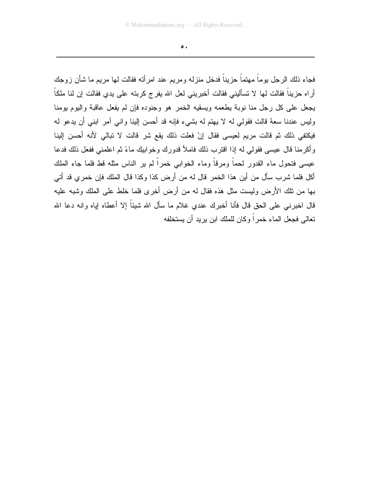$\bullet$ .

فجاء ذلك الرجل بوماً مهتماً حزيناً فدخل منزله ومريع عند امر أته فقالت لمها مريع ما شأن زوجك أراه حزيناً فقالت لها لا تسأليني فقالت أخبريني لعل الله يفرج كربته على يدي فقالت إن لنا ملكاً يجعل على كل رجل منا نوبة يطعمه ويسقيه الخمر هو وجنوده فإن لم يفعل عاقبة واليوم يومنا وليس عندنا سعة قالت فقولي له لا يهتم له بشيء فإنه قد أحسن إلينا واني آمر ابني أن يدعو له فيكتفي ذلك ثم قالت مريم لعيسى فقال إنْ فعلت ذلك يقع شر قالت لا تبالي لأنه أحسن إلينا وأكرمنا قال عيسى فقولي له إذا اقترب ذلك فاملأ قدورك وخوابيك ماءً ثم اعلمني ففعل ذلك فدعا عيسى فتحول ماء القدور لحماً ومرقاً وماء الخوابي خمراً لم ير الناس مثله قط فلما جاء الملك أكل فلما شرب سأل من أين هذا الخمر قال له من أرض كذا وكذا قال الملك فإن خمري قد أتى بـها من نلك الأرض وليست مثل هذه فقال له من أرض أخرى فلما خلط على الملك وشبه عليه قال اخبر نبي علي الحق قال فأنا أخبر ك عندي غلام ما سأل الله شيئاً إلا أعطاه إياه وانه دعا الله تعالى فجعل الماء خمر اً وكان للملك ابن بر بد أن بستخلفه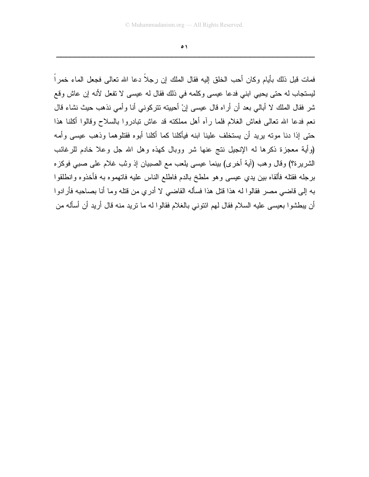$\bullet$ 

فمات قبل ذلك بأيام وكان أحب الخلق إليه فقال الملك إن رجلاً دعا الله تعالى فجعل الماء خمراً ليستجاب له حتى يحيى ابنى فدعا عيسى وكلمه في ذلك فقال له عيسى لا تفعل لأنه إن عاش وقع شر فقال الملك لا أبالي بعد أن أراه قال عيسى إنْ أحييته نتركوني أنا وأمي نذهب حيث نشاء قال نعم فدعا الله تعالى فعاش الغلام فلما رأه أهل مملكته قد عاش نبادروا بالسلاح وقالوا أكلنا هذا حتى إذا دنا موته بريد أن يستخلف علينا ابنه فيأكلنا كما أكلنا أبوه فقتلوهما وذهب عيسى وأمه (وأية معجزة ذكرها له الإنجيل نتج عنها شر ووبال كهذه وهل الله جل وعلا خادم للرغائب الشريرة؟) وقال وهب (آية أخرى) بينما عيسى يلعب مع الصبيان إذ وثب غلام على صبى فوكزه برجله فقتله فألقاه ببين يدي عيسى وهو ملطخ بالدم فاطلع الناس عليه فانهموه به فأخذوه وانطلقوا به إلى قاضي مصر فقالوا له هذا قتل هذا فسأله القاضي لا أدري من قتله وما أنا بصاحبه فأرادوا أن يبطشوا بعيسى عليه السلام فقال لمهم ائتوني بالغلام فقالوا له ما نريد منه قال أريد أن أسأله من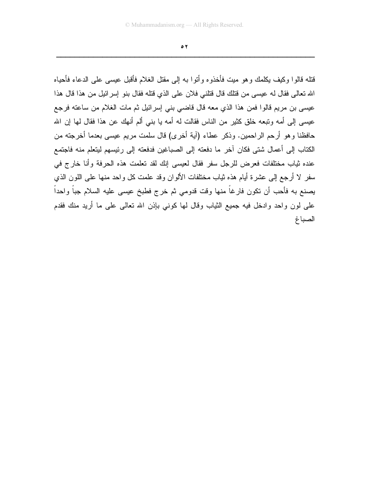$\bullet$   $\overline{Y}$ 

قتله قالوا وكيف يكلمك وهو ميت فأخذوه وأتوا به إلى مقتل الغلام فأقبل عيسى على الدعاء فأحياه الله تعالى فقال له عيسى من قتلك قال قتلني فلان على الذي قتله فقال بنو إسرائيل من هذا قال هذا عيسى بن مريم قالوا فمن هذا الذي معه قال قاضي بني إسرائيل ثم مات الغلام من ساعته فرجع عيسى إلى أمه ونبعه خلق كثير من الناس فقالت له أمه يا بني ألم أنهك عن هذا فقال لها إن الله حافظنا وهو أرحم الراحمين. وذكر عطاء (آية أخرى) قال سلمت مريع عيسى بعدما أخرجته من الكتاب إلى أعمال شتى فكان آخر ما دفعته إلى الصباغين فدفعته إلى رئيسهم ليتعلم منه فاجتمع عنده ثياب مختلفات فعرض للرجل سفر فقال لعيسى إنك لقد تعلمت هذه الحرفة وأنا خارج في سفر لا أرجع إلى عشرة أيام هذه ثياب مختلفات الألوان وقد علمت كل واحد منها على اللون الذي يصنع به فأحب أن تكون فارغاً منها وقت قدومي ثم خرج فطبخ عيسى عليه السلام جباً واحداً علَّى لون واحد وادخل فيه جميع الثياب وقال لها كونبي بإذن الله تعالى على ما أريد منك فقدم الصباغ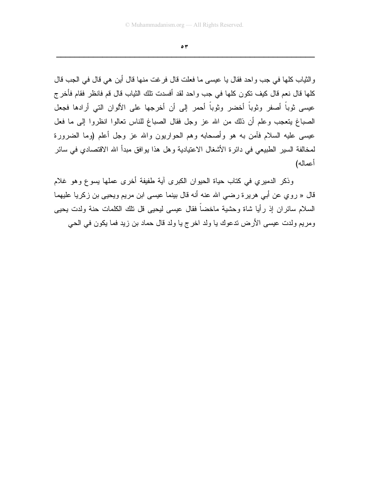$\circ$ 

والثياب كلها في جب واحد فقال يا عيسى ما فعلت قال فرغت منها قال أين هي قال في الجب قال كلها قال نعم قال كيف تكون كلها في جب واحد لقد أفسدت تلك الثياب قال قم فانظر فقام فأخرج عيسى ثوباً أصفر وثوباً أخضر وثوباً أحمر إلى أن أخرجها على الألوان التي أرادها فجعل الصباغ يتعجب وعلم أن ذلك من الله عز وجل فقال الصباغ للناس تعالوا انظروا إلى ما فعل عيسى عليه السلام فأمن به هو وأصحابه وهم الحواريون والله عز وجل أعلم (وما الضرورة لمخالفة السير الطبيعي في دائرة الأشغال الاعتيادية و هل هذا يوافق مبدأ الله الاقتصادي في سائر أعماله)

وذكر الدميري في كتاب حياة الحيوان الكبرى أية طفيفة أخرى عملها يسوع وهو غلام قال « روى عن أبي هريرة رضي الله عنه أنه قال بينما عيسى ابن مريم ويحيى بن زكريا عليهما السلام سائر ان إذ ر أيا شاة وحشية ماخضاً فقال عيسى ليحيى قل تلك الكلمات حنة ولدت يحيى ومريع ولدت عيسى الأرض ندعوك يا ولد اخرج يا ولد قال حماد بن زيد فما يكون في الحي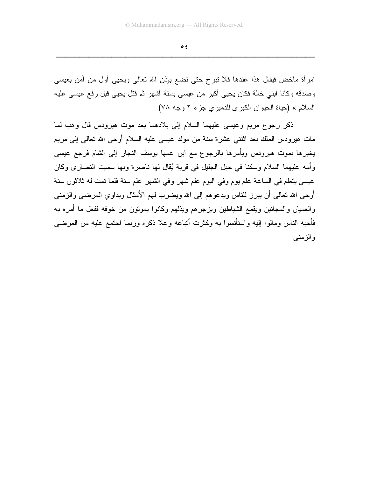$\bullet$  {

امرأة ماخض فيقال هذا عندها فلا نبرح حتى نضع بإذن الله نعالى ويحيى أول من آمن بعيسى وصدقه وكانا ابني خالة فكان يحيى أكبر من عيسى بستة أشهر ثم قتل يحيى قبل رفع عيسى عليه السلام » (حياة الحيوان الكبرى للدميري جزء ٢ وجه ٧٨)

ذكر رجوع مريع وعيسى عليهما السلام إلى بلادهما بعد موت هيرودس قال وهب لما مات هيرودس الملك بعد اثنتي عشرة سنة من مولد عيسى عليه السلام أوحى الله نعالى إلى مريم يخبرها بموت هيرودس ويأمرها بالرجوع مع ابن عمها بوسف النجار إلىي الشام فرجع عيسى وأمه عليهما السلام وسكنا في جبل الجليل في قرية يُقال لها ناصرة وبها سميت النصارى وكان عيسى يتعلَّم في الساعة علم يوم وفي اليوم علم شهر وفي الشهر علم سنة فلما تمت له ثلاثون سنة أوحى الله تعالى أن ببرز للناس ويدعوهم إلى الله ويضرب لهم الأمثال ويداوى المرضى والزمنى و العميان و المجانين ويقمع الشياطين ويز جر هم ويذلهم وكانوا يمونون من خوفه ففعل ما أمر ه بـه فأحبه الناس ومالوا إليه واستأنسوا به وكثرت أنباعه وعلا ذكره وربما اجتمع عليه من المرضى والزمنبي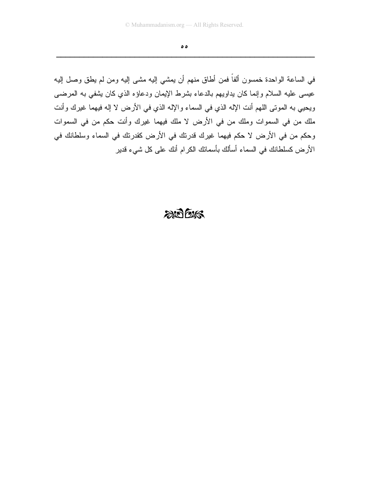$\bullet \bullet$ 

في الساعة الواحدة خمسون ألفاً فمن أطاق منهم أن يمشى إليه مشى إليه ومن لم يطق وصل إليه عيسى عليه السلام وإنما كان يداويهم بالدعاء بشرط الإيمان ودعاؤه الذي كان يشفى به المرضى ويحيي به الموتـى اللـهم أنت الإلـه الذي في السماء والإلـه الذي في الأرض لا إلـه فيهما غيرك وأنت ملك من في السموات وملك من في الأرض لا ملك فيهما غيرك وأنت حكم من في السموات وحكم من في الأرض لا حكم فيهما غيرك قدرتك في الأرض كقدرتك في السماء وسلطانك في الأرض كسلطانك في السماء أسألك بأسمائك الكرام أنك على كل شيء قدير

## $2075$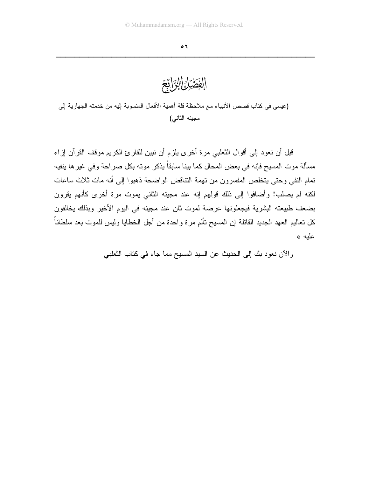الفَضّْيَانِ الْقِرَانِعَ

(عيسى في كتاب قصص الأنبياء مع ملاحظة قلة أهمية الأفعال المنسوبة إليه من خدمته الجهارية إلى مجيئه الثاني)

قبل أن نعو د إلى أقو ال الثعلبي مر ة أخر ي بلز م أن نبين للقار ئ الكر يم مو قف القر آن إز اء مسألة موت المسيح فإنه في بعض المحال كما بينا سابقاً يذكر مونه بكل صراحة وفي غيرها ينفيه تمام النفي وحتى يتخلص المفسرون من نهمة التناقض الواضحة ذهبوا إلى أنه مات ثلاث ساعات لكنه لم يصلب! وأضافوا إلى ذلك فولهم إنه عند مجيئه الثاني يموت مرة أخرى كأنهم يقرون بضعف طبيعته البشرية فيجعلونها عرضة لموت ثان عند مجيئه في اليوم الأخير وبذلك بخالفون كل نعاليم العهد الجديد القائلة إن المسيح نألم مرة واحدة من أجل الخطايا وليس للموت بعد سلطاناً علبه »

والآن نعود بك إلى الحديث عن السيد المسيح مما جاء في كتاب النعلبي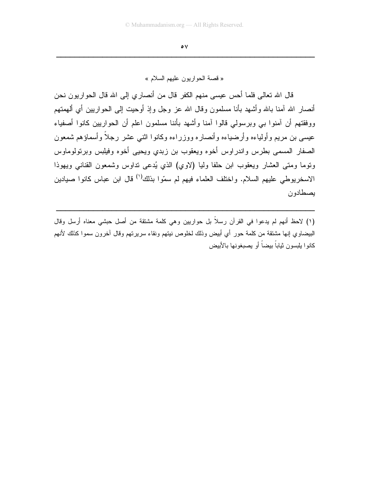$\bullet$  Y

« قصة الحواريون عليهم السلام »

قال الله تعالى فلما أحس عيسى منهم الكفر قال من أنصاري إلى الله قال الحواريون نحن أنصبار الله آمنا بالله و أشبهد بأنا مسلمون و قال الله عز و جل و إذ أو حيت إلى الحو ار بين أي ألمهمتهم ووفقتهم أن آمنوا ببي وبرسولمي قالوا آمنا وأشهد بأننا مسلمون اعلم أن الحواريين كانوا أصغياء عيسى بن مريع وأولياءه وأرضياءه وأنصار ه ووزراءه وكانوا اثنبي عشر رجلاً وأسماؤهم شمعون الصفار المسمى بطرس واندراوس أخوه ويعقوب بن زبدي ويحيى أخوه وفيلبس وبرنولوماوس ونوما ومتى العشار ويعقوب ابن حلفا وليا (لاوي) الذي يُدعى نداوس وشمعون القناني ويهوذا الاسخريوطي عليهم السلام. واختلف العلماء فيهم لم سمّوا بذلك<sup>(١)</sup> قال ابن عباس كانوا صيادين يصطادون

(١) لاحظ أنهم لم يدعوا في القرآن رسلاً بل حواريين وهي كلمة مشتقة من أصل حبشي معناه أرسل وقال البيضاوي إنها مشتقة من كلمة حور أي أبيض وذلك لخلوص نيتهم ونقاء سريرتهم وقال أخرون سموا كذلك لأنهم كانو ا بليسون شاباً ببضاً أو بصبغونها بالأبيض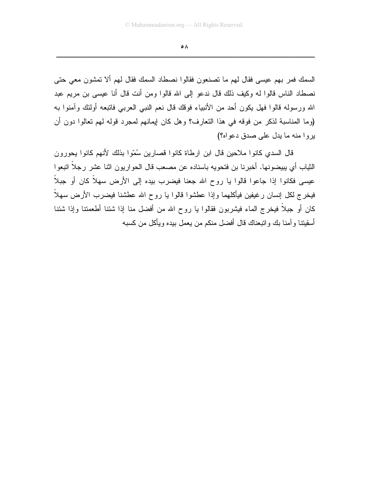$\circ \wedge$ 

السمك فمر بهم عيسى فقال لهم ما تصنعون فقالوا نصطاد السمك فقال لهم ألا تمشون معي حتى نصطاد الناس قالوا له وكيف ذلك قال ندعو إلى الله قالوا ومن أنت قال أنا عيسى بن مريع عبد الله ورسولـه قالوا فهل يكون أحد من الأنبياء فوقك قال نعم النبـي الـعربـي فاننبعه أولئك وآمنوا بـه (وما المناسبة لذكر من فوقه في هذا النعارف؟ وهل كان إيمانهم لمجرد قوله لهم نعالوا دون أن بروا منه ما بدل على صدق دعواه؟)

قال السدي كانوا ملاحين قال ابن ارطاة كانوا قصارين سُمّوا بذلك لأنهم كانوا يحورون الثياب أي يبيضونها. أخبرنا بن فتحويه باسناده عن مصعب قال الحواريون اثنا عشر رجلاً انبعوا عيسى فكانوا إذا جاعوا قالوا يا روح الله جعنا فيضرب بيده إلى الأرض سهلاً كان أو جبلاً فيخرج لكل إنسان رغيفين فيأكلهما وإذا عطشوا قالوا يا روح الله عطشنا فيضرب الأرض سهلاً كان أو جبلاً فيخرج الماء فيشربون فقالوا يا روح الله من أفضل منا إذا شئنا أطعمتنا وإذا شئنا أسقيتنا وآمنا بك واتبعناك قال أفضل منكم من يعمل بيده ويأكل من كسبه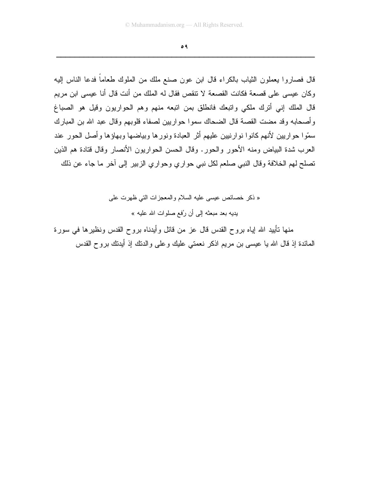$\circ$  ٩

قال فصاروا يعملون الثياب بالكراء قال ابن عون صنع ملك من الملوك طعاماً فدعا الناس إليه وكان عيسى على قصعة فكانت القصعة لا تتقص فقال له الملك من أنت قال أنا عيسى ابن مريم قال الملك إني أنزك ملكي وانبعك فانطلق بمن انبعه منهم وهم الحواريون وقيل هو الصباغ وأصحابه وقد مضت القصة قال الضحاك سموا حواريين لصفاء قلوبهم وقال عبد الله بن المبارك سمّوا حواريين لأنهم كانوا نوارنيين عليهم أثر العبادة ونورها وبياضها وبهاؤها وأصل الحور عند العرب شدة البياض ومنه الأحور والحور. وقال الحسن الحواريون الأنصار وقال قتادة هم الذين تصلح لهم الخلافة وقال النبي صلعم لكل نبي حواري وحواري الزبير إلى أخر ما جاء عن ذلك

> « ذكر خصائص عيسى عليه السلام والمعجزات التي ظهرت على يديه بعد مبعثه إلى أن رُفع صلوات الله عليه »

منـها نـأبيد الله لِيـاه بروح القدس قال عز من قائل وأيدنـاه بروح القدس ونظيرها فـي سورة المعائدة إذ قال الله يا عيسى بن مريع اذكر نعمتي عليك وعلى والدنك إذ أيدنك بروح القدس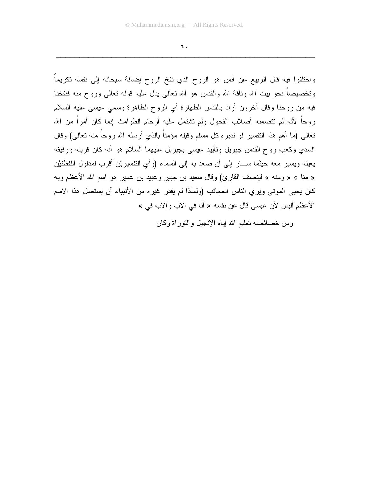$\mathbf{L}$ 

واختلفوا فيه قال الربيع عن أنس هو الروح الذي نفخ الروح إضافة سبحانه إلى نفسه تكريماً وتخصيصاً نحو بيت الله وناقة الله والقدس هو الله نعالمي يدل عليه قوله نعالمي وروح منه فنفخنا فيه من روحنا وقال أخرون أراد بالقدس الطهارة أي الروح الطاهرة وسمى عيسى عليه السلام روحاً لأنه لم نتضمنه أصلاب الفحول ولم نتثبتمل عليه أرحام الطوامث إنما كان أمراً من الله تعالى (ما أهم هذا التفسير لو ندبره كل مسلم وقبله مؤمناً بالذي أرسله الله روحاً منه نعالى) وقال السدى وكعب روح القدس جبريل ونأبيد عيسى بجبريل عليهما السلام هو أنه كان قرينه ورفيقه يعينه ويسير معه حيثما ســــار إلى أن صعد به إلى السماء (وأى التفسيربْن أقرب لمدلول اللفظتيْن « منا » « ومنه » لينصف القارئ) وقال سعيد بن جبير وعبيد بن عمير هو اسم الله الأعظم وبه كان يحيى الموتى ويري الناس العجائب (ولماذا لم يقدر غيره من الأنبياء أن يستعمل هذا الاسم الأعظم أليس لأن عيسى قال عن نفسه « أنا في الآب و الآب في »

ومن خصائصه تعليم الله اياه الإنجيل والنوراة وكان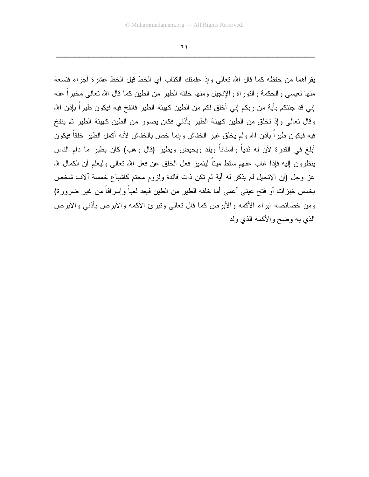$\mathcal{L}$ 

يقرأهما من حفظه كما قال الله نعالى وإذ علمتك الكتاب أي الخط قيل الخط عشرة أجزاء فتسعة منها لعيسى والحكمة والتوراة والإنجيل ومنها خلقه الطير من الطين كما قال الله تعالى مخبراً عنه إني قد جئتكم بآية من ربكم إني أخلق لكم من الطين كهيئة الطير فانفخ فيه فيكون طيراً بإذن الله وقال نعالى وإذ نخلق من الطين كهيئة الطير بأذنبي فكان يصور من الطين كهيئة الطير ثم ينفخ فيه فيكون طيراً بأذن الله ولم يخلق غير الخفاش وإنما خص بالخفاش لأنه أكمل الطير خلقاً فيكون أبلغ في القدرة لأن له ثدياً وأسناناً ويلد ويحيض ويطير (قال وهب) كان يطير ما دام الناس ينظرون إليه فإذا غاب عنهم سقط ميناً ليتميز فعل الخلق عن فعل الله نعالى وليعلم أن الكمال لله عز وجل (إن الإنجيل لم يذكر له آية لم نكن ذات فائدة ولزوم محتم كإشباع خمسة ألاف شخص بخمس خبزات أو فتح عيني أعمى أما خلقه الطير من الطين فيعد لعباً وإسرافاً من غير ضرورة) ومن خصائصه ابراء الأكمه والأبر ص كما قال تعالى ونبر ئ الأكمه والأبر ص بأذنبي والأبر ص الذي به وضح والأكمه الذي ولد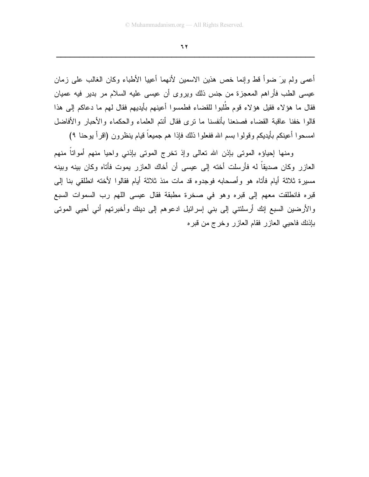77

أعمى ولم برَ ضوأ فط وإنما خص هذين الاسمين لأنهما أعيبا الأطباء وكان الغالب على زمان عيسى الطب فأراهم المعجزة من جنس ذلك ويروى أن عيسى عليه السلام مر بدير فيه عميان فقال ما هؤلاء فقيل هؤلاء قوم طُلبوا للقضاء فطمسوا أعينهم بأيديهم فقال لهم ما دعاكم إلى هذا قالوا خفنا عاقبة القضاء فصنعنا بأنفسنا ما نرى فقال أنتم العلماء والحكماء والأحبار والأفاضل امسحوا أعينكم بأيديكم وقولوا بسم الله ففعلوا ذلك فإذا هم جميعاً قيام ينظرون (اقرأ بوحنا ٩)

ومنها إحياؤه الموتبي بإذن الله تعالى وإذ تخرج الموتبي بإذنبي واحيا منهم أمواتا منهم العازر وكان صديقاً له فأرسلت أخته إلى عيسى أن أخاك العازر يموت فأتاه وكان بينه وبينه مسيرة ثلاثة أيام فأتاه هو وأصحابه فوجدوه قد مات منذ ثلاثة أيام فقالوا لأخته انطلقي بنا إلىي قبره فانطلقت معهم إلى قبره وهو في صخرة مطبقة فقال عيسى اللهم رب السموات السبع والأرضين السبع إنك أرسلتني إلى بني إسرائيل ادعوهم إلى دينك وأخبرتهم أني أحيي الموتى بإذنك فاحيى العازر فقام العازر وخرج من قبره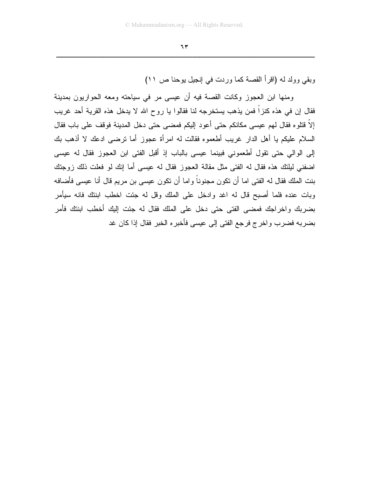$\mathbf{H}$ 

وبقى وولد له (اقرأ القصة كما وردت في إنجيل يوحنا ص ١١)

ومنها ابن العجوز وكانت القصة فيه أن عيسى مر في سياحته ومعه الحواريون بمدينة فقال إن في هذه كنزاً فمن يذهب يستخرجه لنا فقالوا يا روح الله لا يدخل هذه القرية أحد غريب إلاَّ فتلوه فقال لهم عيسى مكانكم حتى أعود إليكم فمضى حتى دخل المدينة فوقف على باب فقال السلام عليكم يا أهل الدار غريب أطعموه فقالت له امرأة عجوز أما نرضبي ادعك لا أذهب بك إلى الوالي حتى نقول أطعموني فبينما عيسى بالباب إذ أقبل الفتي ابن العجوز فقال له عيسى اضغني ليلتك هذه فقال له الفتي مثل مقالة العجوز فقال له عيسى أما إنك لو فعلت ذلك زوجتك بنت الملك فقال له الفتى اما أن تكون مجنوناً واما أن تكون عيسى بن مريم قال أنا عيسى فأضافه وبات عنده فلما أصبح قال له اغد وادخل على الملك وقل له جئت اخطب ابنتك فانه سيأمر بضر بك و اخر اجك فمضبي الفتي حتى دخل على الملك فقال له جئت إليك أخطب ابنتك فأمر بضربه فضرب واخرج فرجع الفتي إلى عيسى فأخبره الخبر فقال إذا كان غد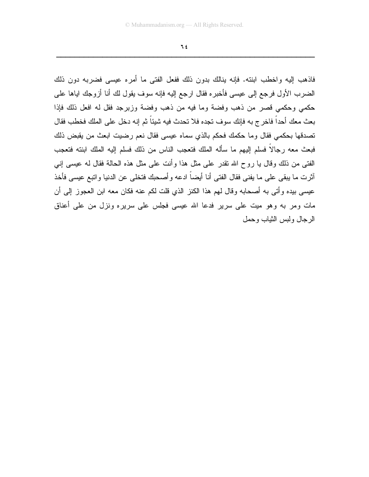$76$ 

فاذهب إليه واخطب ابنته. فإنه ينالك بدون ذلك ففعل الفتى ما أمره عيسى فضربه دون ذلك الضرب الأول فرجع إلى عيسى فأخبره فقال ارجع إليه فإنه سوف يقول لك أنا أزوجك اياها على حكمي وحكمي قصر من ذهب وفضة وما فيه من ذهب وفضة وزبرجد فقل له افعل ذلك فإذا بعث معك أحداً فاخر ج به فإنك سوف تجده فلا تحدث فيه شيئاً ثم إنه دخل على الملك فخطب فقال تصدقها بحكمي فقال وما حكمك فحكم بالذي سماه عيسى فقال نعم رضيت ابعث من يقبض ذلك فبعث معه رجالاً فسلم إليهم ما سأله الملك فتعجب الناس من ذلك فسلم إليه الملك ابنته فتعجب الفتي من ذلك وقال يا روح الله نقدر على مثل هذا وأنت على مثل هذه الحالة فقال له عيسى إني أثرت ما يبقى على ما يفني فقال الفتى أنا أيضاً ادعه وأصحبك فتخلى عن الدنيا واتبع عيسى فأخذ عيسى بيده وأتى به أصحابه وقال لهم هذا الكنز الذي قلت لكم عنه فكان معه ابن العجوز إلى أن مات ومر به وهو میت علّی سریر فدعا الله عیسی فجلس علی سریره ونزل من علی أعناق الرجال ولبس الثباب وحمل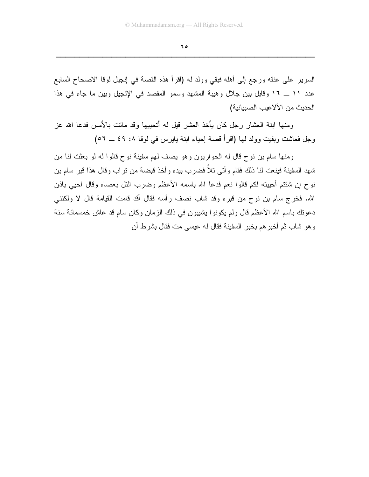ه ۲

السرير على عنقه ورجع إلى أهله فبقى وولد له (اقرأ هذه القصة في إنجيل لوقا الاصحاح السابع عدد ١١ ــ ١٦ وقابل بين جلال وهيبة المشهد وسمو المقصد في الإنجيل وبين ما جاء في هذا الحديث من الألاعيب الصبيانية)

ومنها ابنة العشار رجل كان يأخذ العشر قيل له أتحييها وقد ماتت بالأمس فدعا الله عز وجل فعاشت وبقيت وولد لها (اقرأ قصة إحياء ابنة يابرس في لوقا ١. ٤٩ ــ ٥٦)

ومنها سام بن نوح قال له الحواريون وهو يصف لهم سفينة نوح قالوا له لو بعثت لنا من شهد السفينة فينعت لنا ذلك فقام وأتبى تلاً فضرب بيده وأخذ قبضة من نراب وقال هذا قبر سام بن نوح إن شئتم أحييته لكم قالوا نعم فدعا الله باسمه الأعظم وضرب النل بعصاه وقال احيي باذن الله. فخرج سام بن نوح من قبره وقد شاب نصف رأسه فقال أقد قامت القيامة قال لا ولكنني دعونك باسم الله الأعظم قال ولم يكونوا يشيبون في ذلك الزمان وكان سام قد عاش خمسمائة سنة و هو شاب ثم أخبر هم بخبر السفينة فقال له عيسى مت فقال بشرط أن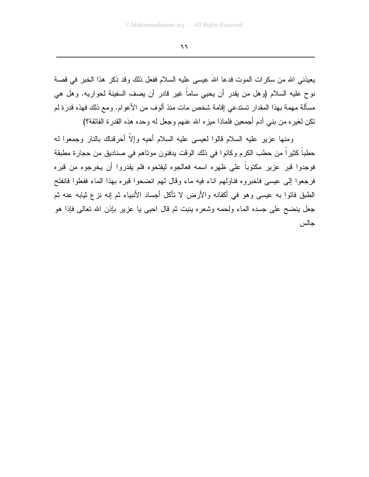٦٦

يعيذني الله من سكرات الموت فدعا الله عيسى عليه السلام ففعل ذلك وقد ذكر ٍ هذا الخبر ٍ في قصة نوح عليه السلام (وهل من يقدر أن يحيى ساماً غير قادر أن يصف السفينة لحواريه. وهل هي مسألة مهمة بهذا المقدار تستدعى إقامة شخص مات منذ ألوف من الأعوام. ومع ذلك فهذه قدرة لم نكن لغيره من بني أدم أجمعين فلماذا ميزه الله عنهم وجعل له وحده هذه القدرة الفائقة؟)

ومنها عزير عليه السلام قالوا لعيسى عليه السلام أحيه وإلاّ أحرقناك بالنار وجمعوا لـه حطباً كثيراً من حطب الكرم وكانوا في ذلك الوقت يدفنون موناهم في صناديق من حجارة مطبقة فوجدوا قبر عزير مكتوباً على ظهره اسمه فعالجوه ليفتحوه فلم يقدروا أن يخرجوه من قبره فرجعوا إلى عيسى فاخبروه فناولهم اناء فيه ماء وقال لهم انضحوا قبره بهذا الماء ففعلوا فانفتح الطبق فاتوا به عيسى وهو في أكفانه والأرض لا تأكل أجساد الأنبياء ثم إنه نزع ثيابه عنه ثم جعل ينضح على جسده الماء ولحمه وشعره ينبت ثم قال احيى يا عزير بإذن الله تعالى فإذا هو جالس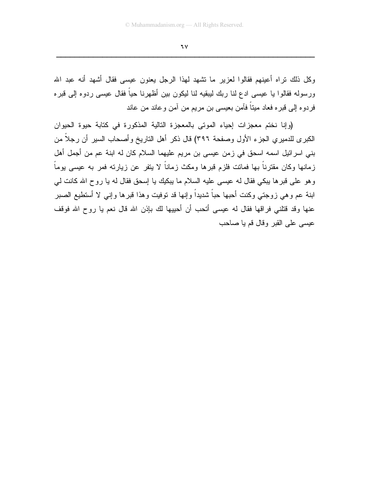$7<sup>y</sup>$ 

وكل ذلك نراه أعينهم فقالوا لعزير ما نشهد لهذا الرجل بعنون عيسى فقال أشهد أنه عبد الله ورسوله فقالوا يا عيسى ادع لنا ربك ليبقيه لنا ليكون بين أظهرنا حياً فقال عيسى ردوه إلى قبره فردوه إلى قبر ه فعاد ميتاً فآمن بعيسى بن مريم من آمن و عاند من عاند

(وإنا نختم معجزات إحياء الموتى بالمعجزة التالية المذكورة في كتابة حيوة الحيوان الكبرى للدميري الجزء الأول وصفحة ٣٩٦) قال ذكر أهل الناريخ وأصحاب السير أن رجلاً من بني اسرائيل اسمه اسحق في زمن عيسى بن مريم عليهما السلام كان له ابنة عم من أجمل أهل زمانها وكان مقترناً بها فماتت فلزم قبرها ومكث زماناً لا يتفر عن زيارته فمر به عيسى يوماً وهو على قبرها يبكي فقال له عيسى عليه السلام ما يبكيك يا إسحق فقال له يا روح الله كانت لي ابنة عم وهي زوجتي وكنت أحبها حباً شديداً وإنها قد توفيت وهذا قبرها وإني لا أستطيع الصبر عنها وقد قتلني فراقها فقال له عيسى أتحب أن أحييها لك بإذن الله قال نعم يا روح الله فوقف عيسى على القبر وقال قم يا صاحب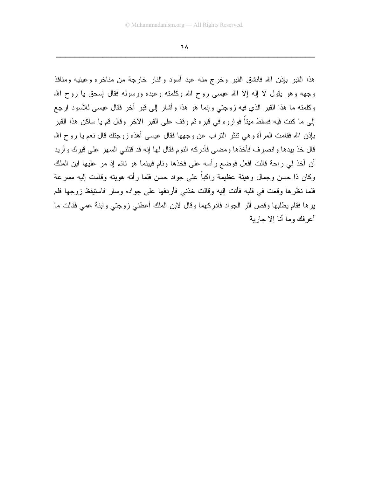٦٨

هذا القبر بإذن الله فانشق القبر وخرج منه عبد أسود والنار خارجة من مناخره وعينيه ومنافذ وجهه وهو يقول لا إله إلا الله عيسى روح الله وكلمته وعبده ورسوله فقال إسحق يا روح الله وكلمته ما هذا القبر الذي فيه زوجتي وإنما هو هذا وأشار إلى قبر أخر فقال عيسى للأسود ارجع إلى ما كنت فيه فسقط ميتاً فواروه في قبره ثم وقف على القبر الآخر وقال قم يا ساكن هذا القبر بإذن الله فقامت المرأة وهي نتثر النراب عن وجهها فقال عيسى أهذه زوجتك قال نعم يا روح الله قال خذ بيدها وانصرف فأخذها ومضبي فأدركه النوم فقال لها إنه قد قتلني السهر على قبرك وأريد أن آخذ لي راحة قالت افعل فوضع رأسه على فخذها ونام فبينما هو نائم إذ مر عليها ابن الملك وكان ذا حسن وجمال وهيئة عظيمة راكباً على جواد حسن فلما رأته هويته وقامت إليه مسر عة فلما نظرها وقعت في قلبه فأنت إليه وقالت خذني فأردفها على جواده وسار فاستيقظ زوجها فلم ير ها فقام بطلبها وقص أثر الجو اد فادر كهما و قال لابن الملك أعطني ز و جتى و ابنة عمى فقالت ما أعر فك وما أنا إلا جاربة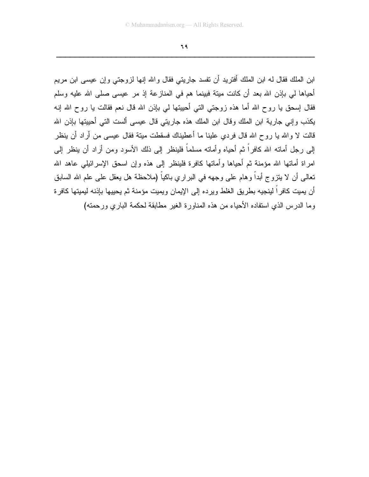٦٩

ابن الملك فقال له ابن الملك أفتريد أن نفسد جاريتي فقال والله إنها لزوجتي وإن عيسى ابن مريم أحياها لي بإذن الله بعد أن كانت مينة فبينما هم في المنازعة إذ مر عيسى صلى الله عليه وسلم فقال إسحق يا روح الله أما هذه زوجتي التي أحييتها لي بإذن الله قال نعم فقالت يا روح الله إنـه يكذب وإنبي جارية ابن الملك وقال ابن الملك هذه جاريتي قال عيسى ألست التبي أحييتها بإذن الله قالت لا والله يا روح الله قال فردي علينا ما أعطيناك فسقطت ميتة فقال عيسى من أراد أن ينظر إلى رجل أماته الله كافراً ثم أحياه وأماته مسلماً فلينظر إلى ذلك الأسود ومن أراد أن ينظر إلى امراة أماتها الله مؤمنة ثم أحياها وأماتها كافرة فلينظر إلى هذه وإن اسحق الإسرائيلي عاهد الله نعالمي أن لا ينزوج أبداً وهام على وجهه في البر اري باكياً (ملاحظة هل يعقل على علم الله السابق أن يميت كافراً لينجيه بطريق الغلط ويرده إلى الإيمان ويميت مؤمنة ثم يحييها بإذنه ليميتها كافرة وما الدر س الذي استفاده الأحياء من هذه المناورة الغير مطابقة لحكمة الباري ورحمته)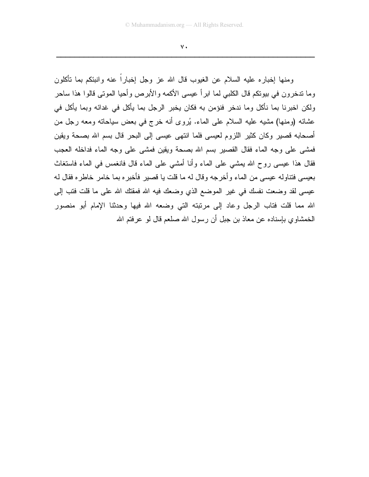$V \cdot$ 

ومنها إخباره عليه السلام عن الغيوب قال الله عز وجل إخباراً عنه وإنبئكم بما تأكلون وما ندخرون في بيونكم قال الكلبي لما ابر أ عيسى الأكمه والأبرص وأحيا المونبي قالوا هذا ساحر ولكن اخبرنا بما نأكل وما ندخر فنؤمن به فكان يخبر الرجل بما يأكل في غدائه وبما يأكل في عشائه (ومنها) مشبه عليه السلام على الماء. يُروى أنه خرج في بعض سياحاته ومعه رجل من أصحابه قصير وكان كثير اللزوم لعيسى فلما انتهى عيسى إلى البحر قال بسم الله بصحة ويقين فمشى على وجه الماء فقال القصير بسم الله بصحة ويقين فمشى على وجه الماء فداخله العجب فقال هذا عيسى روح الله بمشى على الماء وأنا أمشى على الماء قال فانغمس في الماء فاستغاث بعيسى فتناوله عيسى من الماء وأخرجه وقال له ما قلت يا قصير فأخبره بما خامر خاطره فقال له عيسى لقد وضعت نفسك في غير الموضع الذي وضعك فيه الله فمقتك الله على ما قلت فتب إلى الله مما قلت فتاب الرجل وعاد إلى مرتبته التي وضعه الله فيها وحدثنا الإمام أبو منصور الخمشاوي بإسناده عن معاذ بن جبل أن رسول الله صلعم قال لو عرفتم الله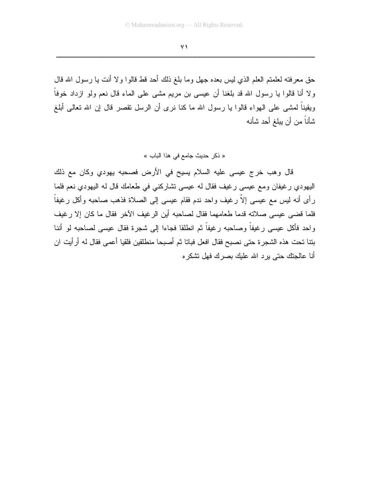حق معرفته لعلمتم العلم الذي ليس بعده جهل وما بلغ ذلك أحد قط قالوا ولا أنت يا رسول الله قال ولا أنا قالوا با رسول الله قد بلغنا أن عيسى بن مريع مشى على الماء قال نعم ولو ازداد خوفاً ويقيناً لمشي على الهواء قالوا يا رسول الله ما كنا نرى أن الرسل نقصر قال إن الله تعالى أبلغ شأناً من أن يبلغ أحد شأنه

« ذكر حديث جامع في هذا الباب »

قال وهب خرج عيسى عليه السلام يسيح في الأرض فصحبه يهودي وكان مع ذلك اليهودي رغيفان ومع عيسى رغيف فقال له عيسى نشاركني في طعامك قال له اليهودي نعم فلما رأى أنه ليس مع عيسى إلاَّ رغيف واحد ندم فقام عيسى إلى الصلاة فذهب صاحبه وأكل رغيفاً فلما فضي عيسى صلاته قدما طعامهما فقال لصاحبه أين الرغيف الآخر فقال ما كان إلا رغيف واحد فأكل عيسى رغيفاً وصاحبه رغيفاً ثم انطلقا فجاءا إلى شجرة فقال عيسى لصاحبه لو أننا بنتا تحت هذه الشجرة حتى نصبح فقال افعل فباتا ثم أصبحا منطلقين فلقيا أعمى فقال له أرأيت ان أنا عالجتك حتى برد الله عليك بصرك فهل نشكر ه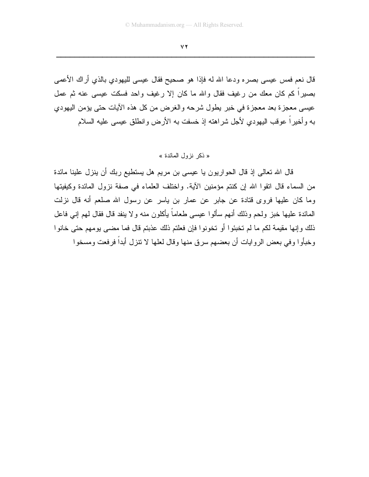$YY$ 

قال نعم فمس عيسى بصره ودعا الله له فإذا هو صحيح فقال عيسى لليهودي بالذي أراك الأعمى بصبراً كم كان معك من رغيف فقال والله ما كان إلا رغيف واحد فسكت عيسى عنه ثم عمل عيسى معجزة بعد معجزة في خبر يطول شرحه والغرض من كل هذه الأيات حتى يؤمن اليهودي به وأخيراً عوقب اليهودي لأجل شراهته إذ خسفت به الأرض وانطلق عيسى عليه السلام

#### « ذكر نزول المائدة »

قال الله تعالى إذ قال الحواريون يا عيسى بن مريم هل يستطيع ربك أن ينزل علينا مائدة من السماء قال انقوا الله إن كنتم مؤمنين الآية. واختلف العلماء في صفة نزول المائدة وكيفيتها وما كان عليها فروى قتادة عن جابر عن عمار بن ياسر عن رسول الله صلعم أنه قال نزلت المعائدة عليها خبز ولحم وذلك أنهم سألوا عيسى طعاماً بأكلون منه ولا ينفد قال فقال لمهم إنبي فاعل ذلك وإنها مقيمة لكم ما لم تخبئوا أو تخونوا فإن فعلتم ذلك عذبتم قال فما مضبي يومهم حتى خانوا وخبأوا وفي بعض الروايات أن بعضهم سرق منها وقال لعلها لا نتزل أبداً فرفعت ومسخو ا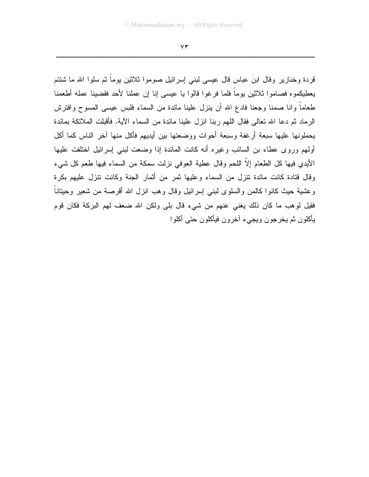$YY$ 

قردة وخنازير وقال ابن عباس قال عيسى لبني إسرائيل صوموا ثلاثين بوماً ثم سلوا الله ما شئتم يعطيكموه فصاموا ثلاثين بوماً فلما فرغوا قالوا يا عيسى إنا إن عملنا لأحد فقضينا عمله أطعمنا طعاماً وانا صمنا وجعنا فادع الله أن ينزل علينا مائدة من السماء فلبس عيسى المسوح وافترش الرماد ثم دعا الله تعالى فقال اللهم ربنا انزل علينا مائدة من السماء الآية. فأقبلت الملائكة بمائدة يحملونها عليها سبعة أرغفة وسبعة أحوات ووضعتها بين أيديهم فأكل منها آخر الناس كما أكل أولهم وروى عطاء بن السائب وغيره أنه كانت المائدة إذا وضعت لبنى إسرائيل اختلفت عليها الأيدي فيها كل الطعام إلاَّ اللحم وقال عطية العوفي نزلت سمكة من السماء فيها طعم كل شيء وقال قتادة كانت مائدة نتزل من السماء وعليها ثمرٍ من أثمارٍ الجنة وكانت نتزل عليهم بكرة وعشية حيث كانوا كالمن والسلوى لبنبي إسرائيل وقال وهب انزل الله أقرصة من شعير وحيتاناً فقيل لوهب ما كان ذلك يغني عنهم من شيء قال بلي ولكن الله ضعف لهم البركة فكان قوم يأكلون ثم يخرجون ويجيء آخرون فيأكلون حتى أكلوا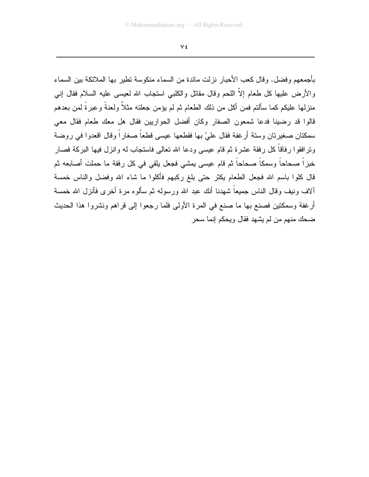V £

بأجمعهم وفضل. وقال كعب الأحبار نزلت مائدة من السماء منكوسة تطير بها الملائكة بين السماء والأرض عليها كل طعام إلاَّ اللحم وقال مقاتل والكلبي استجاب الله لعيسى عليه السلام فقال إنبي منزلـها عليكم كمـا سألنم فمن أكل من ذلك الطـعام ثم لم يؤمن جعلنـه مثـلاً ولـعنـةً وعبرةً لمن بـعدهم قالوا قد رضينا فدعا شمعون الصفار وكان أفضل الحواريين فقال هل معك طعام فقال معي سمكتان صغيرنان وسنة أرغفة فقال عليّ بها فقطعها عيسى قطعاً صغاراً وقال اقعدوا في روضة ونرافقوا رفاقاً كل رفقة عشرة ثم قام عيسى ودعا الله نعالمي فاستجاب له وانزل فيها البركة فصار خبزاً صحاحاً وسمكاً صحاحاً ثم قام عيسى يمشى فجعل يلقى في كل رفقة ما حملت أصابعه ثم قال كلوا باسم الله فجعل الطعام يكثر حتى بلغ ركبهم فأكلوا ما شاء الله وفضل والناس خمسة ألاف ونيف وقال الناس جميعاً شهدنا أنك عبد الله ورسوله ثم سألوه مرة أخرى فأنزل الله خمسة أرغفة وسمكتين فصنع بها ما صنع في المرة الأولى فلما رجعوا إلى قراهم ونشروا هذا الحديث ضحك منهم من لم يشهد فقال ويحكم إنما سحر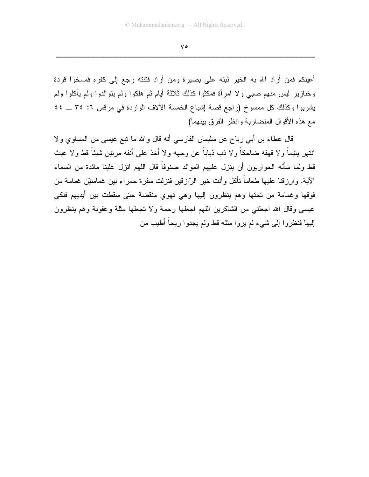$V \circ$ 

أعينكم فمن أراد الله به الخير ثبته على بصيرة ومن أراد فتنته رجع إلى كفره فمسخوا قردة وخنازير ليس منهم صببي ولا امرأة فمكثوا كذلك ثلاثة أيام ثم هلكوا ولم يتوالدوا ولم يأكلوا ولم يشربوا وكذلك كل ممسوخ (راجع قصة إشباع الخمسة الألاف الواردة في مرفس ٦: ٣٤ \_ ٤٤ مع هذه الأقوال المتضاربة وانظر الفرق بينهما)

قال عطاء بن أبي رباح عن سليمان الفارسي أنه قال والله ما نبع عيسى من المساوي ولا انتهر بنيماً ولا قهقه ضاحكاً ولا ذب ذباباً عن وجهه ولا أخذ على أنفه مرنين شببًاً قط ولا عبث قط ولما سأله الحواريون أن ينزل عليهم الموائد صنوفاً قال اللهم انزل علينا مائدة من السماء الآية. وارزقنا عليها طعاماً نأكل وأنت خير الرّازقين فنزلت سفرة حمراء بين غمامتيْن غمامة من فوقها وغمامة من تحتها وهم ينظرون إليها وهي تهوي منقضة حتى سقطت بين أيديهم فبكي عيسى وقال الله اجعلني من الشاكرين اللهم اجعلها رحمة ولا تجعلها مثلة وعقوبة وهم ينظرون إليها فنظروا إلى شيء لم يروا مثله قط ولم يجدوا ريحاً أطيب من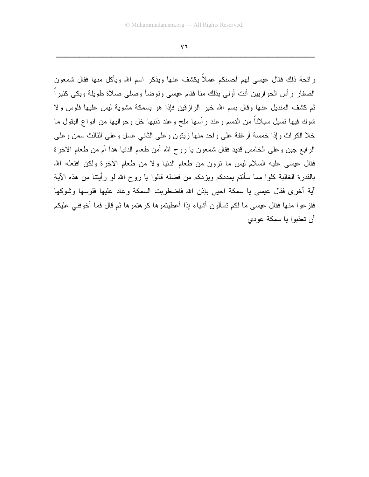$\vee$   $\vee$ 

ر ائحة ذلك فقال عيسى لـهم أحسنكم عملاً يكشف عنـها ويذكر اسم الله ويأكل منـها فقال شمعون الصفار رأس الحواريين أنت أولى بذلك منا فقام عيسى وتوضأ وصلى صلاة طويلة وبكى كثيراً ثم كشف المنديل عنها وقال بسم الله خير الرازقين فإذا هو بسمكة مشوية ليس عليها فلوس ولا شوك فيها تسيل سيلاناً من الدسم وعند رأسها ملح وعند ذنبها خل وحواليها من أنواع البقول ما خلا الكراث وإذا خمسة أرغفة على واحد منها زينون وعلى الثاني عسل وعلى الثالث سمن وعلى الرابع جبن وعلى الخامس قديد فقال شمعون يا روح الله أمن طعام الدنيا هذا أم من طعام الأخرة فقال عيسى عليه السلام ليس ما نرون من طعام الدنيا ولا من طعام الأخرة ولكن افتعله الله بالقدرة الغالبة كلوا مما سألتم بمددكم ويزدكم من فضله قالوا يا روح الله لو رأيتنا من هذه الأية آية أخرى فقال عيسى يا سمكة احيى بإذن الله فاضطربت السمكة وعاد عليها فلوسها وشوكها ففز عو ا منها فقال عيسى ما لكم تسألون أشياء إذا أعطيتمو ها كر هتمو ها ثم قال فما أخوفني عليكم أن تعذبوا با سمكة عودي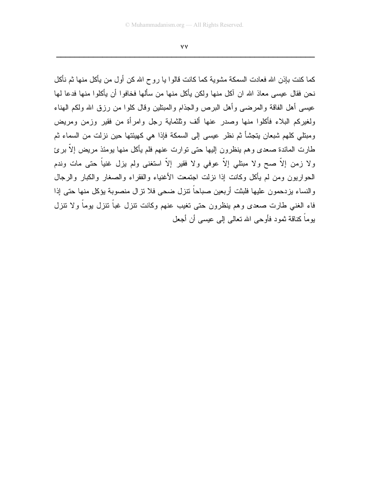٧V

كما كنت بإذن الله فعادت السمكة مشوية كما كانت قالوا يا روح الله كن أول من يأكل منها ثم نأكل نحن فقال عيسى معاذ الله ان أكل منها ولكن يأكل منها من سألها فخافوا أن يأكلوا منها فدعا لها عيسى أهل الفاقة والمرضى وأهل البرص والجذام والمبتلين وقال كلوا من رزق الله ولكم الهناء ولغيركم البلاء فأكلوا منها وصدر عنها ألف وثلثماية رجل وامرأة من فقير وزمن ومريض ومبتلى كلهم شبعان يتجشأ ثم نظر عيسى إلى السمكة فإذا هي كهيئتها حين نزلت من السماء ثم طارت المائدة صعدي وهم ينظرون إليها حتى توارت عنهم فلم يأكل منها يومئذ مريض إلا برئ ولا زمن إلاَّ صح ولا مبتلى إلاَّ عوفي ولا فقير إلاَّ استغنى ولم يزل غنياً حتى مات وندم الحواريون ومن لم يأكل وكانت إذا نزلت اجتمعت الأغنياء والفقراء والصغار والكبار والرجال والنساء بزدحمون عليها فلبثت أربعين صباحاً نتزل ضحى فلا نزال منصوبة بؤكل منها حتى إذا فاء الغنبي طارت صعدي وهم ينظرون حتى تغيب عنهم وكانت نتزل غباً نتزل بوماً ولا نتزل يوماً كناقة ثمود فأوجى الله تعالى إلى عيسى أن أجعل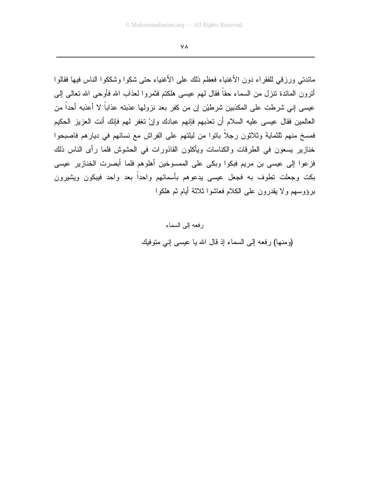٧٨

مائدتي ورزقي للفقراء دون الأغنياء فعظم ذلك على الأغنياء حتى شكوا وشككوا الناس فيها فقالوا أنرون المائدة نتزل من السماء حقاً فقال لمهم عيسى هلكتم فثمروا لعذاب الله فأوحى الله نعالى إلى عيسى إني شرطت على المكذبين شرطيْن إن من كفر بعد نزولها عذبته عذاباً لا أعذبه أحداً من العالمين فقال عيسى عليه السلام أن تعذبهم فإنهم عبادك وإنْ تغفر لمهم فإنك أنت العزيز الحكيم فَمَسَخٍ مَنَّهُم تَلْثَمَايَة وثْلاَثُون رِجِلاً بِاتوا مِن لَيْلِتَهُم عَلَى الْفَرَاشْ مع نسائهم في ديارهم فاصبحوا خنازير يسعون في الطرقات والكناسات ويأكلون القاذورات في الحشوش فلما رأى الناس ذلك فزعوا إلى عيسى بن مريم فبكوا وبكى على الممسوخين أهلوهم فلما أبصرت الخنازير عيسى بکت وجعلت نطوف به فجعل عيسى يدعوهم بأسمائهم واحداً بعد واحد فيبكون ويشيرون برؤوسهم ولا يقدرون على الكلام فعاشوا ثلاثة أيام ثم هلكوا

> رفعه إلى السماء (ومنها) رفعه إلى السماء إذ قال الله يا عيسى إني متوفيك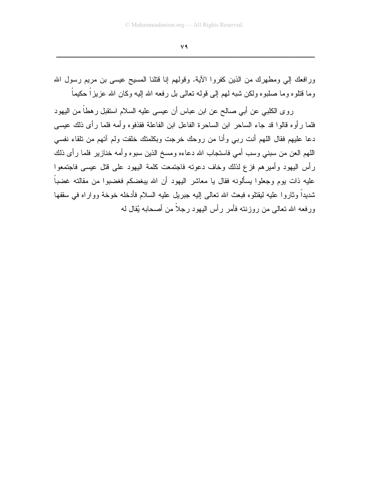ورافعك إلى ومطهرك من الذين كفروا الأية. وقولهم إنا فتلنا المسيح عيسى بن مريم رسول الله وما قتلوه وما صلبوه ولكن شبه لهم إلى قوله تعالى بل رفعه الله إليه وكان الله عزيزاً حكيماً

روى الكلبي عن أبي صالح عن ابن عباس أن عيسى عليه السلام استقبل رهطاً من اليهود فلما رأوه قالوا قد جاء الساحر ابن الساحرة الفاعل ابن الفاعلة فقذفوه وأمه فلما رأى ذلك عيسى دعا عليهم فقال اللهم أنت رببي وأنا من روحك خرجت وبكلمتك خلقت ولم آتهم من تلقاء نفسي اللهم العن من سبني وسب أمي فاستجاب الله دعاءه ومسخ الذين سبوه وأمه خنازير فلما رأى ذلك رأس اليهود وأميرهم فزع لذلك وخاف دعونه فاجتمعت كلمة اليهود على قتل عيسى فاجتمعوا عليه ذات بوم وجعلوا بسألونه فقال يا معاشر اليهود أن الله ببغضكم فغضبوا من مقالته غضباً شديداً وثاروا عليه ليقتلوه فبعث الله تعالى إليه جبريل عليه السلام فأدخله خوخة وواراه في سقفها ورفعه الله نعالى من روزننه فأمر رأس البهود رجلاً من أصحابه بُقال له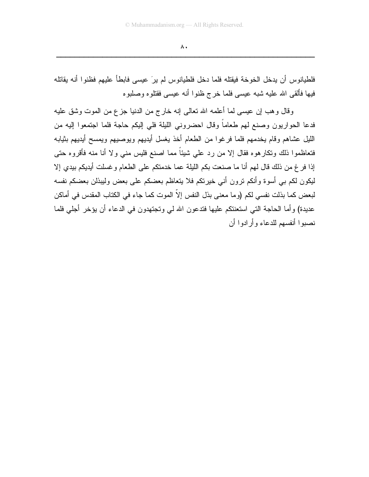فلطيانوس أن يدخل الخوخة فيقتله فلما دخل فلطيانوس لم يرَ عيسى فابطأ عليهم فظنوا أنه يقاتله فيها فألقى الله عليه شبه عيسى فلما خرج ظنوا أنه عيسى فقتلوه وصلبوه

وقال وهب إن عيسى لما أعلمه الله نعالى إنه خارج من الدنيا جزع من الموت وشق عليه فدعا الحواريون وصنع لهم طعاماً وقال احضروني الليلة فلي إليكم حاجة فلما اجتمعوا إليه من الليل عشاهم وقام يخدمهم فلما فرغوا من الطعام أخذ يغسل أيديهم ويوصيهم ويمسح أيديهم بثيابه فتعاظموا ذلك ونكارهوه فقال إلا من رد علي شيئاً مما اصنع فليس منـي ولا أنا منه فأقروه حتـى إذا فرغ من ذلك قال لهم أنا ما صنعت بكم الليلة عما خدمتكم على الطعام وغسلت أيديكم بيدي إلا ليكون لكم ببي أسوة وأنكم نرون أنبي خيرنكم فلا يتعاظم بعضكم علىي بعض وليبذلن بعضكم نفسه لبعض كما بذلت نفسي لكم (وما معنى بذل النفس إلاّ الموت كما جاء في الكتاب المقدس في أماكن عديدة) وأما الحاجة التي استعنتكم عليها فتدعون الله لمي وتجتهدون في الدعاء أن يؤخر أجلي فلما نصبوا أنفسهم للدعاء وأرادوا أن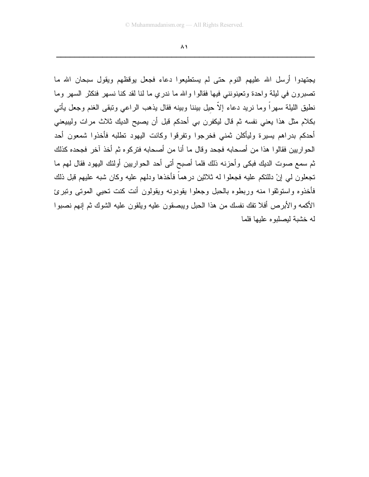$\lambda$ 

يجتهدوا أرسل الله عليهم النوم حتى لم يستطيعوا دعاء فجعل يوقظهم ويقول سبحان الله ما تصبرون في ليلة واحدة وتعينونني فيها فقالوا والله ما ندري ما لنا لقد كنا نسهر فنكثر السهر وما نطيق الليلة سهراً وما نريد دعاء إلاَّ حيل بيننا وبينه فقال يذهب الراعي وتبقى الغنم وجعل يأتـي بكلام مثل هذا يعني نفسه ثم قال ليكفرن بي أحدكم قبل أن يصيح الديك ثلاث مرات وليبيعني أحدكم بدراهم يسيرة وليأكلن ثمني فخرجوا ونفرقوا وكانت اليهود تطلبه فأخذوا شمعون أحد الحواريين فقالوا هذا من أصحابه فجحد وقال ما أنا من أصحابه فتركوه ثم أخذ آخر فجحده كذلك ثم سمع صوت الديك فبكي وأحزنه ذلك فلما أصبح أتي أحد الحواريين أولئك اليهود فقال لهم ما تجعلون لمي إنْ دللتكم عليه فجعلوا له ثلاثين درهماً فأخذها ودلهم عليه وكان شبه عليهم قبل ذلك فأخذوه واستوثقوا منه وربطوه بالحبل وجعلوا يقودونه ويقولون أنت كنت تحيى الموتى وتبرئ الأكمه والأبر ص أفلا تفك نفسك من هذا الحبل ويبصقون عليه ويلقون عليه الشوك ثم إنهم نصبوا له خشبة لبصلبو ه علبها فلما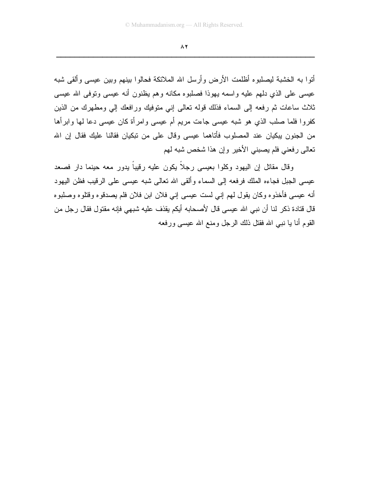أنوا به الخشبة ليصلبوه أظلمت الأرض وأرسل الله الملائكة فحالوا بينهم وبين عيسى وألقى شبه عيسى على الذي دلهم عليه واسمه يهوذا فصلبوه مكانه وهم يظنون أنه عيسى وتوفى الله عيسى ثلاث ساعات ثم رفعه إلى السماء فذلك فوله تعالى إني متوفيك ورافعك إلى ومطهرك من الذين كفروا فلما صلب الذي هو شبه عيسى جاءت مريم أم عيسى وامرأة كان عيسى دعا لها وابرأها من الجنون ببكيان عند المصلوب فأتاهما عيسى وفال على من نبكيان فقالنا عليك فقال إن الله تعالى رفعني فلم بصبني الأخير وإن هذا شخص شبه لهم

وقال مقاتل إن اليهود وكلوا بعيسى رجلًا يكون عليه رقيباً يدور معه حينما دار فصعد عيسى الجبل فجاءه الملك فرفعه إلى السماء وألقى الله تعالى شبه عيسى على الرقيب فظن اليهود أنه عيسى فأخذوه وكان يقول لهم إنبي لست عيسى إنبي فلان ابن فلان فلم يصدقوه وقتلوه وصلبوه قال قتادة ذكر لذا أن نبي الله عيسى قال لأصحابه أيكم يقذف عليه شبهي فإنه مقتول فقال ر جل من القوم أنا يا نبي الله فقتل ذلك الرجل ومنع الله عيسى ورفعه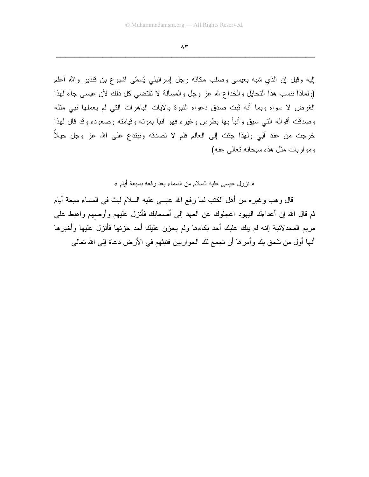إليه وقيل إن الذي شبه بعيسى وصلب مكانه رجل إسرائيلي يُسمّى اشيوع بن قندير والله أعلم (ولماذا ننسب هذا التحايل والخداع لله عز وجل والمسألة لا تقتضبي كل ذلك لأن عيسى جاء لهذا الغرض لا سواه وبما أنه ثبت صدق دعواه النبوة بالأيات الباهرات النبي لم يعملها نبي مثله وصدقت أقواله النبي سبق وأنبأ بها بطرس وغيره فهو أنبأ بمونه وقيامنه وصعوده وقد قال لهذا خرجت من عند أبي ولهذا جئت إلى العالم فلم لا نصدقه ونبتدع على الله عز وجل حيلاً ومواربات مثل هذه سبحانه تعالمي عنه)

« نزول عيسى عليه السلام من السماء بعد رفعه بسبعة أبام »

قال وهب وغيره من أهل الكتب لما رفع الله عيسى عليه السلام لبث في السماء سبعة أيام ثم قال الله إن أعداءك البهود اعجلوك عن العهد إلى أصحابك فأنزل عليهم وأوصهم واهبط على مريم المجدلانية إانه لم يبك عليك أحد بكاءها ولم يحزن عليك أحد حزنها فأنزل عليها وأخبرها أنها أول من نلحق بك وأمر ها أن نجمع لك الحواريين فتبثهم في الأرض دعاة إلى الله نعالى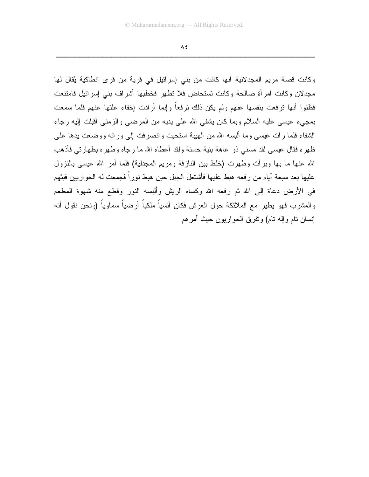$\Lambda$ £

وكانت قصبة مريم المجدلانية أنها كانت من بني إسرائيل في قرية من قرى انطاكية يُقال لها مجدلان وكانت امرأة صالحة وكانت تستحاض فلا نطهر فخطبها أشراف بنبي إسرائيل فامتنعت فظنوا أنها نرفعت بنفسها عنهم ولم يكن ذلك نرفعاً وإنما أرادت إخفاء علتها عنهم فلما سمعت بمجيء عيسى عليه السلام وبما كان يشفى الله على يديه من المرضى والزمنى أقبلت إليه رجاء الشفاء فلما رأت عيسى وما ألبسه الله من الهيبة استحيت وانصرفت إلى ورائه ووضعت بدها على ظهره فقال عيسى لقد مسنى ذو عاهة بنية حسنة ولقد أعطاه الله ما رجاه وطهره بطهارتي فأذهب الله عنها ما بها وبرأت وطهرت (خلط بين النازفة ومريع المجدلية) فلما أمر الله عيسى بالنزول عليها بعد سبعة أيام من ر فعه هبط عليها فأشتعل الجبل حين هبط نور اً فجمعت له الحو ار بين فبثهم في الأرض دعاة إلى الله ثم رفعه الله وكساه الريش وألبسه النور وقطع منه شهوة المطعم و المشر ب فهو يطير مع الملائكة حول العر ش فكان أنسياً ملكياً أر ضياً سماوياً (و نحن نقول أنه إنسان نام وإله نام) ونفرق الحواريون حيث أمرهم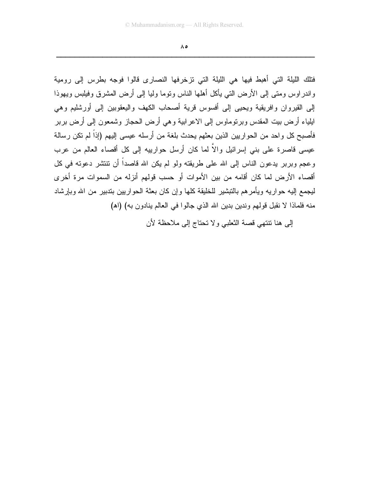$\Lambda$ ٥

فتلك الليلة التي أهبط فيها هي الليلة التي تزخرفها النصارى قالوا فوجه بطرس إلى رومية و اندر اوس ومتى إلى الأرض التي يأكل أهلها الناس وتوما وليا إلى أرض المشرق وفيلبس ويهوذا إلى القيروان وافريقية ويحيى إلى أفسوس قرية أصحاب الكهف واليعقوبين إلى أورشليم وهي ايلياء أرض بيت المقدس وبرنوماوس إلى الاعرابية وهي أرض الحجاز وشمعون إلى أرض بربر فأصبح كل واحد من الحواريين الذين بعثهم يحدث بلغة من أرسله عيسى إليهم (إذاً لم نكن رسالة عيسى قاصرة على بنى إسرائيل والاً لما كان أرسل حوارييه إلى كل أقصاء العالم من عرب وعجم وبربر يدعون الناس إلى الله على طريقته ولو لم يكن الله قاصداً أن نتنشر دعوته في كل أقصاء الأرض لما كان أقامه من بين الأموات أو حسب قولهم أنزله من السموات مر ة أخر ي ليجمع إليه حواريه ويأمرهم بالتبشير للخليقة كلها وإن كان بعثة الحواريين بتدبير من الله وبإرشاد منه فلماذا لا نقبل قولهم وندين بدين الله الذي جالوا في العالم ينادون به) (اه)

إلى هنا نتنهى قصة الثعلبي ولا تحتاج إلى ملاحظة لأن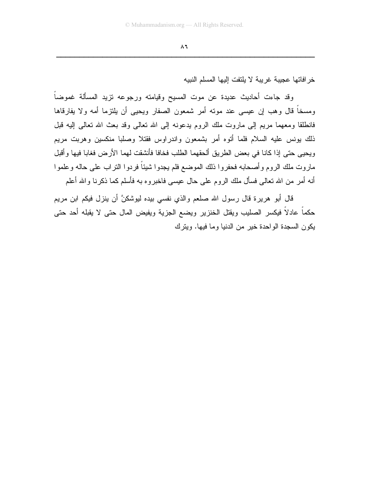خر افاتها عجيبة غريبة لا يلتفت إليها المسلم النبيه

وقد جاءت أحاديث عديدة عن موت المسيح وقيامته ورجوعه نزيد المسألة غموضاً ومسخاً قال وهب إن عيسى عند موته أمر شمعون الصفار ويحيى أن يلتزما أمه ولا يفارقاها فانطلقا ومعهما مريع إلى ماروت ملك الروم يدعونه إلى الله تعالى وقد بعث الله تعالى إليه قبل ذلك بونس عليه السلام فلما أنوه أمر بشمعون واندراوس فقتلا وصلبا منكسين وهربت مريم ويحيى حتى إذا كانا في بعض الطريق ألحقهما الطلب فخافا فأنشقت لهما الأرض فغابا فيها وأقبل ماروت ملك الروم وأصحابه فحفروا ذلك الموضع فلم يجدوا شيئاً فردوا النزاب علىي حاله وعلموا أنه أمر من الله نعالى فسأل ملك الروم على حال عيسى فاخبروه به فأسلم كما ذكرنا والله أعلم

قال أبو هريرة قال رسول الله صلعم والذي نفسي بيده ليوشكنَّ أن ينزل فيكم ابن مريم حكماً عادلًا فيكسر الصليب ويقتل الخنزير ويضع الجزية ويفيض المال حتى لا يقبله أحد حتى بكون السجدة الواحدة خبر من الدنبا وما فبها. وبنرك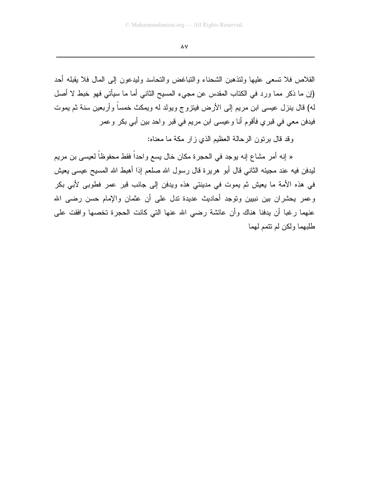$\Lambda$  Y

القلاص فلا تسعى عليها ولتذهبن الشحناء والتباغض والتحاسد وليدعون إلى المال فلا يقبله أحد (إن ما ذكر مما ورد في الكتاب المقدس عن مجيء المسيح الثاني أما ما سيأتي فهو خبط لا أصل له) قال ينزل عيسى ابن مريم إلى الأرض فيتزوج ويولد له ويمكث خمساً وأربعين سنة ثم يموت فيدفن معي في قبري فأقوم أنا وعيسى ابن مريم في قبر واحد بين أبي بكر وعمر

وقد قال برنون الرحالة العظيم الذي زار مكة ما معناه:

« إنه أمر مشاع إنه يوجد في الحجرة مكان خال يسع واحداً فقط محفوظاً لعيسى بن مريم ليدفن فيه عند مجيئه الثاني قال أبو هريرة قال رسول الله صلعم إذا أهبط الله المسيح عيسى يعيش في هذه الأمة ما يعيش ثم يموت في مدينتي هذه ويدفن إلى جانب قبر عمر فطوبي لأبي بكر وعمر يحشران بين نبيين وتوجد أحاديث عديدة ندل على أن عثمان والإمام حسن رضي الله عنهما رغبا أن يدفنا هناك وأن عائشة رضبي الله عنها التبي كانت الحجرة تخصها وافقت علمي طلبهما ولكن لم نتمم لهما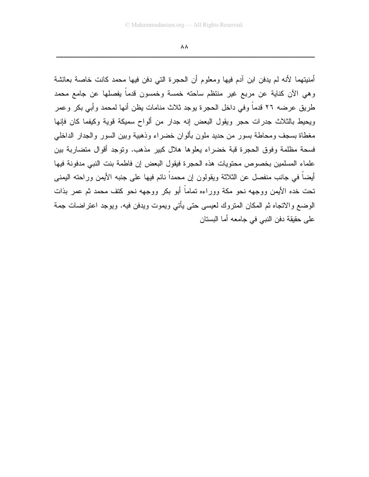$\Lambda\Lambda$ 

أمنيتهما لأنه لم يدفن ابن آدم فيها ومعلوم أن الحجرة التي دفن فيها محمد كانت خاصة بعائشة وهي الآن كناية عن مربع غير منتظم ساحته خمسة وخمسون قدماً يفصلها عن جامع محمد طريق عرضه ٢٦ قدماً وفي داخل الحجرة يوجد ثلاث منامات يظن أنها لمحمد وأبي بكر وعمر ويحيط بالثلاث جدرات حجر ويقول البعض إنه جدار من ألواح سميكة قوية وكيفما كان فإنها مغطاة بسجف ومحاطة بسور من حديد ملون بألوان خضراء وذهبية وبين السور والجدار الداخلي فسحة مظلمة وفوق الحجرة قبة خضراء يعلوها هلال كبير مذهب. وتوجد أقوال متضاربة بين علماء المسلمين بخصوص محتويات هذه الحجرة فيقول البعض إن فاطمة بنت النبي مدفونة فيها أيضاً في جانب منفصل عن الثلاثة ويقولون إن محمداً نائم فيها على جنبه الأيمن وراحته اليمني تحت خده الأيمن ووجهه نحو مكة ووراءه تماماً أبو بكر ووجهه نحو كتف محمد ثم عمر بذات الوضع والاتجاه ثم المكان المتروك لعيسى حتى يأتي ويموت ويدفن فيه. ويوجد اعتراضات جمة على حقيقة دفن النبي في جامعه أما البستان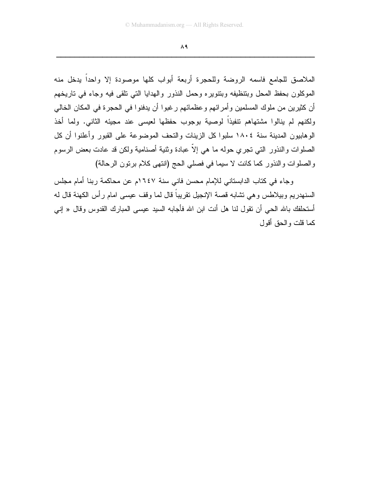$\Lambda$ ٩

الملاصق للجامع فاسمه الروضة وللحجرة أربعة أبواب كلها موصودة إلا واحداً يدخل منه الموكلون بحفظ المحل وبتنظيفه وبتنوير ء وحمل النذور والهدايا التي نلقى فيه وجاء في تاريخهم أن كثيرين من ملوك المسلمين وأمرائهم وعظمائهم رغبوا أن يدفنوا في الحجرة في المكان الخالي ولكنهم لم ينالوا مشتهاهم نتفيذاً لوصية بوجوب حفظها لعيسى عند مجيئه الثاني. ولما أخذ الوهابيون المدينة سنة ١٨٠٤ سلبوا كل الزينات والتحف الموضوعة على القبور وأعلنوا أن كل الصلوات والنذور التبي تجرى حوله ما هي إلاّ عبادة وثنية أصنامية ولكن قد عادت بعض الرسوم والصلوات والنذور كما كانت لا سيما في فصلى الحج (انتهى كلام برتون الرحالة)

وجاء في كتاب الدابستاني للإمام محسن فاني سنة ١٦٤٧م عن محاكمة ربنا أمام مجلس السنهدريم وبيلاطس وهي نشابه قصة الإنجيل نقريباً قال لما وقف عيسى امام رأس الكهنة قال له أستحلفك بالله الحي أن تقول لنا هل أنت ابن الله فأجابه السيد عيسى المبارك القدوس وقال « إني كما قلت والحق أقول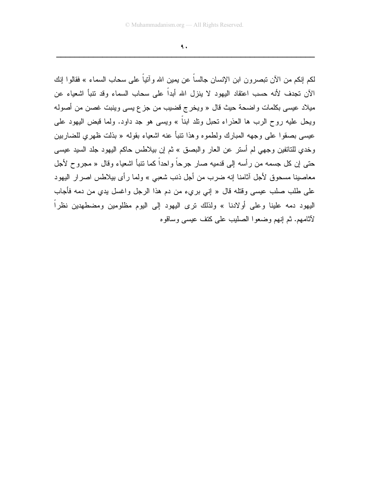$\mathbf{\mathsf{A}}$ .

لكم إنكم من الآن تبصرون ابن الإنسان جالساً عن يمين الله و آنياً على سحاب السماء » فقالوا إنك الآن تجدف لأنه حسب اعتقاد اليهود لا ينزل الله أبداً على سحاب السماء وقد نتبأ اشعياء عن ميلاد عيسى بكلمات واضحة حيث قال « ويخرج قضيب من جزع يسى وينبت غصن من أصوله ويحل عليه روح الرب ها العذراء تحبل وتلد ابناً » ويسى هو جد داود. ولما قبض اليهود على عيسى بصقوا على وجهه المبارك ولطموه وهذا نتبأ عنه اشعياء بقوله « بذلت ظهرى للضاربين وخدى للتائفين وجهي لم أستر عن العار والبصق » ثم إن بيلاطس حاكم اليهود جلد السيد عيسى حتى إن كل جسمه من رأسه إلى قدميه صار جرحاً واحداً كما تنبأ اشعياء وقال « مجروح لأجل معاصبنا مسحوق لأجل أثامنا إنه ضرب من أجل ذنب شعبي » ولما رأى بيلاطس اصرار اليهود على طلب صلب عيسى وقتله قال « إني بريء من دم هذا الرجل واغسل بدى من دمه فأجاب اليهود دمه علينا وعلى أولادنا » ولذلك نرى اليهود إلى اليوم مظلومين ومضطهدين نظراً لأثامهم. ثم إنهم وضعوا الصليب على كتف عيسى وساقوه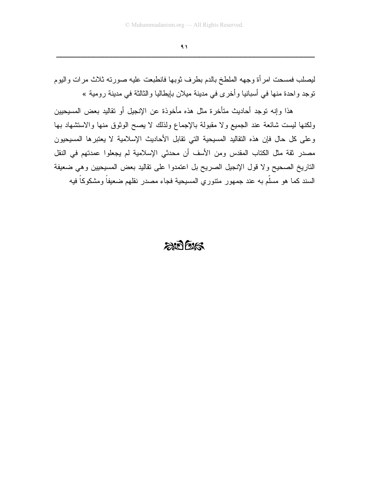$\left\langle \right\rangle$ 

ليصلب فمسحت امرأة وجهه الملطخ بالدم بطرف ثوبها فانطبعت عليه صورته ثلاث مرات واليوم نوجد واحدة منها في أسبانيا وأخرى في مدينة ميلان بإيطاليا والثالثة في مدينة رومية »

هذا وإنه توجد أحاديث متأخرة مثل هذه مأخوذة عن الإنجيل أو تقاليد بعض المسيحيين ولكنها ليست شائعة عند الجميع ولا مقبولة بالإجماع ولذلك لا يصح الوثوق منها والاستشهاد بها وعلى كل حال فإن هذه النقاليد المسيحية التي تقابل الأحاديث الإسلامية لا يعتبرها المسيحيون مصدر نقة مثل الكتاب المقدس ومن الأسف أن محدثي الإسلامية لم يجعلوا عمدتهم في النقل التاريخ الصحيح ولا قول الإنجيل الصريح بل اعتمدوا على نقاليد بعض المسيحيين وهي ضعيفة السند كما هو مسلَّم به عند جمهور منتوري المسيحية فجاء مصدر نقلهم ضعيفاً ومشكوكاً فيه

### $207525$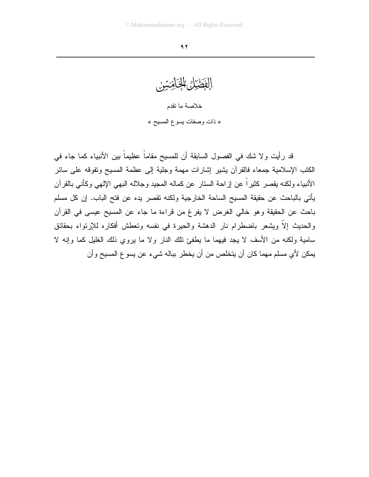الفَطْيُلُ الْخِلْصَيِّنُ خلاصة ما تقدم « ذات وصفات يسوع المسيح »

قد رأيت ولا شك في الفصول السابقة أن للمسيح مقاماً عظيماً بين الأنبياء كما جاء في الكتب الإسلامية جمعاء فالقرآن يشير إشارات مهمة وجلية إلى عظمة المسيح ونفوقه على سائر الأنبياء ولكنه يقصر كثيراً عن إزاحة الستار عن كماله المجيد وجلاله البهي الإلهي وكأنبي بالقرآن يأتي بالباحث عن حقيقة المسيح الساحة الخارجية ولكنه تقصر يده عن فتح الباب. إن كل مسلم باحث عن الحقيقة وهو خالي الغرض لا يفرغ من قراءة ما جاء عن المسيح عيسى في القرآن والحديث إلاَّ ويشعر باضطرام نار الدهشة والحيرة في نفسه وتعطش أفكاره للإرتواء بحقائق سامية ولكنه من الأسف لا يجد فيهما ما يطفئ نلك النار ولا ما يروى ذلك الغليل كما وإنه لا يمكن لأي مسلم مهما كان أن يتخلص من أن يخطر بباله شيء عن يسو ع المسيح وأن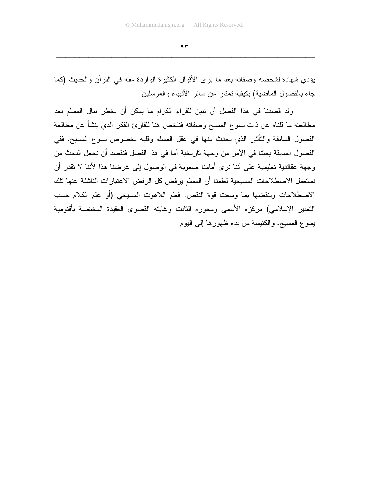$97$ 

يؤدي شهادة لشخصه وصفاته بعد ما يرى الأقوال الكثيرة الواردة عنه في القرآن والحديث (كما جاء بالفصول الماضية) بكيفية تمتاز عن سائر الأنبياء والمرسلين

وقد قصدنا في هذا الفصل أن نبين للقراء الكرام ما يمكن أن يخطر ببال المسلم بعد مطالعته ما قلناه عن ذات يسوع المسيح وصفاته فنلخص هنا للقارئ الفكر الذي ينشأ عن مطالعة الفصول السابقة والنَّاثير الذي يحدث منها في عقل المسلم وقلبه بخصوص يسوع المسيح. ففي الفصول السابقة يحثنا في الأمر من وجهة تاريخية أما في هذا الفصل فنقصد أن نجعل البحث من وجهة عقائدية تعليمية على أننا نرى أمامنا صعوبة في الوصول إلى غرضنا هذا لأننا لا نقدر أن نستعمل الاصطلاحات المسيحية لعلمنا أن المسلم يرفض كل الرفض الاعتبارات الناشئة عنها تلك الاصطلاحات وينقضها بما وسعت قوة النقص. فعلم اللاهوت المسيحي (أو علم الكلام حسب التعبير الإسلامي) مركزه الأسمى ومحوره الثابت وغايته القصوى العقيدة المختصة بأقنومية يسوع المسيح. والكنيسة من بدء ظهورها إلى اليوم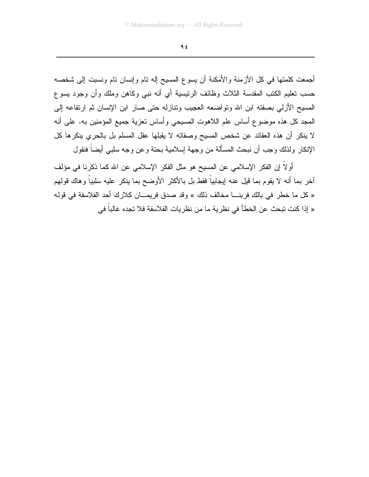$95$ 

أجمعت كلمتها في كل الأزمنة والأمكنة أن يسوع المسيح إله نام وإنسان نام ونسبت إلى شخصه حسب تعليم الكتب المقدسة الثلاث وظائف الرئيسية أي أنه نبي وكاهن وملك وأن وجود يسوع المسيح الأزلى بصفته ابن الله وتواضعه العجيب وتنازله حتى صار ابن الإنسان ثم ارتفاعه إلى المجد كل هذه موضوع أساس علم اللاهوت المسيحي وأساس تعزية جميع المؤمنين به. على أنه لا ينكر أن هذه العقائد عن شخص المسيح وصفاته لا يقبلها عقل المسلم بل بالحري ينكرها كل الإنكار ولذلك وجب أن نبحث المسألة من وجهة إسلامية بحتة وعن وجه سلبي أيضاً فنقول

أو لاً إن الفكر الإسلامي عن المسيح هو مثل الفكر الإسلامي عن الله كما ذكرنا في مؤلف أخر بما أنه لا يقوم بما قيل عنه إيجابياً فقط بل بالأكثر الأوضح بما ينكر عليه سلبياً وهاك قولهم « كل ما خطر في بالك فربنـــا مخالف ذلك » وقد صدق فريمـــان كلارك أحد الفلاسفة في قولـه « إذا كنت تبحث عن الخطأ في نظر ية ما من نظر يات الفلاسفة فلا تجده غالباً في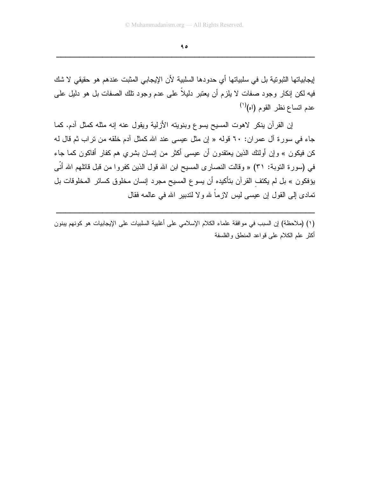$90$ <u> 2000 - Jan James James James James James James James James James James James James James James James James J</u>

إيجابياتها الثبوتية بل في سلبياتها أي حدودها السلبية لأن الإيجابي المثبت عندهم هو حقيقي لا شك فيه لكن إنكار وجود صفات لا يلزم أن يعتبر دليلا على عدم وجود تلك الصفات بل هو دليل على عدم اتساع نظر القوم (اه)<sup>(۱)</sup>

إن القرأن ينكر لاهوت المسيح يسوع وبنويته الأزلية ويقول عنه إنه مثله كمثل أدم. كما جاء في سورة أل عمران: ٦٠ قوله « إن مثل عيسى عند الله كمثل أدم خلقه من نراب ثم قال لـه كن فيكون » وإن أولئك الذين يعتقدون أن عيسى أكثر من إنسان بشري هم كفار أفاكون كما جاء في (سورة التوبة: ٣١) « وقالت النصـار ى المسيح ابن الله قول الذين كفروا من قبل قاتلهم الله أنـى يؤفكون » بل لم يكتف القران بتأكيده أن يسوع المسيح مجرد إنسان مخلوق كسائر المخلوقات بل نمادى إلى القول إن عيسى ليس لازما لله ولا لندبير الله في عالمه فقال

(١) (ملاحظة) إن السبب في موافقة علماء الكلام الإسلامي على أغلبية السلبيات على الإيجابيات هو كونـهم يبنون أكثر علم الكلام على قواعد المنطق والفلسفة

ZZZZZZZZZZZZZZZZZZZZZZZZZZZZZZZZZZZZZZZZZZZZZZZZZZZZZZZZ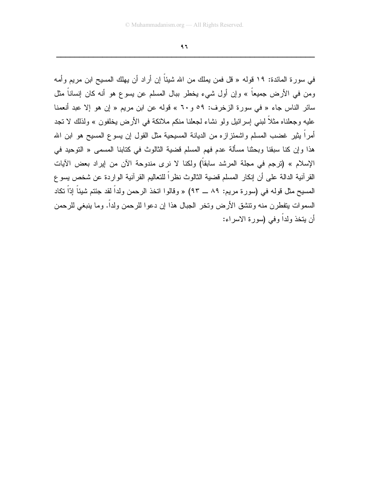$97$ 

في سورة المائدة: ١٩ قوله « قل فمن يملك من الله شيئاً إن أراد أن يهلك المسيح ابن مريم وأمه ومن في الأرض جميعاً » وإن أول شيء يخطر ببال المسلم عن يسوع هو أنه كان إنساناً مثل سائر الناس جاء « في سورة الزخرف: ٥٩ و ٦٠ » قوله عن ابن مريم « إن هو إلا عبد أنعمنا عليه وجعلناه مثلاً لبني إسرائيل ولو نشاء لجعلنا منكم ملائكة في الأرض يخلفون » ولذلك لا نجد أمراً بِثيرٍ غضب المسلم واشمئز لزء من الديانـة المسيحية مثل القول إن يسوع المسيح هو ابن الله هذا وإن كنا سبقنا وبحثنا مسألة عدم فهم المسلم قضية الثالوث في كتابنا المس*مى* « التوحيد في الإسلام » (ترجم في مجلة المرشد سابقاً) ولكنا لا نرى مندوحة الآن من إيراد بعض الآيات القرآنية الدالة على أن إنكار المسلم قضية الثالوث نظراً للتعاليم القرآنية الواردة عن شخص يسو ع المسيح مثل قوله في (سورة مريم: ٨٩ ـــ ٩٣) « وقالوا اتخذ الرحمن ولداً لقد جئتم شيئاً إدّاً تكاد السموات يتفطرن منه ونتشق الأرض ونخر الجبال هذا إن دعوا للرحمن ولداً. وما ينبغي للرحمن أن يتخذ ولداً وفي (سورة الاسراء: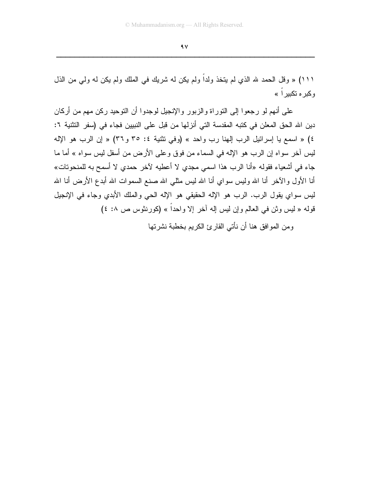$4V$ 

١١١) « وقل الحمد لله الذي لم يتخذ ولداً ولم يكن له شريك في الملك ولم يكن له ولي من الذل و کير ۾ تکبير اُ »

على أنهم لو رجعوا إلى النوراة والزبور والإنجيل لوجدوا أن النوحيد ركن مهم من أركان دين الله الحق المعلن في كتبه المقدسة التي أنز لها من قبل على النبيين فجاء في (سفر التثنية ٦: ٤) « اسمع يا إسرائيل الرب إلهنا رب واحد » (وفي تثنية ٤: ٣٥ و ٣٦) « إن الرب هو الإله ليس أخر سواه إن الرب هو الإله في السماء من فوق وعلى الأرض من أسفل ليس سواه » أما ما جاء في أشعياء فقوله «أنا الرب هذا اسمي مجدي لا أعطيه لآخر حمدي لا أسمح به للمنحونات» أنا الأول والآخر أنا الله وليس سواي أنا الله ليس مثلـى الله صنـع السموات الله أبدع الأرض أنـا الله ليس سواي يقول الرب. الرب هو الإله الحقيقي هو الإله الحي والملك الأبدي وجاء في الإنجيل قوله « ليس وثن في العالم وإن ليس إله أخر إلا واحداً » (كورنثوس ص ٨: ٤)

و من المو افق هنا أن نأتي القار يً الكريم بخطبة نشر تها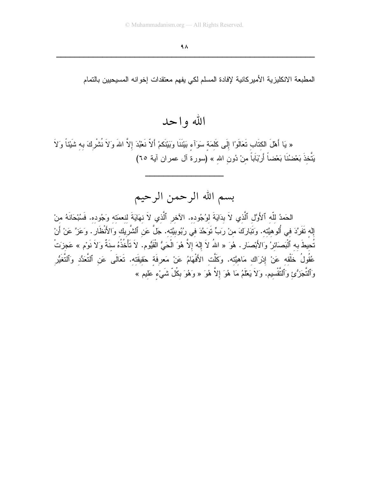المطبعة الانكليزية الأميركانية لإفادة المسلم لكي يفهم معتقدات إخوانه المسيحيين بالتمام

## الله و ا حد

« يَا أَهْلَ الكِتَابِ تَعَالَوْا إِلَى كَلِمَةٍ سَوَآءِ بَيْنَنَا وَبَيْنَكُمْ أَلاّ نَعْبُدَ إلاَّ اللهَ وَلاَ نُشْركَ به شَيْئاً وَلاَ يَتَّخذَ بَعْضُنَا بَعْضاً أَرْبَاَباً منْ دُون الله » (سورة آل عمران آية ٦٥)

# بسم الله الرحمن الرحيم

الحَمدُ للّه ٱلأَوَّلِ ٱلَّذي لاَ بدَايَةَ لوُجُوده. الآخر ٱلَّذي لاَ نِهَايَةَ لِنِعمَتِهِ وَجُودِهِ. فَسُبْحَانَهُ مِنْ إِله نَفَرَّدَ في أُلوهيَّته. وَتَبَارَكَ منْ رَبٍّ تَوَحَّدَ في رُبُوبيَّته. جَلَّ عَن ٱلشَّريك وَالأَنْظَار . وَعَزَّ عَنْ أَنْ تُحيطَ به ٱلْبَصائرُ وَالأَبْصارِ . هُوَ « اللهُ لاَ إلهَ إلاَّ هُوَ الْحَيُّ الْقَيُّومِ. لاَ تَأْخُذُهُ سنَةً وَلاَ نَوْم » عَجزَتْ عُقُولُ خَلْقه عَنْ إِدْرَاك مَاهيَّته. وَكَلَّت الأَفْهَامُ عَنْ مَعرفَة حَقيقَته. تَعَالَى عَن ٱلتَّعَدُّد وَٱلتَّغَيُّر وَٱلتَّجَزُّئِ وَٱلتَّقْسِيمِ. وَلاَ يَعْلَمُ مَا هُوَ إِلاَّ هُوَ « وَهُوَ بِكُلِّ شَيْءٍ عَليمٍ »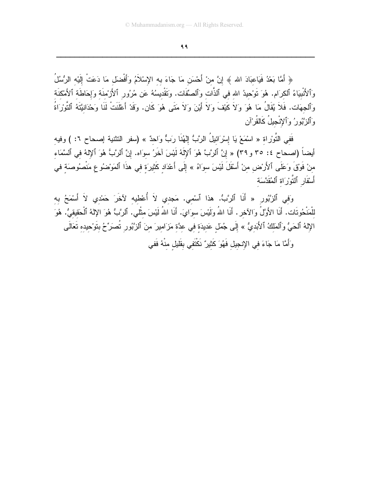99 <u> 2000 - Jan James James James James James James James James James James James James James James James James J</u>

﴿ أَمَّا بَعْدُ فَيَاعَبَادَ الله ﴾ إنَّ منْ أَحْسَنَ مَا جَاءَ بـه الإِسْلامُ وَأَفْضَلَ مَا دَعَت إِلَيْه الرَّسُل وَٱلْأَنْبَيَاءُ ٱلْكَرَام. هُوَ نَوْحِيدُ الله في ٱلذات وَٱلصَّفات. وَتَقْدِيسُهُ عَن مُرُورٍ ٱلأَزْمُنَة وَإِحَاطَة ٱلأَمْكَنَة وَٱلْجَهَات. فَلا يُقَال مَا هُوَ وَلا كَيْف وَلا أَيْنَ وَلا مَتَى هُوَ كَان. وَقَدْ أَعْلَنتَ لَنَا وَحْدَانَيَّنَّهُ ٱلتَوْرَاة وَٱلْزَّبُورُ وَٱلإِنْجِيلِ كَالْقَرْأَنِ

ففي النورْاة « اسْمَعْ يَا إِسْرَائيل الرُّبُّ إِلْهُنا رَبُّ وَاحدٌ » (سفر النثنية إصـحاح ٦: ) وفيه أيضًا (اصبحاح ٤: ٣٥ و ٣٩) « إِنَّ ٱلرَّبُّ هُوَ ٱلإِلٰهُ لَيْسَ أَخْرُ سَوَاه. إِنَّ ٱلرَّبُّ هُوَ ٱلإِلَٰهُ فَي أَلْسَمَاء منْ فُوْقٍ وَعَلَى ٱلأرْض منْ أَسْقُلْ لَيْسَ سَوَاهُ » إلى أعْدَاد كَثيرَة في هذا ٱلْمَوْضُو ع مَنصُوصَة في أَسْفَارِ ٱلْتَوْرَاةِ ٱلْمُقَدَّسَةِ

وَفِّي ٱلزُّبُورِ « أَنا ٱلرُّبُّ. هذا ٱسْمي. مَجدي لا أَعْطيه لأخرَ حَمْدي لا أَسْمَحُ بِه للمَنحُونات. أنا الأوَّل وَالأخر . أنا الله وَلَيْسَ سوَايَ. أنا الله لَيْسَ مثلي. أَلزَّبَّ هُوَ الإِلَّـهُ ٱلْحَقَيقيَّ. هُوَ الإِلَهُ ٱلْحَيُّ وَٱلْمَلْكُ ٱلأَبَديُّ » إلى جُمَل عَديدَة في عدَّة مَزَ اميرَ منَ ٱلزُّبُورِ تصَرِّحُ بتوْحيده تعَالى

وَأَمَّا مَا جَاءَ في الإنجيل فَهُوَ كَثيرٌ نكتفي بقليل منهُ ففي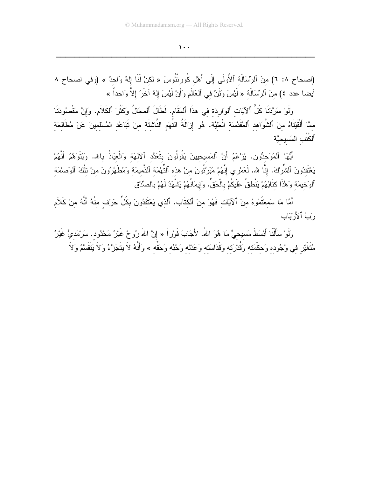### $\lambda$ .

(اصحاح ٨: ٦) منَ ٱلرِّسَالَة ٱلأُولَى إِلَى أَهْل كُورِنْتُوسَ « لكنْ لَنَا إِلهٌ وَاحدٌ » (وفي اصحاح ٨ أيضا عدد ٤) منَ ٱلرِّسَالَة « لَيْسَ وَثَنٌ في ٱلعَالَمِ وَأَنْ لَيْسَ إِلهٌ آخَرُ إلاَّ وَاحداً »

وَلَوْ سَرَّدْنَا كُلُّ ٱلآيَات ٱلوَارِدَة في هذَا ٱلمَقَامِ. لَطَالَ ٱلمجَالُ وَكَثُرَ ٱلكَلاَمِ. وَإِنَّ مَقْصُودَنَا ممَّا أَلْقَيْنَاهُ منَ ٱلشَّوَاهد ٱلْمُقَدَّسَة الْعَلَيَّة. هُو إِزَالَةُ التِّهَمِ النَّاشِئَةِ مِنْ نَبَاعُدِ المُسْلِمِينَ عَنْ مُطَالِعَةِ ٱلكُتُبِ المَسيحيَّة

أَيُّهَا ٱلمُوَحِدُّون. يُزْعَمُ أَنَّ ٱلمَسيحِيينَ يَقُولُونَ بتَعَدُّد ٱلْآلهَة وَالْعِيَاذُ بالله. وَيُتَوَهَّمُ أَنَّهُمْ يَعْتَقدُونَ ٱلشَّرْكَ. إنَّا لله. لَعَمْرِي إِنَّهُمْ مُبَرَّئُونَ مِنْ هذِهِ ٱلنَّهْمَةِ ٱلذَّمِيمَةِ وَمُطَهَّرُونَ مِنْ نَلْكَ ٱلوَصمَةِ ٱلوَخيمَة وَهٰذَا كتَابُهُمْ يَنْطُقُ عَلَيكُمْ بِالْحَقِّ. وَإِيمَانُهُمْ يَشْهَدُ لَهُمْ بِالصِّدْق

أَمَّا مَا سَمعْتُمُوهُ منَ ٱلآيَات فَهُوَ منَ ٱلكتَابِ. ٱلذي يَعْتَقدُونَ بكُلِّ حَرِيْف منْهُ أَنَّهُ منْ كَلأم رَبِّ ٱلأَرْبَابِ

وَلَوْ سَأَلْنَا أَبْسَطَ مَسبِحيٍّ مَا هُوَ اللهُ. لأَجَابَ فَوْرٍ أ « إنَّ اللهَ رُوحٌ غَيْرُ مَحْدُود. سَرْمَديٌّ غَيْرُ مُتَغَيّرٍ فِي وُجُودِهِ وَحِكْمَتِهِ وَقُدْرَتِهِ وَقَدَاسَته وَعَدْله وَحُبِّه وَحَقِّه » وَأَنَّهُ لاَ بتَجَزَّءُ وَلاَ بَتَقَسَّمُ وَلاَ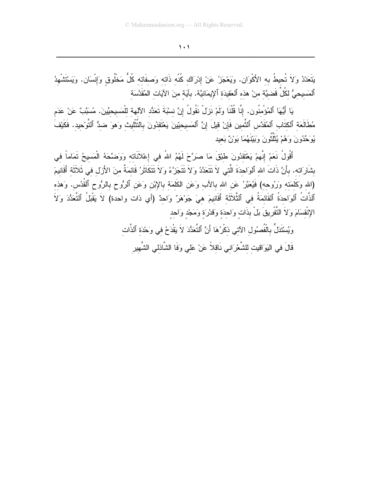$\lambda$  .  $\lambda$ 

يَتَعَدّدُ وَلاَ تُحيطُ به الأَكْوَان. ويَعْجَزُ عَنْ إدْرَاك كُنْه ذَاته وَصفَاته كُلُّ مَخْلُوق وَإِنْسَان. ويَسْتَشْهدُ ٱلمَسيحيُّ لكُلِّ قَضيَّة منْ هذه ٱلعَقيدَة ٱلإِيمَانيَّة. بآيَة منَ الآيَات المُقَدَّسَة

يَا أَيُّهَا ٱلمُؤْمِنُون. إنَّا قُلْنَا ولَمْ نَزِلْ نَقُولُ إِنَّ نسْبَةَ تَعَدُّد الآلهة للْمَسيحيِّينَ. مُسَبَّبٌ عَنْ عَدَم مُطَالَعَة ٱلكِتَابِ ٱلمُقَدَّسِ ٱلثَّمينِ فَإِنْ قِيلَ إِنَّ ٱلمَسيحِيّينَ يَعْتَقدُونَ بِالتَّتْلِيثِ وَهوَ ضدُّ ٱلتَّوْحِيدِ. فَكَيْفَ يُوَحِّدُونَ وَهُمْ يُثَلِّثُونَ وَبَيْنَهُمَا بَوْنٌ بَعِيد

أَقُولُ نَعَمْ إِنَّهِمْ يَعْتَقدُونَ طَبْقَ مَا صَرَّحَ لَهُمُ اللهُ في إعْلاَنَاته وَوَضَّحَهُ الْمَسيحُ تَمَاماً في بشَارَاته. بأَنَّ ذَاتَ الله ٱلوَاحدَةَ الَّتـٰى لاَ نَتَعَدَّدُ وَلاَ نَتَجَزَّءُ وَلاَ نَتَكَاثَرُ قَائمَةٌ منَ الأَزل في ثَلاَثَة أَقَانيمَ (الله وَكَلَمَته وَرُوحه) فَيُعَبَّرُ عَنِ الله بالآب وَعَنِ الكَلَمَة بالإِبْنِ وَعَنِ ٱلرُّوحِ بِالرُّوحِ ٱلقُدُس. وَهذه ٱلذَّاتُ ٱلوَاحدَةُ ٱلقَائمَةُ في ٱلثَّلاَثَة أَقَانيمَ هيَ جَوْهَرٌ وَاحدٌ (أي ذات واحدة) لاَ يَقْبَلُ ٱلتَّعَدُّدَ وَلاَ الإِنْقَسَامَ وَلاَ النَّفْرِيقَ بَلْ بِذَاتٍ وَاحدَةٍ وَقَدْرَةٍ وَمَجْدٍ وَاحدٍ

وَيُسْتَدَلُّ بِالْفُصِمُولِ الآتي ذكْرُهَا أَنَّ ٱلتَّعَدُّدَ لاَ يَقْدَحُ في وَحْدَة ٱلذَّات

قَالَ في النِوَاقيت للشَّعْرَاني نَاقلاً عَنْ عَلَى وَفَا الشَّاذلي الشَّهير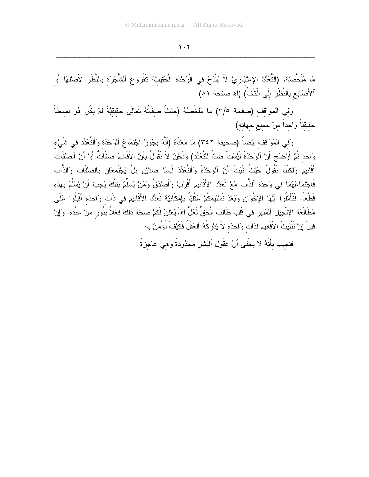$1.7$ <u> 2000 - Jan James James James James James James James James James James James James James James James James J</u>

مَا مُلْخصُهُ. (التَعَدُّدُ الإعْتَبَارِيُّ لا يَقَدَحُ في الوَحْدَة الْحَقيقيَّة كفروع أَلْشُجَرَة بالنظر لأصلْهَا أو آلأصَابِع بالنظر إلى الكف) (اه صفحة ٨١)

وَفِي الْمَوَاقَفِ (صفحة ٣/٥) مَا مُلْخصُهُ (حَيْث صفاتَهُ تَعَالَى حَقَيقَيَّة لَمْ يَكُن هُوَ بَسيطًا حَقيقيّا وَاحدا منْ جَميع جهَانه)

وَفَيِ الْمَوَاقَفَ أَيْضَا (صحيفة ٣٤٢) مَا مَعْنَاهُ (أَنَهُ يَجُوزُ اجْتَمَاعُ ٱلْوَحْدَةِ وَٱلْتَعَدُّدُ فَي شَيْء وَاحد ثُمَّ أُوْضَحَ أَنَّ ٱلْوَحْدَة لَيْسَت ضدًّا للنَعَدُّد) وَنَحْنُ لا نقول بأنَّ الأقانيمَ صفات أوْ أنَّ ٱلصِّفات أَقَانِيمَ وَلْكننا نقول حَيْث ثَبَت أَنَّ ٱلْوَحْدَة وَٱلْتَعَدَّدَ لَيسَا ضدَّيْن بَل يَجْتَمعَان بالصَّفات وَالذات فَاجْتُمَاعُهُمَا في وَحدَة ٱلذات مَعْ تَعَدُّد الأَقانيمِ أَقْرَبُ وَأَصْدَقَ وَمَنْ يُسَلَّمُ بِتلْكَ يَجبُ أَنْ يُسلَمَ بِهذه قطعا. فتأمَّلوا أَيُّهَا الإخوَان وَبَعْدَ تَسْليمكمْ عَقَلَيّا بِإِمْكانيَّة تَعَدَّد الأقانيم في ذات وَاحدَة أقبلوا عَلَى مُطالعَة الإنجيل ألمُنير في قلب طالب الحَق لعَل الله يُعْلَنُ لكمْ صحَّة ذلكَ فعْلاً بنور منْ عنده. وَإِنْ قَيْلَ إِنَّ نَتْلَيْثَ الأَقانيمِ لَذَاتَ وَاحدَة لا يُدْرِكَهُ ٱلْعَقَلِ فَكَيْفَ نَوْمَنُ بِه

فَنَجِيبٍ بِأَنَّهُ لَا يَخْفَى أَنَّ عُقُولَ الْبَشْرِ مَحْدُودَة وَهَيَ عَاجِزَة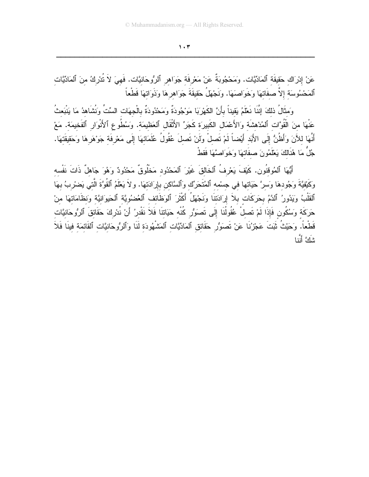عَنْ إِدْرَاك حَقيقَة ٱلمَادِّيَّات. وَمَحْجُوبَةٌ عَنْ مَعْرِفَة جَوَاهِرِ ٱلرُّوحَانِيَّات. فَهِيَ لاَ تُدْرِكُ مِنَ ٱلمَادِّيَّات ٱلمَحْسُوسَة إلاَّ صفَاتهَا وَخَوَاصهَا. ونَجْهَلُ حَقيقَةَ جَوَاهرهَا وَذَوَاتهَا قَطْعاً

وَمثَالُ ذلكَ إِنَّنَا نَعْلَمُ يَقيناً بأَنَّ الكَهْرِبَا مَوْجُودَةٌ ومَحْدُودَةٌ بِالْجهَات السِّتِّ وَنُشَاهدُ مَا يَنْبَعثُ عَنْهَا منَ الْقُوَّات ٱلمُدْهشَة وَالأَعْمَالِ الكَبِيرَة كَجَرٍّ الأَثْقَالِ ٱلعَظيمَة. وَسُطُوعِ ٱلأَنْوَالِ ٱلفَخيمَة. مَعْ أَنَّهَا للآَنَ وَأَظُنُّ إِلَى الأَبَد أَيْضاً لَمْ نَصلْ ولَنْ نَصلَ عُقُولُ عُلَمَائِهَا إِلَى مَعْرِفَةٍ جَوْهَرِهَا وَحَقِيقَتِهَا. جُلٌ مَا هُذَالكَ يَعْلَمُونَ صفَاتهَا وَخَوَاصَّهَا فَقطْ

أَيُّهَا ٱلمُوقنُون. كَيْفَ يَعْرِفُ ٱلخَالقَ غَيْرَ ٱلمَحْدُود مَخْلُوقٌ مَحْدُودٌ وَهُوَ جَاهلٌ ذَاتَ نَفْسه وَكَيْقِيَّةَ وَجُودهَا وَسرَّ حَيَاتها في جسْمه ٱلمُتَحَرِّك وَٱلسَّاكن بإرَادَتهَا. و لاَ يَعْلَمُ ٱلقُوَّةَ الَّتي يَضرْبُ بهَا ٱلقَلْبُ ويَذُورُ ٱلدَّمُ بحَرَكَات بلاَ إِرَادَتنَا وَنَجْهَلُ أَكْثَرَ ٱلوَظَائف ٱلعُضنُويَّة ٱلحَيوَانيَّة وَنظَامَاتهَا منْ حَرَكَة وَسُكُون فَإِذَا لَمْ تَصلْ عُقُولُنَا إِلَى تَصوَرُر كُنْه حَيَاتنَا فَلاَ نَقْدِرُ أَنْ نُدْرِكَ حَقَائقَ ٱلرُّوحَانيَّات قَطْعاً. وَحَيْثُ ثَبَتَ عَجْزُنَا عَنْ تَصوَرُ حَقَائق ٱلمَادِّيَّات ٱلمَشْهُودَة لَذَا وَٱلرُّوحَانيَّات ٱلقَائمَة فينَا فَلاَ شَكَّ أَنَّنا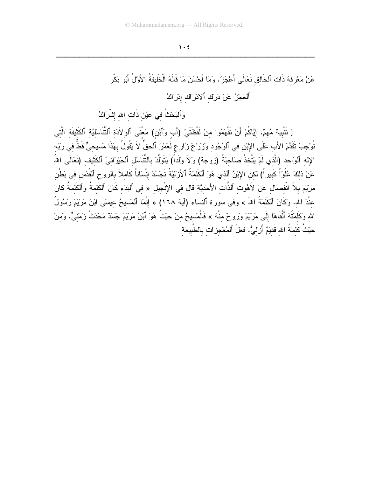$\mathbf{y} \cdot \mathbf{t}$ <u> 2000 - Jan James James James James James James James James James James James James James James James James J</u>

عَنْ مَعْرِفَة ذات آلخالق تعَالي أَعْجَزُ. وَمَا أَحْسَنَ مَا قَالَهُ الْخَليفَة الأَوَّلِ أَبُو بَكر ٱلعَجْزُ عَنْ دَرِيْ ٱلادْرَاك إِدْرَاكُ وَٱلْبَحْثُ في عَيْن ذَات الله إشْرَاكُ [ تتبيهٌ مُهمٌ. إيَّاكمْ أنْ تفهَمُوا منْ لفظتيْ (أَب وَأَبْن) مَعنى ألولادَة ألتتاسُلَيَّة ألكثيفة التي

تَوْجِبُ تقدَّمَ الأب عَلَى الإِبْنِ في ٱلْوُجُودِ وَزَرْعَ زَارٍ عِ لَعَمْرُ ۚ ٱلْحقِ لا يَقُولُ بِهَذَا مَسيحيٌّ قط في رَبَّه الإله ألوَاحد (الذي لمْ يَنخذ صَاحبَة (زوجة) وَلا وَلدا) يَتولَدَ بالنتاسُل أَلْحَيْوَانـيِّ أَلكتيف (تَعَالَـي الله عَنْ ذلكَ عُلُوّا كبيرٍ ا) لكن الإِبْنُ ٱلذي هُوَ ٱلكلَّمَة ٱلأَرْلَيَّة تَجَسَّدَ إِنسَانا كاملاً بالروح ألقدُس في بَطن مَرْيْمَ بـلا انفصَال عَنْ لاهُوت أَلذات الأَحَديَّة قال في الإنجيل « في أَلبَدْء كانَ أَلكلمَة وأَلكلمَة كانَ عندَ الله. وَكَانَ ٱلْكَلْمَةَ الله » وفي سورة ٱلنساء (اية ١٦٨) « إنمَا ٱلْمَسيحُ عيسَى ابْنُ مَرْيَمَ رَسُول الله وكلمَنهُ ألقاهَا إلى مَرْيَمَ وَرَوحٌ منهُ » فالمَسيحُ منْ حيْث هُوَ أَبْنُ مَرْيَمَ جَسَدٌ مُحْدَث زَمَنيٌّ. وَمَنْ حَيْث كَلَّمَة الله قَديْمٌ أَزَلَيَّ. فَعَلَّ أَلْمُعْجزَات بالطبيعَة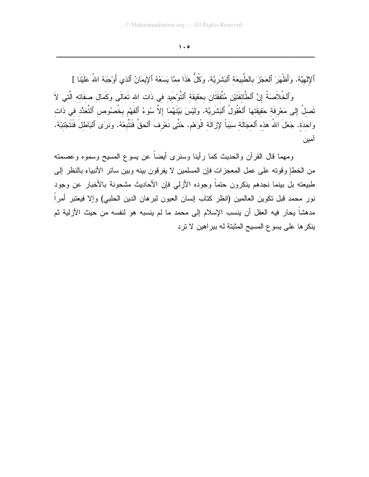$\lambda \cdot \phi$ 

ٱلإِلهِيَّة. وَأَظْهَرَ ٱلعَجْزَ بِالطَّبِيعَةِ ٱلبَشَرِيَّة. وَكُلُّ هٰذَا ممَّا يَسَعُهُ ٱلإِيمَانُ ٱلذي أَوْجَبَهُ اللهُ عَلَيْنَا ] وَٱلْخُلاَصَةُ إِنَّ ٱلطَّائفَتَيْنِ مُتَّفقَتَانِ بِحَقِيقَة ٱلتَّوْحَيدِ في ذَات الله تَعَالَى وَكَمَال صفَاته الَّتي لاَ تَصلُ إلى مَعْرفَة حَقيقَتهَا ٱلعُقُولُ ٱلبَشَرِيَّة. ولَيْسَ بَيْنَهُمَا إلاَّ سُوءُ ٱلفَهْمِ بِخُصوُصِ ٱلتَّعَدُّدِ فِي ذَات وَاحِدَةٍ. جَعَلَ اللهُ هذِهِ ٱلعِجَالَةِ سَبَباً لإِزَالَةِ الْوَهْمِ. حَتَّى نَعْرِفَ ٱلحقَّ فَنَتَّبِعْهُ. ونَرَى ٱلبَاطلَ فَنَتَجْنبْهُ. آمين

ومهما قال القرآن والحديث كما رأينا وسنرى أيضآ عن يسوع المسيح وسموه وعصمته من الخطإ وقوته على عمل المعجزات فإن المسلمين لا يفرقون بينه وبين سائر الأنبياء بالنظر إلى طبيعته بل ببنما نجدهم ينكرون حتماً وجوده الأزلمي فإن الأحاديث مشحونة بالأخبار عن وجود نور محمد قبل نكوين العالمين (انظر كتاب إنسان العيون لبرهان الدين الحلبي) وإلا فيعتبر أمراً مدهشاً يحار فيه العقل أن ينسب الإسلام إلى محمد ما لم ينسبه هو لنفسه من حيث الأزلية ثم ينكر ها على يسوع المسيح المثبتة له ببر اهين لا تر د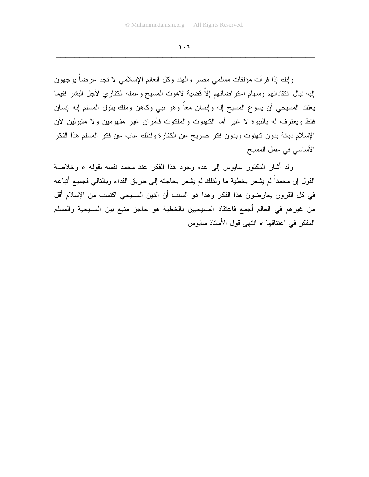$\mathbf{1} \cdot \mathbf{1}$ 

وإنك إذا قرأت مؤلفات مسلمي مصر والهند وكل العالم الإسلامي لا تجد غرضا بوجهون إليه نبال انتقاداتهم وسهام اعتراضاتهم إلاّ قضبية لاهوت المسيح وعمله الكفاري لأجل البشر ففيما يعتقد المسيحي أن يسوع المسيح إله وإنسان معاً وهو نبي وكاهن وملك يقول المسلم إنه إنسان فقط ويعترف له بالنبوة لا غير أما الكهنوت والملكوت فأمران غير مفهومين ولا مقبولين لأن الإسلام ديانة بدون كهنوت وبدون فكر صريح عن الكفارة ولذلك غاب عن فكر المسلم هذا الفكر الأساسي في عمل المسيح

وقد أشار الدكتور سابوس إلى عدم وجود هذا الفكر عند محمد نفسه بقوله « وخلاصة القول إن محمداً لم يشعر بخطية ما ولذلك لم يشعر بحاجته إلى طريق الفداء وبالتالي فجميع أتباعه في كل القرون يعارضون هذا الفكر وهذا هو السبب أن الدين المسيحي اكتسب من الإسلام أقل من غيرِهم في العالم أجمع فاعتقاد المسيحيين بالخطية هو حاجزٍ منيعٍ بين المسيحية والمسلم المفكر في اعتناقها » انتهى قول الأستاذ سايوس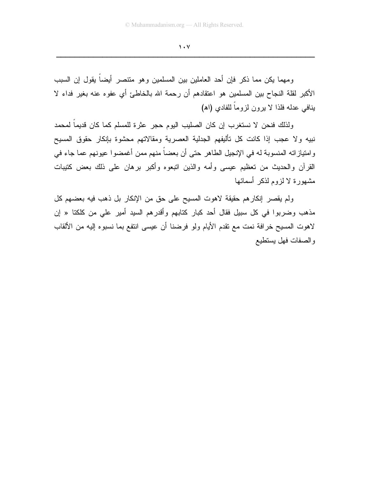$\mathbf{1} \cdot \mathbf{V}$ 

ومهما يكن مما ذكر فإن أحد العاملين بين المسلمين وهو متنصر أيضاً يقول إن السبب الأكبر لقلة النجاح بين المسلمين هو اعتقادهم أن رحمة الله بالخاطئ أي عفوه عنه بغير فداء لا بنافي عدله فلذا لا يرون لزوماً للفادي (اه)

ولذلك فنحن لا نستغرب إن كان الصليب اليوم حجر عثرة للمسلم كما كان قديماً لمحمد نبيه ولا عجب إذا كانت كل تأليفهم الجدلية العصرية ومقالاتهم محشوة بإنكار حقوق المسيح وامتيازاته المنسوبة له في الإنجيل الطاهر حتى أن بعضاً منهم ممن أغمضوا عيونهم عما جاء في القرأن والحديث من تعظيم عيسى وأمه والذين اتبعوه وأكبر برهان على ذلك بعض كتيبات مشهورة لا لزوم لذكر أسمائها

ولم يقصر إنكارهم حقيقة لاهوت المسيح على حق من الإنكار بل ذهب فيه بعضهم كل مذهب وضربوا في كل سبيل فقال أحد كبار كتابهم وأقدرهم السيد أمير على من كلكتا « إن لاهوت المسيح خرافة نمت مع نقدم الأيام ولو فرضنا أن عيسى انتفع بما نسبوه إليه من الألقاب والصفات فهل يستطيع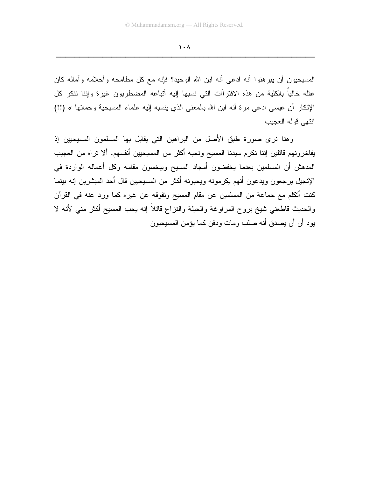$\lambda$ 

المسيحيون أن يبرهنوا أنه ادعى أنه ابن الله الوحيد؟ فإنه مع كل مطامحه وأحلامه وآماله كان عقله خالياً بالكلية من هذه الافترأات التي نسبها إليه أتباعه المضطربون غيرة وإننا ننكر كل الإنكار أن عيسى ادعى مرة أنه ابن الله بالمعنى الذي ينسبه إليه علماء المسيحية وحماتها » (!!) انتهى قوله العجبب

وهنا نرى صورة طبق الأصل من البراهين التي يقابل بها المسلمون المسيحيين إذ يفاخرونهم قائلين إننا نكرم سيدنا المسيح ونحبه أكثر من المسيحيين أنفسهم. ألا نراه من العجيب المدهش أن المسلمين بعدما يخفضون أمجاد المسيح ويبخسون مقامه وكل أعماله الواردة في الإنجيل برجعون ويدعون أنهم يكرمونه ويحبونه أكثر من المسيحيين قال أحد المبشرين إنه بينما كنت أنكلم مع جماعة من المسلمين عن مقام المسيح وتفوقه عن غيره كما ورد عنه في القرآن والحديث قاطعني شيخ بروح المراوغة والحيلة والنزاع قائلاً إنه يحب المسيح أكثر منبي لأنه لا يود أن أن يصدق أنه صلب ومات ودفن كما يؤمن المسيحيون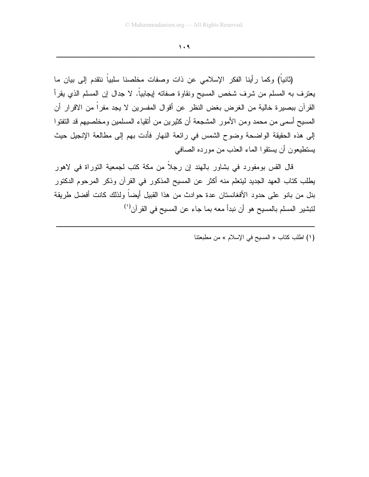$1.9$ 

(ثانياً) وكما رأينا الفكر الإسلامي عن ذات وصفات مخلصنا سلبياً نتقدم إلى بيان ما يعترف به المسلم من شرف شخص المسيح ونقاوة صفاته إيجابياً. لا جدال إن المسلم الذي يقرأ القرآن ببصيرة خالية من الغرض بغض النظر عن أقوال المفسرين لا يجد مفراً من الاقرار أن المسيح أسمى من محمد ومن الأمور المشجعة أن كثيرين من أتقياء المسلمين ومخلصيهم قد النفتوا إلى هذه الحقيقة الواضحة وضوح الشمس في رائعة النهار فأدت بهم إلى مطالعة الإنجيل حيث يستطيعون أن يستقوا الماء العذب من مورده الصافي

قال القس بومفورد في بشاور بالهند إن رجلاً من مكة كتب لجمعية النوراة في لاهور يطلب كتاب العهد الجديد ليتعلم منه أكثر عن المسيح المذكور في القرآن وذكر المرحوم الدكتور بنل من بانو على حدود الأفغانستان عدة حوادث من هذا القبيل أيضاً ولذلك كانت أفضل طريقة لتبشير المسلم بالمسيح هو أن نبدأ معه بما جاء عن المسيح في القرآن<sup>(י)</sup>

(١) اطلب كتاب « المسيح في الإسلام » من مطبعتنا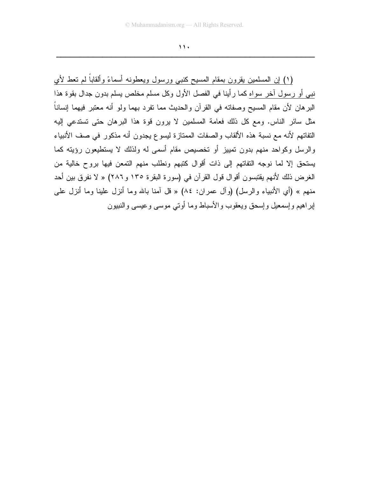$\mathbf{y}$ 

(١) إن المسلمين يقرون بمقام المسيح كنبي ورسول ويعطونه أسماءً وألقاباً لم تعط لأي نبي أو رسول آخر سواه كما رأينا في الفصل الأول وكل مسلم مخلص يسلم بدون جدال بقوة هذا البرهان لأن مقام المسيح وصفاته في القرآن والحديث مما نفرد بهما ولو أنه معتبر فيهما إنساناً مثل سائر الناس. ومع كل ذلك فعامة المسلمين لا يرون قوة هذا البرهان حتى تستدعى إليه التفاتهم لأنه مع نسبة هذه الألقاب والصفات الممتازة ليسوع يجدون أنه مذكور في صف الأنبياء والرسل وكواحد منهم بدون تمييز أو تخصيص مقام أسمى له ولذلك لا يستطيعون رؤيته كما يستحق إلا لما نوجه التفاتهم إلى ذات أقوال كتبهم ونطلب منهم التمعن فيها بروح خالية من الغرض ذلك لأنهم يقتبسون أقوال قول القرآن في (سورة البقرة ١٣٥ و٢٨٦) « لا نفرق بين أحد منهم » (أي الأنبياء والرسل) (وأل عمران: ٨٤) « قل أمنا بالله وما أنزل علينا وما أنزل عليي إبر اهيم وإسمعيل وإسحق ويعقوب والأسباط وما أوتى موسى وعيسى والنبيون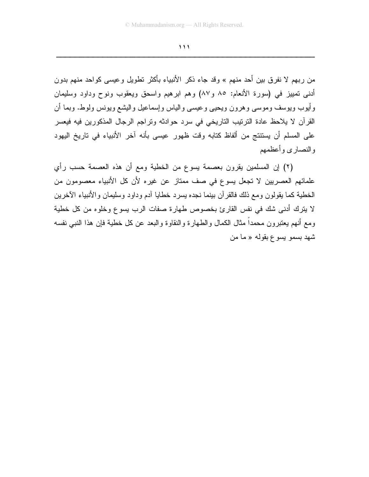من ربهم لا نفرق بين أحد منهم » وقد جاء ذكر الأنبياء بأكثر تطويل وعيسى كواحد منهم بدون أدنى تمييز في (سورة الأنعام: ٨٥ و٨٧) وهم ابرهيم واسحق ويعقوب ونوح وداود وسليمان وأيوب ويوسف وموسى وهرون ويحيى وعيسى والياس وإسماعيل واليشع ويونس ولوط. وبما أن القرآن لا يلاحظ عادة الترتيب التاريخي في سرد حوادثه وتراجم الرجال المذكورين فيه فيعسر على المسلم أن يستنتج من ألفاظ كتابه وقت ظهور عيسى بأنه آخر الأنبياء في تاريخ اليهود والنصاري وأعظمهم

(٢) إن المسلمين يقرون بعصمة يسوع من الخطية ومع أن هذه العصمة حسب رأي علمائهم العصريين لا تجعل يسوع في صف ممتاز عن غيره لأن كل الأنبياء معصومون من الخطية كما يقولون ومع ذلك فالقرآن بينما نجده يسرد خطايا أدم وداود وسليمان والأنبياء الآخرين لا يترك أدنى شك في نفس القارئ بخصوص طهارة صفات الرب يسوع وخلوه من كل خطية ومع أنهم يعتبرون محمداً مثال الكمال والطهارة والنقاوة والبعد عن كل خطية فإن هذا النبي نفسه شهد بسمو پسوع بقوله « ما من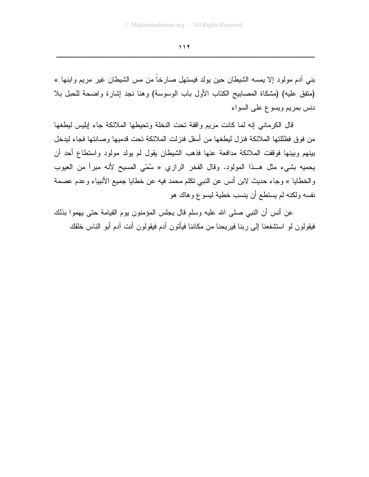بني أدم مولود إلا يمسه الشيطان حين يولد فيستهل صارخا من مس الشيطان غير مريع وابنها » (مَنْفَقِ عليه) (مشكاة المصابيح الكتاب الأول باب الوسوسة) وهنا نجد إشارة واضحة للحبل بلا دنس بمريم ويسوع على السواء

قال الكرماني إنه لما كانت مريم واقفة تحت النخلة وتحيطها الملائكة جاء إبليس ليطغها من فوق فظللتها الملائكة فنزل ليطغها من أسفل فنزلت الملائكة تحت قدميها وصانتها فجاء ليدخل بينهم وبينها فوقفت الملائكة مدافعة عنها فذهب الشيطان يقول لم يولد مولود واستطاع أحد أن يحميه بشيء مثل هــذا المولود. وقال الفخر الرازي « سُمّي المسيح لأنه مبرأ من العيوب والخطايا » وجاء حديث لابن أنس عن النبي نكلم محمد فيه عن خطايا جميع الأنبياء وعدم عصمة نفسه ولكنه لم يستطع أن ينسب خطية ليسوع وهاك هو

عن أنس أن النبي صلى الله عليه وسلم قال يجلس المؤمنون بوم القيامة حتى بهموا بذلك فيقولون لو استشفعنا إلى ربنا فيريحنا من مكاننا فيأتون آدم فيقولون أنت آدم أبو الناس خلقك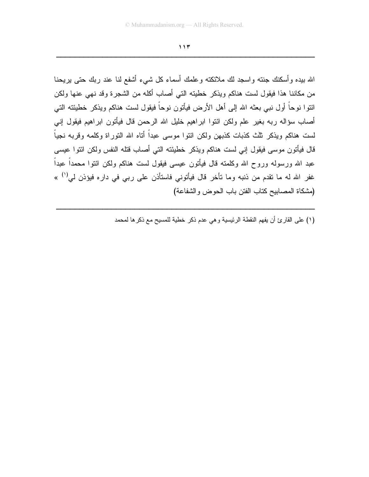الله بيده و أسكنك جنته و اسجد لك ملائكته و علمك أسماء كل شبيء أشفع لنا عند ربك حتى بريحنا من مكاننا هذا فيقول لست هناكم ويذكر خطيته التبي أصاب أكله من الشجرة وقد نـهي عنـها ولكن ائتوا نوحاً أول نبـى بعثـه الله إلـى أهل الأرض فيأتون نوحاً فيقول لست هناكم ويذكر خطيئته التـى أصاب سؤاله ربه بغير علم ولكن ائتوا ابراهيم خليل الله الرحمن قال فيأتون ابراهيم فيقول إنبي لست هناكم ويذكر ثلث كذبات كذبهن ولكن ائتوا موسى عبداً أناه الله النوراة وكلمه وفربه نجياً قال فيأتون موسى فيقول إنبي لست هناكم ويذكر خطيئته التبي أصـاب قتله النفس ولكن ائتوا عيسى عبد الله ورسوله وروح الله وكلمته قال فيأتون عيسى فيقول لست هناكم ولكن ائتوا محمداً عبداً غفر الله له ما نقدم من ذنبه وما نأخر قال فيأتوني فاستأذن على ربي في داره فيؤذن لي<sup>(١)</sup> » (مشكاة المصابيح كتاب الفتن باب الحوض والشفاعة)

(١) على القارئ أن يفهم النقطة الرئيسية و هي عدم ذكر خطية للمسيح مع ذكر ها لمحمد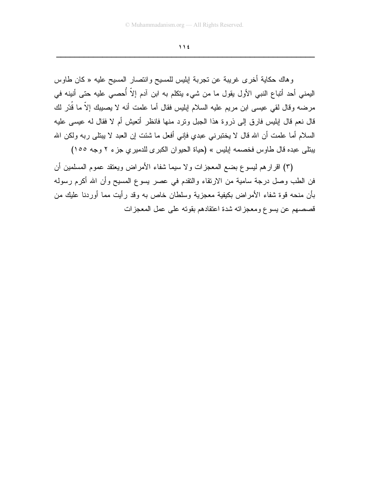وهاك حكاية أخرى غريبة عن نجربة إبليس للمسيح وانتصار المسيح عليه « كان طاوس اليمني أحد أتباع النبي الأول يقول ما من شيء يتكلم به ابن آدم إلاّ أُحصـي عليه حتى أنينه في مرضه وقال لقى عيسى ابن مريم عليه السلام إبليس فقال أما علمت أنه لا يصيبك إلاّ ما قُدّر لك قال نعم قال إبليس فارق إلى ذروة هذا الـجبل ونرد منها فانظر أتعيش أم لا فقال له عيسى عليه السلام أما علمت أن الله قال لا يختبرني عبدي فإني أفعل ما شئت إن العبد لا يبتلي ربه ولكن الله يبتلي عبده قال طاوس فخصمه إبليس » (حياة الحيوان الكبرى للدميري جزء ٢ وجه ١٥٥)

(٣) اقرارهم ليسوع بضع المعجزات ولا سيما شفاء الأمراض ويعتقد عموم المسلمين أن فن الطب وصل درجة سامية من الارتقاء والنقدم في عصر يسوع المسيح وأن الله أكرم رسوله بأن منحه قوة شفاء الأمراض بكيفية معجزية وسلطان خاص به وقد رأيت مما أوردنا عليك من قصصهم عن يسوع ومعجز انه شدة اعتقادهم بقوته على عمل المعجز ات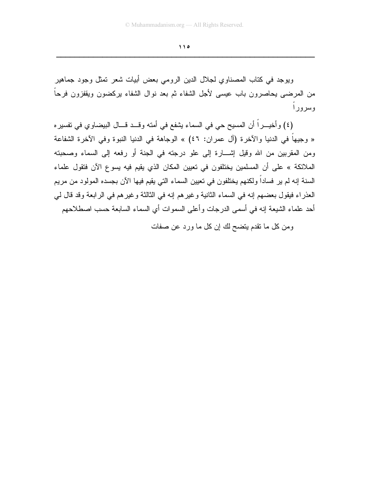$\bigwedge$ 

ويوجد في كتاب المصناوي لجلال الدين الرومي بعض أبيات شعر تمثل وجود جماهير من المرضى يحاصرون باب عيسى لأجل الشفاء ثم بعد نوال الشفاء بركضون ويقفزون فرحاً و سر و ر ا

(٤) وأخيــــراً أن المسيح حي في السماء يشفع في أمته وقـــد قـــال البيضـاوي في تفسير ه « وجيهاً في الدنيا والآخرة (أل عمران: ٤٦) » الوجاهة في الدنيا النبوة وفي الآخرة الشفاعة ومن المقربين من الله وقيل إشـــارة إلى علو درجته في الجنة أو رفعه إلى السماء وصحبته الملائكة » على أن المسلمين يختلفون في تعيين المكان الذي يقيم فيه يسوع الآن فتقول علماء السنة إنه لم ير فساداً ولكنهم يختلفون في نعيين السماء التي يقيم فيها الآن بجسده المولود من مريم العذراء فيقول بعضهم إنه في السماء الثانية وغيرهم إنه في الثالثة وغيرهم في الرابعة وقد قال لي أحد علماء الشيعة إنه في أسمى الدرجات وأعلى السموات أي السماء السابعة حسب اصطلاحهم

ومن كل ما نقدم يتضح لك إن كل ما ورد عن صفات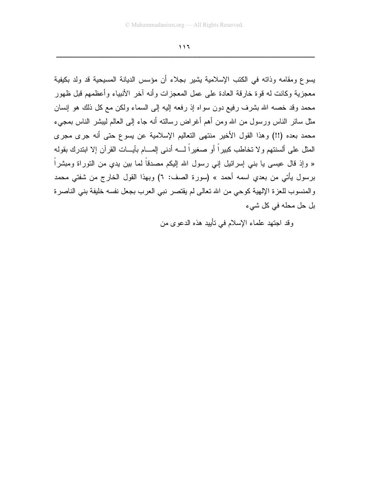$\mathbf{11}$ 

يسوع ومقامه وذاته في الكتب الإسلامية يشير بجلاء أن مؤسس الديانة المسيحية قد ولد بكيفية معجزية وكانت له قوة خارقة العادة على عمل المعجزات وأنه آخر الأنبياء وأعظمهم قبل ظهور محمد وقد خصه الله بشرف رفيع دون سواه إذ رفعه إليه إلى السماء ولكن مع كل ذلك هو إنسان مثل سائر الناس ورسول من الله ومن أهم أغراض رسالته أنه جاء إلى العالم لبيشر الناس بمجيء محمد بعده (!!) وهذا القول الأخير منتهى النعاليم الإسلامية عن يسوع حتى أنه جرى مجرى المثل على ألسنتهم ولا تخاطب كبيراً أو صغيراً لـــــــــه أدنى المــــــام بآيـــــات القرآن إلا ابتدرك بقولـه « وإذ قال عيسى يا بنبي إسرائيل إنبي رسول الله إليكم مصدقاً لما بين يدي من النوراة ومبشراً برسول يأتي من بعدي اسمه أحمد » (سورة الصف: ٦) وبهذا القول الخارج من شفتي محمد والمنسوب للعزة الإلهية كوحي من الله نعالى لم يقتصر نبي العرب بجعل نفسه خليفة بني الناصرة بل حل محله في كل شيء

وقد اجتهد علماء الإسلام في تأييد هذه الدعوى من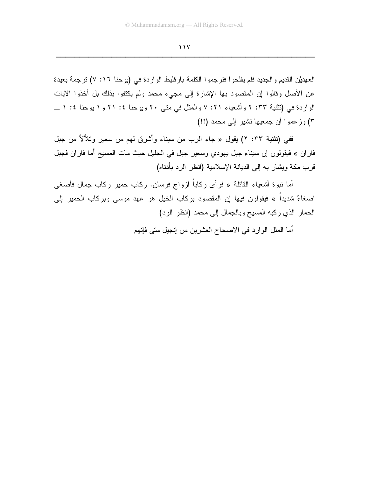$11V$ 

العهديْنِ القديمِ والجديدِ فلم يفلحوا فترجموا الكلمة بار قليط الواردة في (يوحنا ١٦: ٧) ترجمة بعيدة عن الأصل وقالوا إن المقصود بها الإشارة إلى مجيء محمد ولم يكتفوا بذلك بل أخذوا الآيات الواردة في (تثنية ٢٣: ٢ وأشعباء ٢١: ٧ والمثل في متى ٢٠ ويوحنا ٤: ٢١ و ١ بوحنا ٤: ١ \_ ٣) وزعموا أن جمعيها نشير إلى محمد (!!)

ففي (نثنية ٢٣: ٢) يقول « جاء الرب من سيناء وأشرق لمهم من سعير ونلألأ من جبل فاران » فيقولون إن سيناء جبل يهودي وسعير جبل في الجليل حيث مات المسيح أما فاران فجبل قرب مكة ويشار به إلى الديانة الإسلامية (انظر الرد بأدناه)

أما نبوة أشعياء القائلة « فرأى ركاباً أزواج فرسان. ركاب حمير ركاب جمال فأصغى اصغاءً شديداً » فيقولون فيها إن المقصود بركاب الخيل هو عهد موسى وبركاب الحمير إلى الحمار الذي ركبه المسيح وبالجمال إلى محمد (انظر الرد)

أما المثل الوارد في الاصحاح العشرين من إنجيل متى فإنهم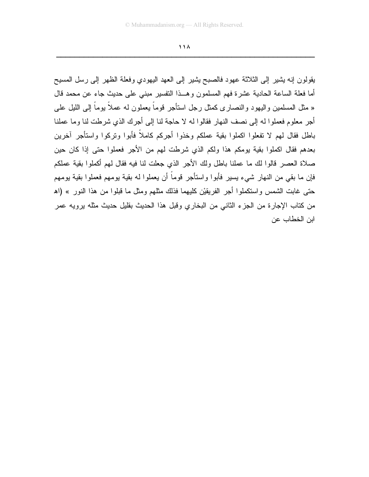$\bigwedge$ 

بقولون إنه بشير إلى الثلاثة عهود فالصبح بشير إلى العهد البهودي وفعلة الظهر إلى رسل المسبح أما فعلة الساعة الحادية عشرة فهم المسلمون وهــذا النفسير مبنى على حديث جاء عن محمد قال « مثل المسلمين واليهود والنصـار ى كمثل رجل استأجر قوماً يعملون لـه عملاً يوماً إلـى الليل علـى أجر معلوم فعملوا له إلى نصف النهار فقالوا له لا حاجة لنا إلى أجرك الذي شرطت لنا وما عملنا باطل فقال لمهم لا تفعلوا اكملوا بقية عملكم وخذوا أجركم كاملاً فأبوا ونركوا واستأجر أخرين بعدهم فقال اكملوا بقية بومكم هذا ولكم الذي شرطت لهم من الأجر فعملوا حتى إذا كان حين صلاة العصر قالوا لك ما عملنا باطل ولك الأجر الذي جعلت لنا فيه فقال لهم أكملوا بقية عملكم فإن ما بقي من النهار شيء يسير فأبو ا و استأجر قوماً أن يعملو ا له بقية يو مهم فعملو ا بقية يو مهم حتى غابت الشمس واستكملوا أجر الفريقيْن كليهما فذلك مثلهم ومثل ما قبلوا من هذا النور » (اهـ من كتاب الإجار ة من الجز ء الثاني من البخار ي وقبل هذا الحديث بقليل حديث مثله بر و يه عمر ابن الخطاب عن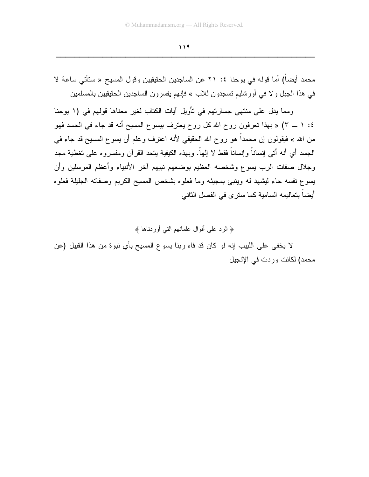محمد أيضاً) أما قوله في يوحنا ٤: ٢١ عن الساجدين الحقيقيين وقول المسيح « ستأتي ساعة لا في هذا الجبل و لا في أورشليم تسجدون للاب » فإنهم يفسرون الساجدين الحقيقيين بالمسلمين

ومما يدل على منتهى جسارتهم في تأويل آيات الكتاب لغير معناها قولهم في (١ يوحنا ٤: ١ ــ ٣) « بهذا تعرفون روح الله كل روح يعترف بيسوع المسيح أنه قد جاء في الجسد فهو من الله » فيقولون إن محمداً هو روح الله الحقيقي لأنه اعترف وعلم أن يسوع المسيح قد جاء في الـجسد أي أنـه أنـَى إنسـانـاً وإنسـانـاً فقط لا إلـهاً. وبـهذه الكيفيـة ينـحد القرآن ومفسروه علـى تغطية مـجد وجلال صفات الرب يسوع وشخصه العظيم بوضعهم نبيهم أخر الأنبياء وأعظم المرسلين وأن يسوع نفسه جاء ليشهد له وينبئ بمجيئه وما فعلوه بشخص المسيح الكريم وصفاته الجليلة فعلوه أيضاً بتعاليمه السامية كما سنرى في الفصل الثاني

﴿ الرد على أقوال علمائهم التي أوردناها ﴾

لا يخفي على اللبيب إنه لو كان قد فاه ربنا يسوع المسيح بأي نبوة من هذا القبيل (عن محمد) لكانت وردت في الإنجيل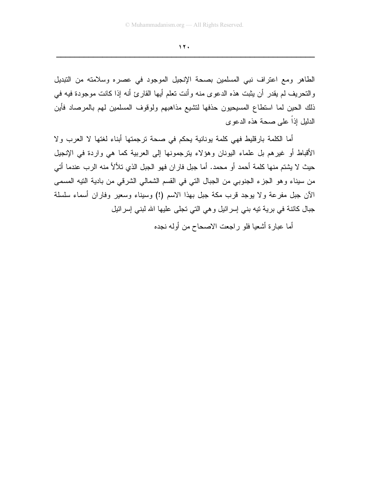$17.$ 

الطاهر ومع اعتراف نبي المسلمين بصحة الإنجيل الموجود في عصره وسلامته من التبديل والتحريف لم يقدر أن يثبت هذه الدعوى منه وأنت نعلم أيها القارئ أنه إذا كانت موجودة فيه في ذلك الحين لما استطاع المسيحيون حذفها لتشيع مذاهبهم ولوقوف المسلمين لهم بالمرصاد فأين الدليل إذاً على صحة هذه الدعوى

أما الكلمة بارقليط فهي كلمة يونانية يحكم في صحة ترجمتها أبناء لغتها لا العرب ولا الأقباط أو غيرهم بل علماء اليونان وهؤلاء يترجمونها إلىي العربية كما هي واردة في الإنجيل حيث لا يشتم منها كلمة أحمد أو محمد. أما جبل فاران فهو الجبل الذي تلألأ منه الرب عندما أتي من سيناء وهو الجزء الجنوبي من الجبال التي في القسم الشمالي الشرقي من بادية التيه المسمى الآن جبل مفرعة ولا يوجد قرب مكة جبل بهذا الاسم (!) وسيناء وسعير وفاران أسماء سلسلة جبال كائنة في برية تيه بني إسرائيل وهي التي تجلِّي عليها الله لبني إسرائيل

أما عبارة أشعيا فلو راجعت الاصحاح من أوله نجده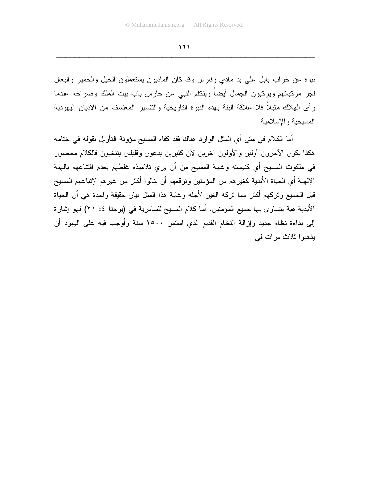نبوة عن خراب بابل على يد مادي وفارس وقد كان الماديون يستعملون الخيل والحمير والبغال لجر مركباتهم ويركبون الجمال أيضاً ويتكلم النبي عن حارس باب بيت الملك وصراخه عندما رأى الهلاك مقبلاً فلا علاقة البتة بهذه النبوة التاريخية والتفسير المعتسف من الأديان اليهودية المسبحبة والإسلامبة

أما الكلام في متى أي المثل الوارد هناك فقد كفاه المسيح مؤونة النأويل بقوله في خنامه هكذا يكون الأخرون أولين والأولون أخرين لأن كثيرين يدعون وقليلين ينتخبون فالكلام محصور في ملكوت المسيح أي كنيسته وغاية المسيح من أن يري تلاميذه غلطهم بعدم اقتناعهم بالهبة الإلهية أي الحياة الأبدية كغيرهم من المؤمنين وتوقعهم أن ينالوا أكثر من غيرهم لإتباعهم المسيح قبل الجميع وتركهم أكثر مما تركه الغير لأجله وغاية هذا المثل بيان حقيقة واحدة هي أن الحياة الأبدية هبة يتساوى بها جميع المؤمنين. أما كلام المسيح للسامرية في (يوحنا ٤: ٢١) فهو إشارة إلى بداءة نظام جديد وإزالة النظام القديم الذي استمر ١٥٠٠ سنة وأوجب فيه على اليهود أن يذهبوا ثلاث مرات في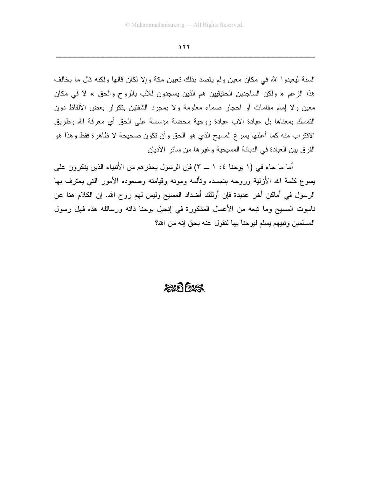السنة ليعبدوا الله في مكان معين ولم يقصد بذلك نعيين مكة وإلا لكان قالها ولكنه قال ما يخالف هذا الزعم « ولكن الساجدين الحقيقيين هم الذين يسجدون للأب بالروح والحق » لا في مكان معين ولا إمام مقامات أو احجار صماء معلومة ولا بمجرد الشفتين بتكرار بعض الألفاظ دون النَّمسك بمعناها بل عبادة الأب عبادة روحية محضة مؤسسة على الحق أي معرفة الله وطريق الاقتراب منه كما أعلنها يسوع المسيح الذي هو الحق وأن نكون صحيحة لا ظاهرة فقط وهذا هو الفرق بين العبادة في الديانة المسيحية وغيرها من سائر الأديان

أما ما جاء في (١ يوحنا ٤: ١ \_ ٣) فإن الرسول يحذرهم من الأنبياء الذين ينكرون على يسوع كلمة الله الأزلية وروحه بتجسده وتألمه وموته وقيامته وصعوده الأمور التي يعترف بها الرسول في أماكن أخر عديدة فإن أولئك أضداد المسيح وليس لهم روح الله. إن الكلام هنا عن ناسوت المسيح وما تبعه من الأعمال المذكورة في إنجيل يوحنا ذاته ورسائله هذه فهل رسول المسلمين ونبيهم يسلم ليوحنا بها لنقول عنه بحق إنه من الله؟

## $20025$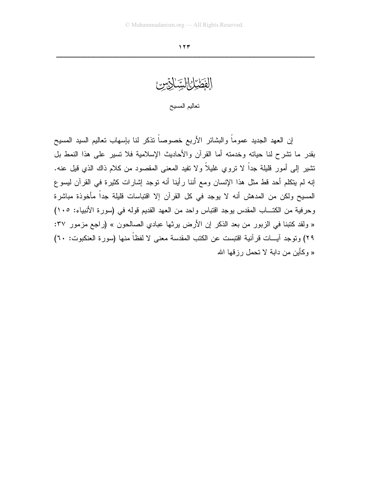الفَطَيْرُانِالِيَّاكِتِسْ تعاليم المسيح

إن العهد الجديد عموماً والبشائر الأربع خصوصاً نذكر لنا بإسهاب نعاليم السيد المسيح بقدر ما تشرح لنا حياته وخدمته أما القرآن والأحاديث الإسلامية فلا تسير على هذا النمط بل نتثـير ٳلمي أمور قليلـة جداً لا نزوي غليلاً ولا نفيد المعنـي المقصـود من كـلام ذاك الذي قيل عنـه. إنه لم يتكلم أحد قط مثل هذا الإنسان ومع أننا رأينا أنه توجد إشارات كثيرة في القرآن ليسوع المسيح ولكن من المدهش أنه لا يوجد في كل القرآن إلا اقتباسات قليلة جداً مأخوذة مباشرة وحرفية من الكتـاب المقدس بوجد اقتباس واحد من العهد القديم قوله في (سورة الأنبياء: ١٠٥) « ولقد كتبنا في الزبور من بعد الذكر إن الأرض يرثها عبادي الصالحون » (راجع مزمور ٣٧: ٢٩) وتوجد آيسات قر آنية اقتبست عن الكتب المقدسة معنى لا لفظاً منها (سور ة العنكبوت: ٦٠) « وكأين من داية لا تحمل رزقها الله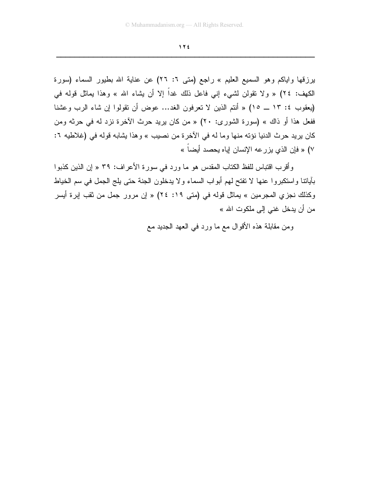برزقها واياكم وهو السميع العليم » راجع (متى ٦: ٢٦) عن عناية الله بطيور السماء (سورة الكهف: ٢٤) « ولا نقولن لشيء إني فاعل ذلك غداً إلا أن يشاء الله » وهذا يماثل قوله في (يعقوب ٤: ١٣ ــ ١٥) « أنتم الذين لا تعرفون الغد... عوض أن نقولوا إن شاء الرب وعشنا ففعل هذا أو ذاك » (سورة الشورى: ٢٠) « من كان بريد حرث الأخرة نزد له في حرثه ومن كان يريد حرث الدنيا نؤته منها وما له في الآخرة من نصيب » وهذا يشابه قوله في (غلاطيه ٢: ٧) « فإن الذي يزرعه الإنسان إياه يحصد أيضاً »

وأقرب اقتباس للفظ الكتاب المقدس هو ما ورد في سورة الأعراف: ٣٩ « إن الذين كذبوا بأيانتنا واستكبروا عنها لا تفتح لمهم أبواب السماء ولا يدخلون الجنة حتى يلج الجمل في سم الخياط وكذلك نجزى المجرمين » يماثل قوله في (متى ١٩: ٢٤) « إن مرور جمل من ثقب إبرة أيسر من أن بدخل غني الى ملكوت الله »

ومن مقابلة هذه الأقوال مع ما ورد في العهد الجديد مع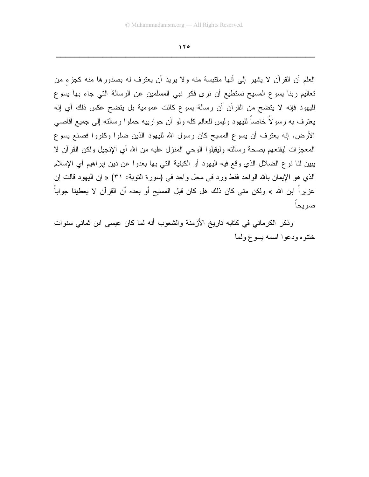العلم أن القرآن لا يشير إلى أنها مقتبسة منه ولا يريد أن يعترف له بصدورها منه كجزء من تعاليم ربنا يسوع المسيح نستطيع أن نرى فكر نبي المسلمين عن الرسالة التي جاء بها يسوع لليهود فإنه لا يتضح من القرآن أن رسالة يسوع كانت عمومية بل يتضح عكس ذلك أي إنه يعترف به رسولاً خاصاً للبهود وليس للعالم كله ولو أن حوارييه حملوا رسالته إلى جميع أقاصبي الأرض. إنه يعترف أن يسوع المسيح كان رسول الله لليهود الذين ضلوا وكفروا فصنع يسوع المعجزات ليقنعهم بصحة رسالته وليقبلوا الوحى المنزل عليه من الله أي الإنجيل ولكن القرآن لا يبين لنا نوع الضلال الذي وقع فيه اليهود أو الكيفية التي بها بعدوا عن دين إبراهيم أي الإسلام الذي هو الإيمان بالله الواحد فقط ورد في محل واحد في (سورة التوبة: ٣١) « إن اليهود قالت إن عزيراً ابن الله » ولكن متى كان ذلك هل كان قبل المسيح أو بعده أن القرآن لا يعطينا جواباً صريحاً

وذكر الكرماني في كتابه تاريخ الأزمنة والشعوب أنه لما كان عيسى ابن ثماني سنوات خنتوه ودعوا اسمه يسوع ولما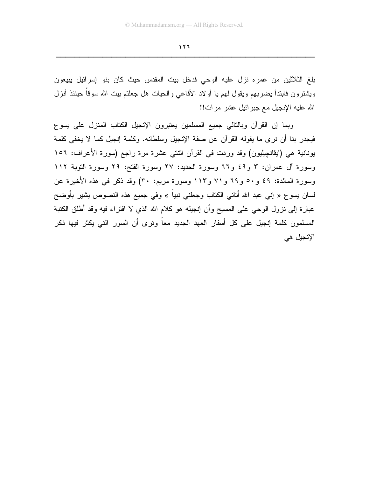بلغ الثلاثين من عمره نزل عليه الوحي فدخل بيت المقدس حيث كان بنو إسرائيل يبيعون ويشترون فابندأ يضربهم ويقول لهم يا أولاد الأفاعي والحيات هل جعلتم ببت الله سوقاً حينئذ أنزل الله عليه الإنجيل مع جبر ائيل عشر مرات!!

وبما إن القرآن وبالتالي جميع المسلمين يعتبرون الإنجيل الكتاب المنزل على يسوع فيجدر بنا أن نرى ما يقوله القرآن عن صفة الإنجيل وسلطانه. وكلمة إنجيل كما لا يخفي كلمة بونانية هي (ايڤانچِيليون) وقد وردت في القرآن اثنتي عشرة مرة راجع (سورة الأعراف: ١٥٦ وسورة أل عمران: ٣ و٤٩ و٦٦ وسورة الحديد: ٢٧ وسورة الفتح: ٢٩ وسورة التوبة ١١٢ وسورة المائدة: ٤٩ و٥٠ و ٦٩ و ٧١ و ١١٣ وسورة مريم: ٣٠) وقد ذكر في هذه الأخيرة عن لسان يسوع « إني عبد الله أتاني الكتاب وجعلني نبياً » وفي جميع هذه النصوص يشير بأوضح عبارة إلى نزول الوحي على المسيح وأن إنجيله هو كلام الله الذي لا افتراء فيه وقد أطلق الكتبة المسلمون كلمة إنجيل على كل أسفار العهد الجديد معا ونرى أن السور النبي يكثر فيها ذكر الإنجيل هي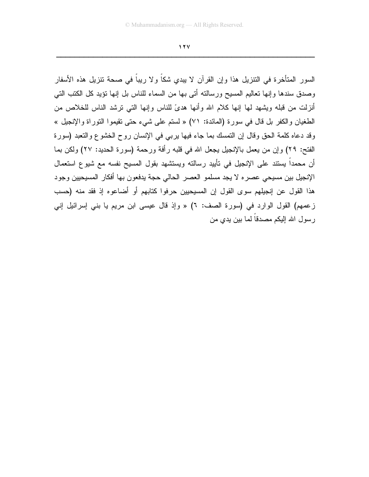$11Y$ 

السور المتأخرة في التنزيل هذا وإن القرآن لا يبدى شكاً ولا ريباً في صحة تنزيل هذه الأسفار وصدق سندها وإنها تعاليم المسيح ورسالته أتى بها من السماء للناس بل إنها نؤيد كل الكتب التي أنزلت من قبله ويشهد لها إنها كلام الله وأنها هدىً للناس وإنها التي نرشد الناس للخلاص من الطغيان والكفر بل قال في سورة (المائدة: ٧١) « لسنَّم على شيء حتى نقيموا النَّوراة والإنجيل » وقد دعاه كلمة الحق وقال إن النمسك بما جاء فيها بربي في الإنسان روح الخشوع والنعبد (سورة الفتح: ٢٩) وإن من يعمل بالإنجيل يجعل الله في قلبه رأفة ورحمة (سورة الحديد: ٢٧) ولكن بما أن محمداً يستند على الإنجيل في تأييد رسالته ويستشهد بقول المسيح نفسه مع شيوع استعمال الإنجيل بين مسيحي عصره لا يجد مسلمو العصر الحالي حجة يدفعون بها أفكار المسيحيين وجود هذا القول عن إنجيلهم سوى القول إن المسيحيين حرفوا كتابهم أو أضاعوه إذ فقد منه (حسب زعمهم) القول الوارد في (سورة الصف: ٦) « وإذ قال عيسى ابن مريم يا بني إسرائيل إني رسول الله اللكم مصدقا لما بين يدى من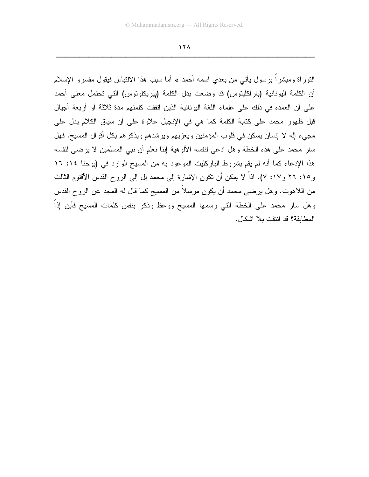$17<sub>A</sub>$ 

النوراة ومبشراً برسول يأتـى من بعدي اسمه أحمد » أما سبب هذا الالتباس فيقول مفسرو الإسلام أن الكلمة اليونانية (باراكليتوس) قد وضعت بدل الكلمة (بيريكلونوس) التي تحتمل معنى أحمد على أن العمده في ذلك على علماء اللغة اليونانية الذين اتفقت كلمتهم مدة ثلاثة أو أربعة أجيال قبل ظهور محمد على كتابة الكلمة كما هي في الإنجيل علاوة على أن سياق الكلام يدل على مجيء إله لا إنسان يسكن في قلوب المؤمنين ويعزيهم ويرشدهم ويذكرهم بكل أقوال المسيح. فهل سار محمد على هذه الخطة وهل ادعى لنفسه الألوهية إننا نعلم أن نبي المسلمين لا يرضي لنفسه هذا الإدعاء كما أنه لم يقم بشروط الباركليت الموعود به من المسيح الوارد في (يوحنا ١٤: ١٦ و ١٥: ٢٦ و ١٧: ٧). إذاً لا يمكن أن نكون الإشارة إلى محمد بل إلى الروح القدس الأقنوم الثالث من اللاهوت. وهل يرضي محمد أن يكون مرسلاً من المسيح كما قال له المجد عن الروح القدس وهل سار محمد على الخطة التي رسمها المسيح ووعظ وذكر بنفس كلمات المسيح فأين إذاً المطابقة؟ قد انتفت بلا اشكال.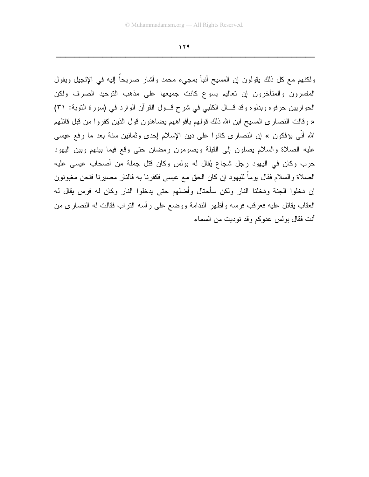ولكنهم مع كل ذلك يقولون إن المسيح أنبأ بمجيء محمد وأشار صريحاً إليه في الإنجيل ويقول المفسرون والمتأخرون إن تعاليم بسوع كانت جميعها على مذهب التوحيد الصرف ولكن الحواريين حرفوه وبدلوه وقد قـال الكلبي في شرح قـول القرآن الوارد في (سورة التوبة: ٣١) « وفالت النصاري المسيح ابن الله ذلك قولهم بأفواههم يضاهئون قول الذين كفروا من قبل فاتلهم الله أنِّي يؤفكون » إن النصاري كانوا على دين الإسلام إحدى وثمانين سنة بعد ما رفع عيسى عليه الصلاة والسلام بصلون إلى القبلة ويصومون رمضان حتى وقع فيما بينهم وبين اليهود حرب وكان في اليهود رجل شجاع يُقال له بولس وكان قتل جملة من أصحاب عيسى عليه الصلاة والسلام فقال يوماً لليهود إن كان الحق مع عيسى فكفرنا به فالنار مصبرنا فنحن مغبونون إن دخلوا الجنة ودخلنا النار ولكن سأحتال وأضلهم حتى يدخلوا النار وكان له فرس يقال له العقاب يقاتل عليه فعرفب فرسه وأظهر الندامة ووضع على رأسه النراب فقالت له النصارى من أنت فقال بولس عدوكم وقد نوديت من السماء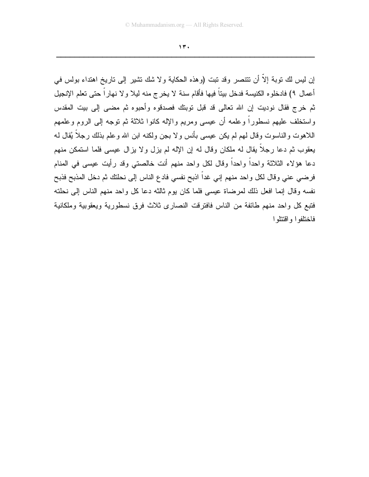$14.$ 

إن ليس لك نوبة إلاّ أن نتتصر وقد نبت (وهذه الحكاية ولا شك نشير إلى ناريخ اهتداء بولس في أعمال ٩) فادخلوه الكنيسة فدخل بيتاً فيها فأقام سنة لا يخرج منه ليلا ولا نهاراً حتى تعلم الإنجيل ثم خرج فقال نوديت إن الله تعالى قد قبل توبتك فصدقوه وأحبوه ثم مضىي إلى بيت المقدس واستخلف عليهم نسطوراً وعلمه أن عيسى ومريم والإله كانوا ثلاثة ثم توجه إلى الروم وعلمهم اللاهوت والناسوت وقال لهم لم يكن عيسى بأنس ولا بجن ولكنه ابن الله وعلم بذلك رجلًا يُقال لـه يعقوب ثم دعا رجلًا يقال له ملكان وقال له إن الإله لم يزل ولا يزال عيسى فلما استمكن منهم دعا هؤلاء الثلاثة واحدًا واحدًا وقال لكل واحد منهم أنت خالصتي وقد رأيت عيسى في المنام فرضي عني وقال لكل واحد منهم إني غداً اذبح نفسي فادع الناس إلى نحلتك ثم دخل المذبح فذبح نفسه وقال إنما افعل ذلك لمرضاة عيسى فلما كان يوم ثالثه دعا كل واحد منهم الناس إلى نحلته فتبع كل واحد منهم طائفة من الناس فافترقت النصاري ثلاث فرق نسطورية ويعقوبية وملكانية فاختلفوا واقتتلوا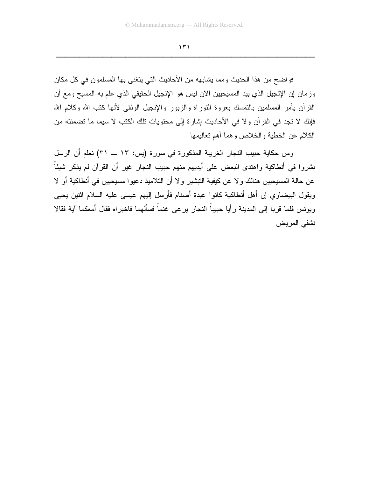فواضح من هذا الحديث ومما يشابهه من الأحاديث التي يتغنى بها المسلمون في كل مكان وزمان إن الإنجيل الذي بيد المسيحيين الآن ليس هو الإنجيل الحقيقي الذي علم به المسيح ومع أن القرآن يأمر المسلمين بالتمسك بعروة التوراة والزبور والإنجيل الوثقى لأنها كتب الله وكلام الله فإنك لا تجد في القرآن ولا في الأحاديث إشارة إلى محتويات تلك الكتب لا سيما ما تضمنته من الكلام عن الخطية والخلاص وهما أهم تعاليمها

ومن حكاية حبيب النجار الغريبة المذكورة في سورة (يس: ١٣ ــ ٣١) نعلم أن الرسل بشروا في أنطاكية واهتدى البعض على أيديهم منهم حبيب النجار غير أن القرآن لم يذكر شيئاً عن حالة المسيحيين هنالك ولا عن كيفية التبشير ولا أن التلاميذ دعيوا مسيحيين في أنطاكية أو لا ويقول البيضاوي إن أهل أنطاكية كانوا عبدة أصنام فأرسل إليهم عيسى عليه السلام اثنين يحيى ويونس فلما قربا إلى المدينة رأيا حبيباً النجار يرعى غنماً فسألهما فاخبراه فقال أمعكما آية فقالا نشفي المريض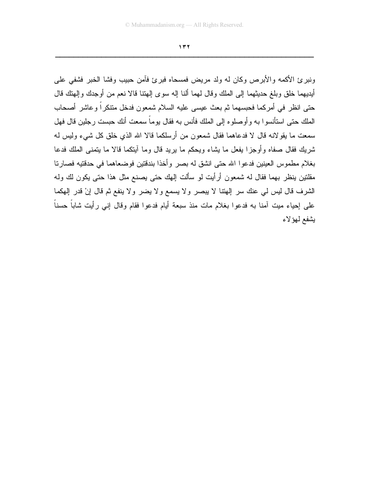ونبرئ الأكمه والأبرص وكان له ولد مريض فمسحاه فبرئ فأمن حبيب وفشا الخبر فشفى على أيديهما خلق وبلغ حديثهما إلى الملك وقال لهما ألنا إله سوى إلهتنا قالا نعم من أوجدك وإلهتك قال حتى انظر في أمركما فحبسهما ثم بعث عيسى عليه السلام شمعون فدخل متنكراً وعاشر أصحاب الملك حتى استأنسو ا به و أو صلو ه إلى الملك فأنس به فقال يو ماً سمعت أنك حبست رجلين قال فهل سمعت ما يقولانه قال لا فدعاهما فقال شمعون من أرسلكما قالا الله الذي خلق كل شيء وليس له شريك فقال صفاه وأوجزًا بفعل ما يشاء ويحكم ما بريد قال وما آيتكما قالا ما يتمنى الملك فدعا بغلام مطموس العينين فدعوا الله حتى انشق له بصر وأخذا بندقتين فوضعاهما في حدقتيه فصارتا مقلتين ينظر بهما فقال له شمعون أرأيت لو سألت إلهك حتى يصنع مثل هذا حتى يكون لك وله الشرف قال ليس لمي عنك سر إلهتنا لا يبصر ولا يسمع ولا يضر ولا ينفع ثم قال إنْ قدر إلهكما على إحياء ميت آمنا به فدعوا بغلام مات منذ سبعة أيام فدعوا فقام وقال إني رأيت شاباً حسناً يشفع لمهؤلاء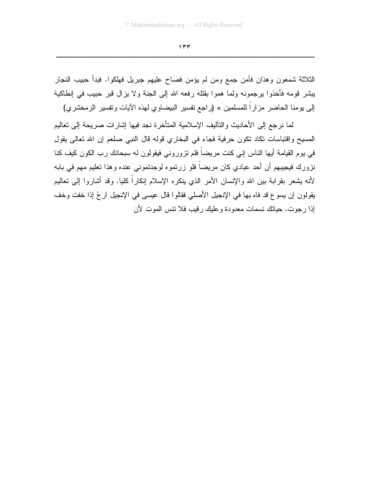الثلاثة شمعون وهذان فآمن جمع ومن لم يؤمن فصاح عليهم جبريل فهلكوا. فبدأ حبيب النجار يبشر قومه فأخذوا يرجمونه ولما هموا بقتله رفعه الله إلى الجنة ولا يزال قبر حبيب في إنطاكية إلى يومنا الحاضر مزاراً للمسلمين » (راجع تفسير البيضاوي لهذه الأيات وتفسير الزمخشري)

لما نرجع إلى الأحاديث والتآليف الإسلامية المتأخرة نجد فيها إشارات صريحة إلى تعاليم المسيح واقتباسات تكاد نكون حرفية فجاء في البخاري قوله قال النبي صلعم إن الله تعالى يقول في يوم القيامة أيها الناس إني كنت مريضاً فلم نزوروني فيقولون له سبحانك رب الكون كيف كنا نزورك فيجيبهم أن أحد عبادي كان مريضاً فلو زرتموه لوجدتموني عنده وهذا تعليم مهم في بابه لأنه يشعر بقرابة بين الله والإنسان الأمر الذي ينكره الإسلام إنكاراً كليا. وقد أشاروا إلىي تعاليم يقولون إن يسوع قد فاه بها في الإنجيل الأصلي فقالوا قال عيسى في الإنجيل ارجُ إذا خفت وخف إذا رجوت. حياتك نسمات معدودة و عليك رقيب فلا تتس الموت لأن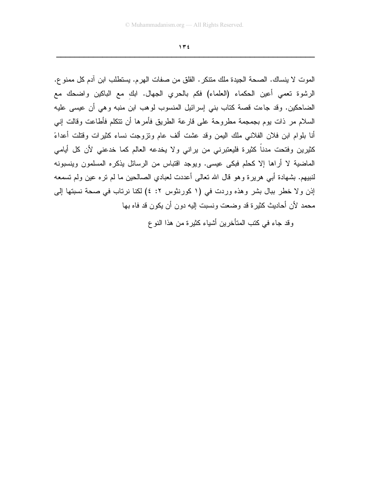الموت لا ينساك. الصحة الجيدة ملك منتكر. القلق من صفات الهرم. يستطلب ابن آدم كل ممنو ع. الرشوة نعمي أعين الحكماء (العلماء) فكم بالحري الجهال. ابك مع الباكين واضحك مع الضاحكين. وقد جاءت قصة كتاب بني إسرائيل المنسوب لوهب ابن منبه وهي أن عيسى عليه السلام مر ذات بوم بجمجمة مطروحة على قارعة الطريق فأمرها أن نتكلم فأطاعت وقالت إني أنا بلوام ابن فلان الفلاني ملك اليمن وقد عشت ألف عام ونزوجت نساء كثيرات وقتلت أعداءً كثيرين وفتحت مدناً كثيرة فليعتبرني من يراني ولا يخدعه العالم كما خدعني لأن كل أبامي الماضية لا أراها إلا كحلم فبكي عيسى. ويوجد افتباس من الرسائل بذكره المسلمون وينسبونه لنبيهم. بشهادة أبي هريرة وهو قال الله تعالى أعددت لعبادي الصالحين ما لم نره عين ولم تسمعه إذن ولا خطر ببال بشر وهذه وردت في (١ كورنثوس ٢: ٤) لكنا نرتاب في صحة نسبتها إلى محمد لأن أحاديث كثير ة قد وضعت ونسبت إليه دون أن يكون قد فاه بها

وقد جاء في كتب المتأخرين أشياء كثيرة من هذا النوع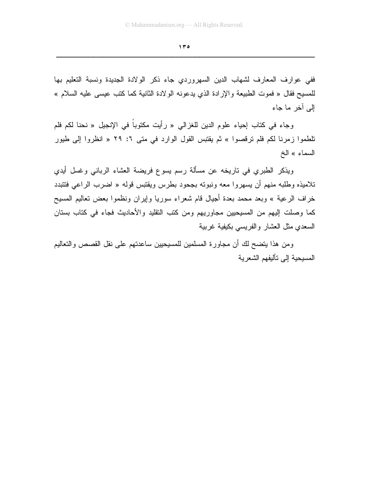ففي عوارف المعارف لشهاب الدين السهروردي جاء ذكر الولادة الجديدة ونسبة التعليم بها للمسيح فقال « فموت الطبيعة والإرادة الذي يدعونه الولادة الثانية كما كتب عيسى عليه السلام » الے آخر ما جاء

وجاء في كتاب إحياء علوم الدين للغزالي « رأيت مكتوباً في الإنجيل « نحنا لكم فلم نلطموا زمرنا لكم فلم نرقصوا » ثم يقتبس القول الوارد في متى ٦: ٢٩ « انظروا إلى طيور السماء » الخ

ويذكر الطبري في ناريخه عن مسألة رسم يسوع فريضة العشاء الرباني وغسل أيدي تلاميذه وطلبه منهم أن يسهروا معه ونبوته بجحود بطرس ويقتبس قوله « اضرب الراعي فتتبدد خراف الرعية » وبعد محمد بعدة أجيال قام شعراء سوريا وإيران ونظموا بعض تعاليم المسيح كما وصلت إليهم من المسيحيين مجاوريهم ومن كتب التقليد والأحاديث فجاء في كتاب بستان السعدى مثل العشار والفريسي بكيفية غربية

ومن هذا يتضح لك أن مجاورة المسلمين للمسيحيين ساعدتهم على نقل القصص والتعاليم المسيحية إلى تآليفهم الشعر ية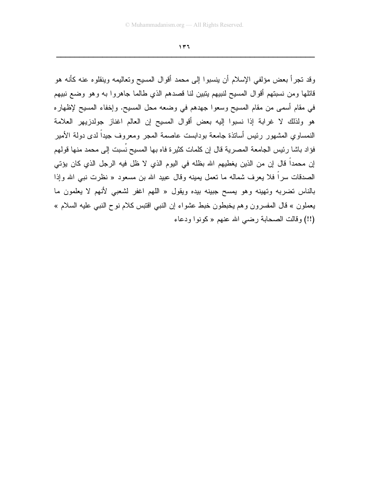وقد نجر أ بعض مؤلفي الإسلام أن ينسبو ا إلى محمد أقوال المسيح وتعاليمه وينقلوه عنه كأنه هو قائلها ومن نسبتهم أقوال المسيح لنبيهم يتبين لنا قصدهم الذي طالما جاهروا به وهو وضع نبيهم في مقام أسمى من مقام المسيح وسعوا جهدهم في وضعه محل المسيح. وإخفاء المسيح لإظهاره هو ولذلك لا غرابة إذا نسبوا إليه بعض أقوال المسيح إن العالم اغناز جولدزيهر العلامة النمساوي المشهور رئيس أسانذة جامعة بودابست عاصمة المجر ومعروف جيداً لدى دولة الأمير فؤاد باشا رئيس الجامعة المصرية قال إن كلمات كثيرة فاه بها المسيح نسبت إلى محمد منها قولهم إن محمداً قال إن من الذين يغطيهم الله بظله في اليوم الذي لا ظل فيه الرجل الذي كان يؤتي الصدقات سراً فلا يعرف شماله ما تعمل بمينه وقال عبيد الله بن مسعود « نظرت نبي الله وإذا بالناس تضربه وتهينه وهو بمسح جبينه بيده ويقول « اللهم اغفر لشعبي لأنهم لا يعلمون ما بعملون » قال المفسرون وهم يخبطون خبط عشواء إن النبي اقتبس كلام نوح النبي عليه السلام » (!!) وقالت الصحابة رضبي الله عنهم «كونوا ودعاء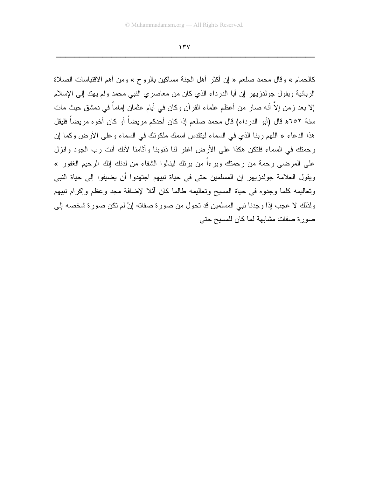كالحمام » وقال محمد صلعم « إن أكثر أهل الجنة مساكين بالروح » ومن أهم الاقتباسات الصلاة الربانية ويقول جولدزيهر إن أبا الدرداء الذي كان من معاصري النبي محمد ولم يهتد إلى الإسلام إلا بعد زمن إلاَّ أنه صار من أعظم علماء القرآن وكان في أيام عثمان إماماً في دمشق حيث مات سنة ٢٥٢ﻫ قال (أبو الدرداء) قال محمد صلعم إذا كان أحدكم مريضاً أو كان أخوه مريضاً فليقل هذا الدعاء « اللهم ربنا الذي في السماء ليتقدس اسمك ملكونك في السماء وعلى الأرض وكما إن رحمتك في السماء فلتكن هكذا على الأرض اغفر لنا ذنوبنا وأثامنا لأنك أنت رب الجود وانزل على المرضى رحمة من رحمتك وبرءاً من برئك لينالوا الشفاء من لدنك إنك الرحيم الغفور » ويقول العلامة جولدزيهر إن المسلمين حتى في حياة نبيهم اجتهدوا أن يضيفوا إلى حياة النبي وتعاليمه كلما وجدوه في حياة المسيح وتعاليمه طالما كان أئلا لإضافة مجد وعظم وإكرام نبيهم ولذلك لا عجب إذا وجدنا نبي المسلمين قد تحول من صورة صفاته إنْ لم تكن صورة شخصه إلى صورة صفات مشابهة لما كان للمسيح حتى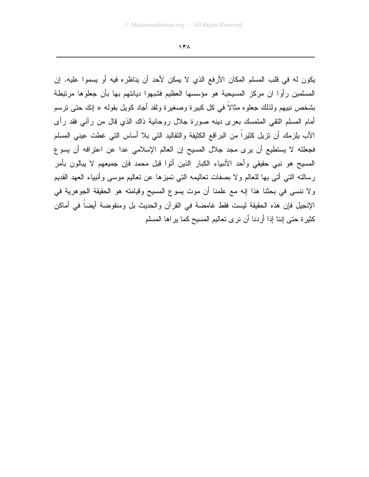$17<sub>A</sub>$ 

يكون له في قلب المسلم المكان الأرفع الذي لا يمكن لأحد أن يناظره فيه أو يسموا عليه. إن المسلمين رأوا ان مركز المسيحية هو مؤسسها العظيم فشبهوا ديانتهم بها بأن جعلوها مرتبطة بشخص نبيهم ولذلك جعلوه مثالاً في كل كبيرة وصغيرة ولقد أجاد كويل بقوله « إنك حتى نرسم أمام المسلم النقي المتمسك بعرى دينه صورة جلال روحانية ذاك الذي قال من رأني فقد رأى الأب يلزمك أن نزيل كثيراً من البراقع الكثيفة والنقاليد التي بلا أساس التي غطت عيني المسلم فجعلته لا يستطيع أن يرى مجد جلال المسيح إن العالم الإسلامي عدا عن اعترافه أن يسوع المسيح هو نبي حقيقي وأحد الأنبياء الكبار الذين أنوا قبل محمد فإن جميعهم لا يبالون بأمر رسالته التي أتي بها للعالم ولا بصفات تعاليمه التي تميزها عن تعاليم موسى وأنبياء العهد القديم ولا ننسى في بحثنا هذا إنه مع علمنا أن موت يسوع المسيح وقيامته هو الحقيقة الجوهرية في الإنجيل فإن هذه الحقيقة ليست فقط غامضة في القرآن والحديث بل ومنقوضة أيضاً في أماكن كثيرة حتى إننا إذا أردنا أن نرى تعاليم المسيح كما يراها المسلم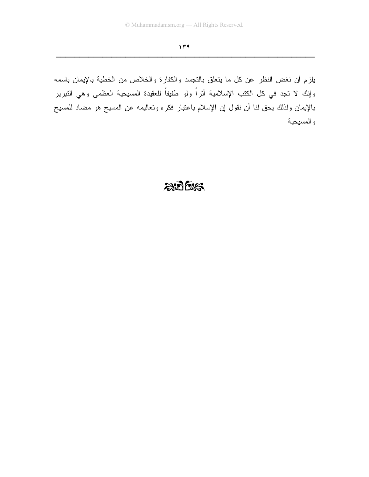يلزم أن نغض النظر عن كل ما يتعلق بالنجسد والكفارة والخلاص من الخطية بالإيمان باسمه وإنك لا نجد في كل الكتب الإسلامية أثراً ولو طفيفاً للعقيدة المسيحية العظمى وهي النبرير بالإيمان ولذلك يحق لنا أن نقول إن الإسلام باعتبار فكره ونعاليمه عن المسيح هو مضاد للمسيح والمسيحية

## $205$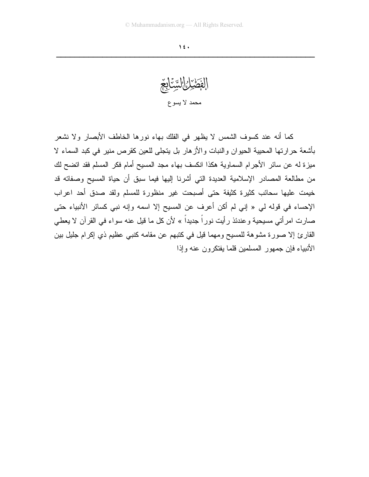الفَصَّرْانِ السَّنَابِغِ محمد لا يسوع

كما أنه عند كسوف الشمس لا يظهر في الفلك بهاء نورها الخاطف الأبصار ولا نشعر بأشعة حرارتها المحبية الحيوان والنبات والأزهار بل يتجلى للعين كقرص منير في كبد السماء لا ميزة له عن سائر الأجرام السماوية هكذا انكسف بهاء مجد المسيح أمام فكر المسلم فقد اتضح لك من مطالعة المصادر الإسلامية العديدة التي أشرنا إليها فيما سبق أن حياة المسيح وصفاته قد خيمت عليها سحائب كثيرة كثيفة حتى أصبحت غير منظورة للمسلم ولقد صدق أحد اعراب الإحساء في قوله لي « إني لم أكن أعرف عن المسيح إلا اسمه وإنه نبي كسائر الأنبياء حتى صارت امرأتي مسيحية وعندئذ رأيت نوراً جديداً » لأن كل ما قيل عنه سواء في القرآن لا يعطي القارئ إلا صورة مشوهة للمسيح ومهما قيل في كتبهم عن مقامه كنبي عظيم ذي إكرام جليل بين الأنبياء فإن جمهور المسلمين قلما يفتكرون عنه وإذا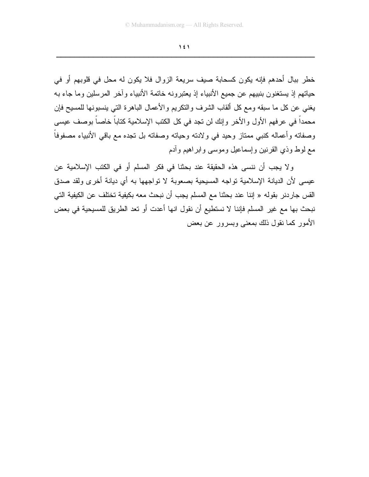خطر ببال أحدهم فإنه يكون كسحابة صيف سريعة الزوال فلا يكون له محل في قلوبهم أو في حياتهم إذ يستغنون بنبيهم عن جميع الأنبياء إذ يعتبرونه خاتمة الأنبياء وآخر المرسلين وما جاء به يغني عن كل ما سبقه ومع كل ألقاب الشرف والنكريم والأعمال الباهرة التي ينسبونها للمسيح فإن محمداً في عرفهم الأول والأخر وإنك لن تجد في كل الكتب الإسلامية كتاباً خاصاً بوصف عيسى وصفاته وأعماله كنبي ممتاز وحيد في ولادته وحياته وصفاته بل نجده مع باقي الأنبياء مصفوفاً مع لوط وذي القرنين وإسماعيل وموسى وابر اهيع وأدم

ولا يجب أن ننسى هذه الحقيقة عند بحثنا في فكر المسلم أو في الكتب الإسلامية عن عيسى لأن الديانة الإسلامية تواجه المسيحية بصعوبة لا تواجهها به أي ديانة أخرى ولقد صدق القس جاردنر بقوله « إننا عند بحثنا مع المسلم يجب أن نبحث معه بكيفية تختلف عن الكيفية التي نبحث بها مع غير المسلم فإننا لا نستطيع أن نقول انها أعدت أو تعد الطريق للمسيحية في بعض الأمور كما نقول ذلك بمعنى وبسرور عن بعض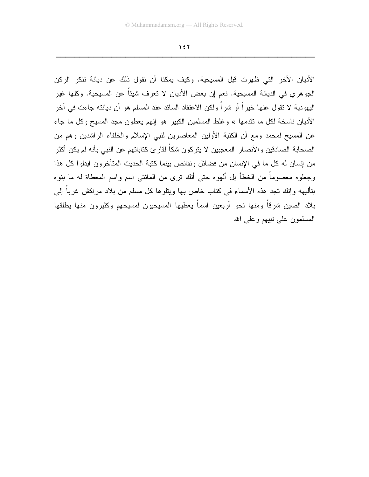الأديان الأخر التي ظهرت قبل المسيحية. وكيف يمكنا أن نقول ذلك عن ديانة تتكر الركن الجوهري في الديانة المسيحية. نعم إن بعض الأديان لا تعرف شيئاً عن المسيحية. وكلها غير اليهودية لا نقول عنها خيراً أو شراً ولكن الاعتقاد السائد عند المسلم هو أن ديانته جاءت في آخر الأديان ناسخة لكل ما نقدمها » وغلط المسلمين الكبير هو إنهم يعطون مجد المسيح وكل ما جاء عن المسيح لمحمد ومع أن الكتبة الأولين المعاصرين لنبي الإسلام والخلفاء الراشدين وهم من الصحابة الصادقين والأنصار المعجبين لا يتركون شكاً لقارئ كتاباتهم عن النبي بأنه لم يكن أكثر من إنسان له كل ما في الإنسان من فضائل ونقائص بينما كتبة الحديث المتأخرون ابدلوا كل هذا وجعلوه معصوماً من الخطأ بل ألهوه حتى أنك نرى من المائتي اسم واسم المعطاة له ما بنوه بتأليهه وإنك تجد هذه الأسماء في كتاب خاص بها ويتلوها كل مسلم من بلاد مراكش غرباً إلى بلاد الصين شرقاً ومنها نحو أربعين اسماً يعطيها المسيحيون لمسيحهم وكثيرون منها بطلقها المسلمون على نبيهم وعلى الله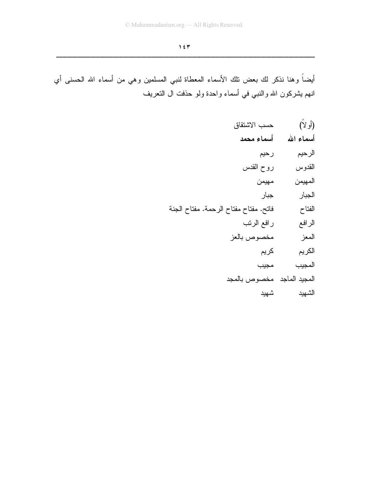أيضاً وهنا نذكر لك بعض نلك الأسماء المعطاة لنبي المسلمين وهي من أسماء الله الحسنى أي انـهم بشركون الله والنَّنبي في أسماء واحدة ولمو حذفت ال النـعريف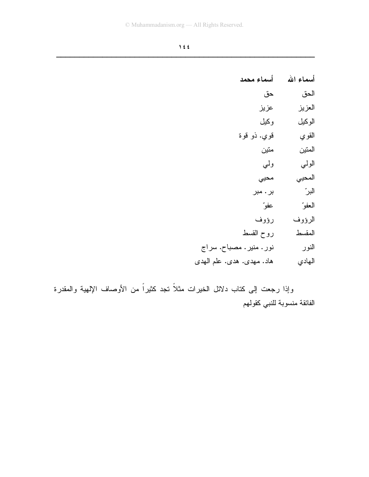| أسماء محمد                 | أسماء الله |
|----------------------------|------------|
| حق                         | الحق       |
| عزيز                       | العزيز     |
| وكيل                       | الوكيل     |
| قوي. ذو قوة                | القوي      |
| منين                       | المتين     |
| ولي                        | الولى      |
| محيي                       | المحيى     |
| بر . مبر                   | البر"      |
| عفوّ                       | العفو      |
| رؤوف                       | الرؤوف     |
| روح القسط                  | المقسط     |
| نور . منیر . مصباح. سراج   | النور      |
| هاد. مهدی. هدی. علم الـهدی | الهادي     |

وإذا رجعت إلى كتاب دلائل الخيرات مثلاً تجد كثيراً من الأوصاف الإلهية والمقدرة الفائقة منسوبة للنبي كقولهم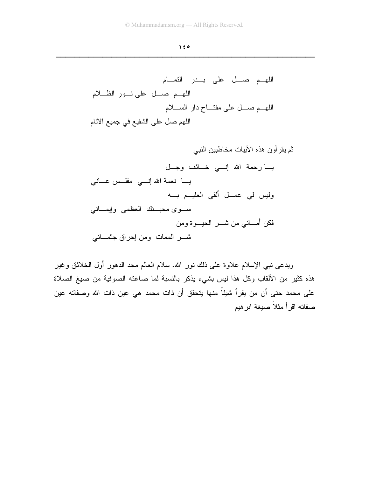ثم يقرأون هذه الأبيات مخاطبين النبي يــا رحمة الله إنـــي خــائف وجــل يـــا نعمة الله إنــــى مفلـــس عـــانـى وليس لي عصــل ألقي العليـــم بــــه سوى محبتك العظمى وإيماني فكن أمــــانـي من شــــــر الـحيــــوة ومن 

ويدعى نبي الإسلام علاوة على ذلك نور الله. سلام العالم مجد الدهور أول الخلائق وغير هذه كثير من الألقاب وكل هذا ليس بشيء يذكر بالنسبة لما صاغته الصوفية من صبغ الصلاة على محمد حتى أن من يقرأ شيئاً منها يتحقق أن ذات محمد هي عين ذات الله وصفاته عين صفاته اقرأ مثلأ صيغة ابرهيم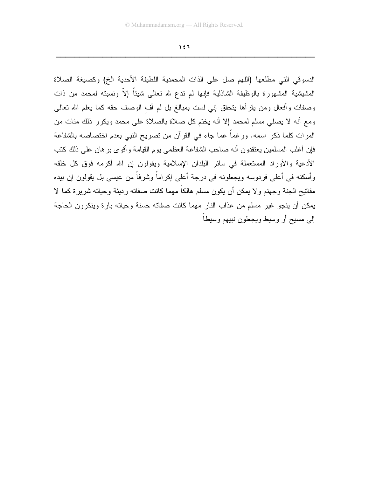الدسوقي التي مطلعها (اللهم صل على الذات المحمدية اللطيفة الأحدية الخ) وكصيغة الصلاة الْمَشْيِشْية الْمَشْهُورة بِالْوِظْيِفَة الشَّاذْلَية فإنها لم ندع لله تعالى شيئاً إلاّ ونسبته لمحمد من ذات وصفات وأفعال ومن يقرأها يتحقق إني لست بمبالغ بل لم أف الوصف حقه كما يعلم الله تعالى ومع أنه لا يصلَّى مسلَّم لمحمد إلا أنه يختم كلَّ صلاة بالصلاة على محمد ويكرر ذلك مئات من المرات كلما ذكر اسمه. ورغماً عما جاء في القرآن من تصريح النبي بعدم اختصاصه بالشفاعة فإن أغلب المسلمين يعتقدون أنه صاحب الشفاعة العظمى يوم القيامة وأقوى برهان على ذلك كتب الأدعية والأوراد المستعملة في سائر البلدان الإسلامية ويقولون إن الله أكرمه فوق كل خلقه وأسكنه في أعلى فردوسه ويجعلونه في درجة أعلى إكراماً وشرفاً من عيسى بل يقولون إن بيده مفاتيح الجنة وجهنم ولا يمكن أن يكون مسلم هالكاً مهما كانت صفاته رديئة وحياته شريرة كما لا يمكن أن ينجو غير مسلم من عذاب النار مهما كانت صفاته حسنة وحياته بارة وينكرون الحاجة إلى مسيح أو وسيط ويجعلون نبيهم وسيطأ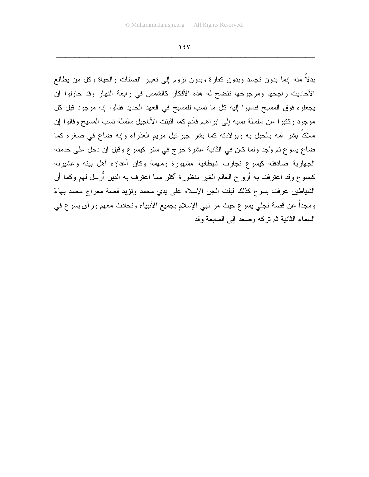$\gamma$  {  $\gamma$ 

بدلا منه إنما بدون نجسد وبدون كفارة وبدون لزوم إلى نغيير الصفات والحياة وكل من يطالع الأحاديث راجحها ومرجوحها نتضح له هذه الأفكار كالشمس في رابعة النهار وقد حاولوا أن يجعلوه فوق المسيح فنسبوا إليه كل ما نسب للمسيح في العهد الجديد فقالوا إنه موجود قبل كل موجود وكتبوا عن سلسلة نسبه إلى ابراهيم فأدم كما أثبتت الأناجيل سلسلة نسب المسيح وقالوا إن ملاكاً بشر أمه بالحبل به وبولادته كما بشر جبرائيل مريم العذراء وإنه ضاع في صغره كما ضاع يسوع ثم وُجد ولما كان في الثانية عشرة خرج في سفرٍ كيسوع وقبل أن دخل على خدمته الجهارية صادفته كيسوع تجارب شيطانية مشهورة ومهمة وكان أعداؤه أهل بيته وعشيرته كيسوع وقد اعترفت به أرواح العالم الغير منظورة أكثر مما اعترف به الذين أُرسل لهم وكما أن الشياطين عرفت يسوع كذلك قبلت الجن الإسلام على يدى محمد ونزيد قصة معراج محمد بهاءً ومجدًا عن قصبة تجلَّى يسوع حيث مر نبي الإسلام بجميع الأنبياء وتحادث معهم ورأى يسوع في السماء الثانية ثم نركه وصعد إلى السابعة وقد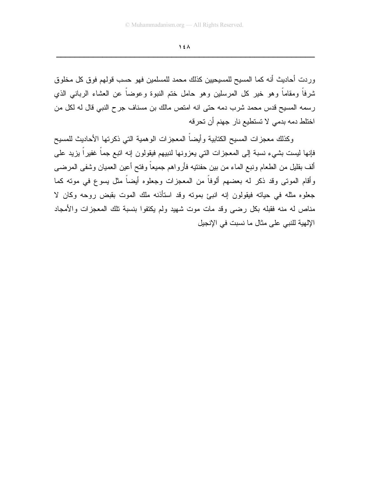$\lambda$ 

وردت أحاديث أنه كما المسيح للمسيحيين كذلك محمد للمسلمين فهو حسب قولهم فوق كل مخلوق شرفاً ومقاماً وهو خير كل المرسلين وهو حامل ختم النبوة وعوضاً عن العشاء الربانبي الذي رسمه المسيح قدس محمد شرب دمه حتى انه امتص مالك بن مسناف جرح النبي قال له لكل من اختلط دمه بدمي لا تستطيع نار جهنم أن تحرفه

وكذلك معجزات المسيح الكتابية وأيضآ المعجزات الوهمية التبي ذكرتها الأحاديث للمسيح فإنها ليست بشيء نسبة إلى المعجزات الني يعزونها لنبيهم فيقولون إنه اتبع جماً غفيراً بزيد على ألف بقليل من الطعام ونبع الماء من بين حفنتيه فأرواهم جميعاً وفتح أعين العميان وشفى المرضىي وأقام الموتى وقد ذكر له بعضهم ألوفاً من المعجزات وجعلوه أيضاً مثل يسوع في مونه كما جعلوه مثله في حياته فيقولون إنه انبئ بموته وقد استأذنه ملك الموت بقبض روحه وكان لا مناص له منه فقبله بكل رضيى وقد مات موت شهيد ولم يكتفوا بنسبة نلك المعجزات والأمجاد الإلهية للنبي على مثال ما نسبت في الإنجيل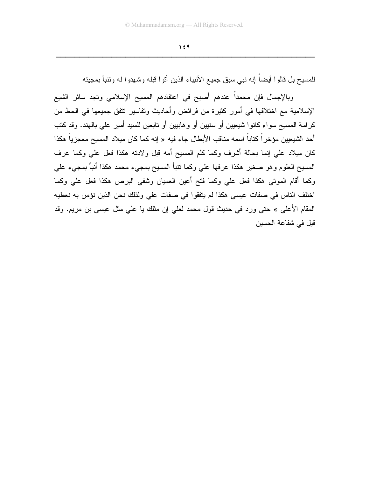للمسيح بل قالوا أيضاً إنه نبي سبق جميع الأنبياء الذين أتوا قبله وشهدوا له وتتبأ بمجيئه

وبالإجمال فإن محمداً عندهم أصبح في اعتقادهم المسيح الإسلامي وتجد سائر الشيع الإسلامية مع اختلافها في أمور كثيرة من فرائض وأحاديث وتفاسير نتفق جميعها في الحط من كرامة المسيح سواء كانوا شيعيين أو سنيين أو وهابيين أو تابعين للسيد أمير على بالهند. وقد كتب أحد الشيعيين مؤخر اً كتاباً اسمه مناقب الأبطال جاء فيه « إنه كما كان ميلاد المسيح معجزياً هكذا كان ميلاد على إنما بحالة أشرف وكما كلم المسيح أمه قبل ولادته هكذا فعل علي وكما عرف المسيح العلوم وهو صغير هكذا عرفها علي وكما نتبأ المسيح بمجيء محمد هكذا أنبأ بمجيء علي وكما أقام الموتى هكذا فعل علي وكما فتح أعين العميان وشفى البرص هكذا فعل علي وكما اختلف الناس في صفات عيسى هكذا لم يتفقوا في صفات على ولذلك نحن الذين نؤمن به نعطيه المقام الأعلى » حتى ورد في حديث قول محمد لعلى إن مثلك يا على مثل عيسى بن مريع. وقد قيل في شفاعة الحسين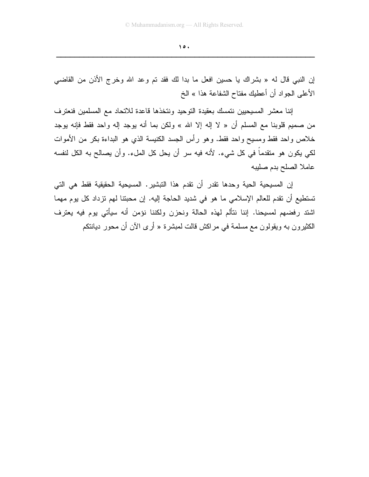$\lambda$ 

إن النبي قال له « بشراك يا حسين افعل ما بدا لك فقد تم وعد الله وخرج الأذن من القاضي الأعلى الجواد أن أعطيك مفتاح الشفاعة هذا » الخ

إننا معشر المسيحيين نتمسك بعقيدة التوحيد ونتخذها قاعدة للاتحاد مع المسلمين فنعترف من صميم قلوبنا مع المسلم أن « لا إله إلا الله » ولكن بما أنه يوجد إله واحد فقط فإنه يوجد خلاص واحد فقط ومسيح واحد فقط. وهو رأس الجسد الكنيسة الذي هو البداءة بكر من الأموات لكي يكون هو متقدماً في كل شيء. لأنه فيه سر أن يحل كل الملء. وأن يصالح به الكل لنفسه عاملا الصلح بدم صليبه

إن المسيحية الحية وحدها نقدر أن نقدم هذا النبشير . المسيحية الحقيقية فقط هي التي تستطيع أن تقدم للعالم الإسلامي ما هو في شديد الحاجة إليه. إن محبتنا لهم تزداد كل يوم مهما اشتد رفضهم لمسيحنا. إننا نتألم لهذه الحالة ونحزن ولكننا نؤمن أنه سيأتي بوم فيه يعترف الكثيرون به ويقولون مع مسلمة في مراكش قالت لمبشرة « أرى الآن أن محور ديانتكم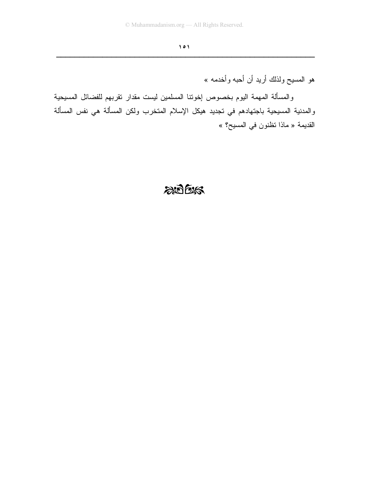هو المسيح ولذلك أريد أن أحبه وأخدمه »

والمسألة المهمة اليوم بخصوص إخوننا المسلمين ليست مقدار نقربهم للفضائل المسيحية والمدنية المسيحية باجتهادهم في تجديد هيكل الإسلام المتخرب ولكن المسألة هي نفس المسألة القديمة « ماذا تظنون في المسيح؟ »

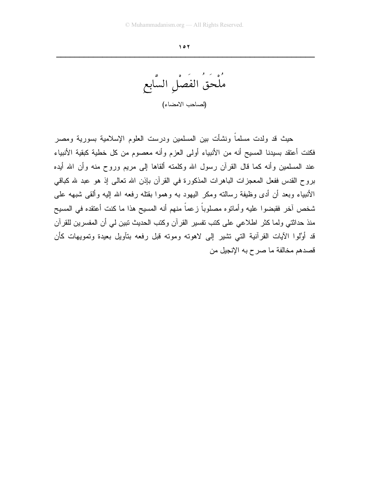ملحق الفصل السابع (لصاحب الامضاء)

حيث قد ولدت مسلماً ونشأت بين المسلمين ودرست العلوم الإسلامية بسورية ومصر فكنت أعتقد بسيدنا المسيح أنه من الأنبياء أولى العزم وأنه معصوم من كل خطية كبقية الأنبياء عند المسلمين وأنه كما قال القرآن رسول الله وكلمته ألقاها إلى مريع وروح منه وأن الله أيده بروح القدس ففعل المعجزات الباهرات المذكورة في القرآن بإذن الله تعالى إذ هو عبد لله كباقي الأنبياء وبعد أن أدى وظيفة رسالته ومكر اليهود به وهموا بقتله رفعه الله إليه وألقى شبهه على شخص أخر فقبضوا عليه وأمانوه مصلوباً زعماً منهم أنه المسيح هذا ما كنت أعتقده في المسيح منذ حداثتي ولما كثر اطلاعي على كتب تفسير القرآن وكتب الحديث نبين لي أن المفسرين للقرآن قد أوَّلوا الآيات القرآنية التي تشير إلى لاهوته وموته قبل رفعه بتآويل بعيدة وتمويهات كأن قصدهم مخالفة ما صرح به الإنجيل من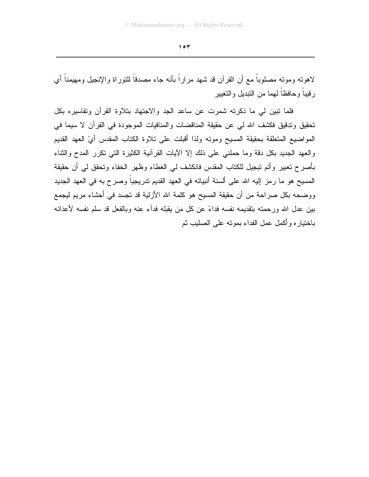لاهونـه ومونـه مصلوباً مـع أن القرآن قد شهد مراراً بأنـه جاء مصدقاً للنوراة والإنجيل ومـهيمناً أي رقيباً وحافظاً لهما من التبديل والتغيير

فلما نبين لمي ما ذكرته شمرت عن ساعد الجد والاجتهاد بتلاوة القرآن وتفاسيره بكل تحقيق وتدقيق فكشف الله لي عن حقيقة المناقضات والمنافيات الموجودة في القرآن لا سيما في المواضيع المنعلقة بحقيقة المسيح ومونه ولذا أقبلت على نلاوة الكتاب المقدس أيْ العهد القديم والعهد الجديد بكل دقة وما حملني على ذلك إلا الأيات القرأنية الكثيرة التي تكرر المدح والثناء بأصرح تعبير وأتم تبجيل للكتاب المقدس فانكشف لمي الغطاء وظهر الخفاء وتحقق لمي أن حقيقة المسيح هو ما رمز إليه الله على ألسنة أنبيائه في العهد القديم تدريجياً وصرح به في العهد الجديد ووضحه بكل صراحة من أن حقيقة المسيح هو كلمة الله الأزلية قد تجسد في أحشاء مريم ليجمع بين عدل الله ور حمته بتقديمه نفسه فداءً عن كل من يقبله فدآء عنه وبالفعل قد سلم نفسه لأعدائه باختيار ه وأكمل عمل الفداء بموته على الصليب ثم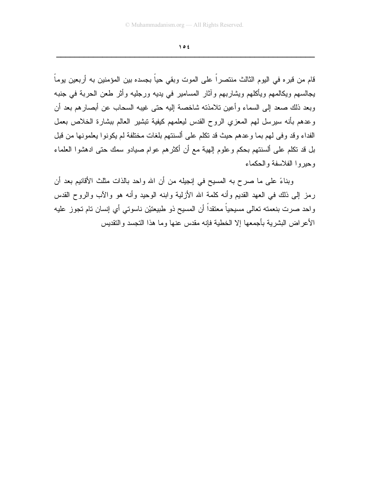قام من قبر ِه في اليو ِم الثالث منتصر اً على الموت وبقى حياً بجسده بين المؤمنين به أربعين يوماً يجالسهم ويكالمهم ويأكلهم ويشاربهم وآثار المسامير في يديه ورجليه وأثر طعن الحربة في جنبه وبعد ذلك صعد إلى السماء وأعين تلامذته شاخصة إليه حتى غيبه السحاب عن أبصارهم بعد أن وعدهم بأنه سيرسل لمهم المعزي الروح القدس ليعلمهم كيفية نبشير العالم ببشارة الخلاص بعمل الفداء وقد وفي لهم بما وعدهم حيث قد نكلم على ألسنتهم بلغات مختلفة لم يكونوا يعلمونها من قبل بل قد تكلَّم على ألسنتهم بحكم وعلوم إلهية مع أن أكثرهم عوام صيادو سمك حتى ادهشوا العلماء وحبروا الفلاسفة والحكماء

وبناءً على ما صرح به المسيح في إنجيله من أن الله واحد بالذات مثلث الأقانيم بعد أن رمز إلى ذلك في العهد القديم وأنه كلمة الله الأزلية وابنه الوحيد وأنه هو والآب والروح القدس واحد صرت بنعمته تعالى مسيحياً معنقداً أن المسيح ذو طبيعتيْن ناسوتي أي إنسان تام تجوز عليه الأعراض البشرية بأجمعها إلا الخطية فإنه مقدس عنها وما هذا النجسد والنقديس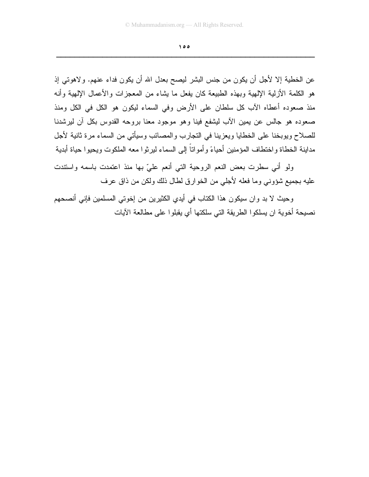$\theta$ 

عن الخطية إلا لأجل أن يكون من جنس البشر ليصح بعدل الله أن يكون فداء عنهم. ولاهوتي إذ هو الكلمة الأزلية الإلهية وبهذه الطبيعة كان يفعل ما يشاء من المعجزات والأعمال الإلهية وأنه منذ صعوده أعطاه الأب كل سلطان على الأرض وفي السماء ليكون هو الكل في الكل ومنذ صعوده هو جالس عن يمين الأب ليشفع فينا وهو موجود معنا بروحه القدوس بكل أن ليرشدنا للصلاح ويوبخنا على الخطايا ويعزينا في النجارب والمصائب وسيأتي من السماء مرة ثانية لأجل مداينة الخطاة واختطاف المؤمنين أحياءً وأمواتاً إلى السماء ليرثوا معه الملكوت ويحيوا حياة أبدية

ولو أني سطرت بعض النعم الروحية التي أنعم عليّ بها منذ اعتمدت باسمه واستندت عليه بجميع شؤوني وما فعله لأجلي من الخوارق لطال ذلك ولكن من ذاق عرف

وحيث لا بد وان سيكون هذا الكتاب في أيدي الكثيرين من إخوتي المسلمين فإني أنصحهم نصبحة أخوية ان يسلكو ا الطريقة التي سلكتها أي يقبلو ا على مطالعة الآيات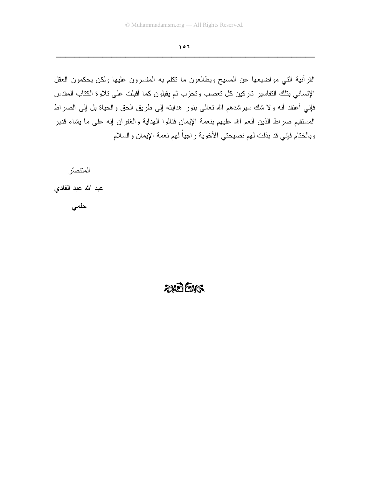القرآنية التبي مواضيعها عن المسيح ويطالعون ما نكلم به المفسرون عليها ولكن يحكمون العقل الإنساني بتلك التفاسير تاركين كل تعصب وتحزب ثم يقبلون كما أقبلت على تلاوة الكتاب المقدس فإني أعتقد أنه ولا شك سيرشدهم الله نعالى بنور هدايته إلى طريق الحق والحياة بل إلى الصراط المستقيم صراط الذين أنعم الله عليهم بنعمة الإيمان فنالوا الهداية والغفران إنه على ما يشاء قدير وبالختام فإني قد بذلت لهم نصيحتي الأخوية راجياً لهم نعمة الإيمان والسلام

المنتصبّر

عبد الله عبد الفادي

حلمى

## $20025$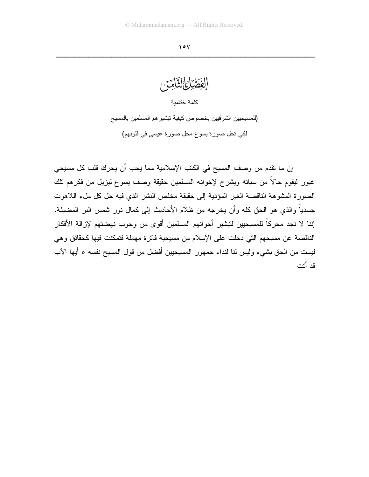

إن ما نقدم من وصف المسيح في الكتب الإسلامية مما يجب أن يحرك قلب كل مسيحي غيور ليقوم حالاً من سباته ويشرح لإخوانه المسلمين حقيقة وصف يسوع ليزيل من فكرهم نلك الصورة المشوهة الناقصة الغير المؤدية إلى حقيقة مخلص البشر الذي فيه حل كل ملء اللاهوت جسدياً والذي هو الحق كله وأن يخرجه من ظلام الأحاديث إلى كمال نور شمس البر المضيئة. إننا لا نجد محركاً للمسيحيين لتبشير أخوانهم المسلمين أقوى من وجوب نهضتهم لإزالة الأفكار الناقصة عن مسيحهم التي دخلت على الإسلام من مسيحية فاترة مهملة فتمكنت فيها كحقائق وهي ليست من الحق بشيء وليس لنا لنداء جمهور المسيحيين أفضل من قول المسيح نفسه « أيها الآب قد أتت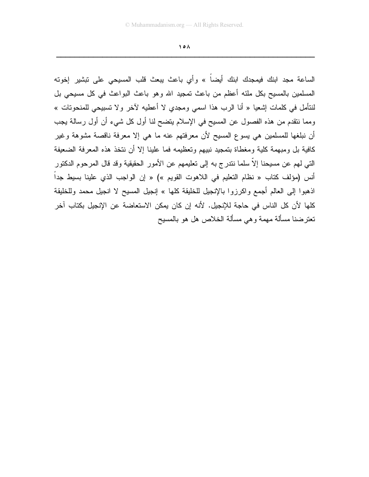$\Lambda$ 

الساعة مجد ابنك فيمجدك ابنك أيضاً » وأى باعث يبعث قلب المسيحي على نبشير إخوته المسلمين بالمسيح بكل ملئه أعظم من باعث تمجيد الله وهو باعث البواعث في كل مسيحي بل لنتأمل في كلمات إشعيا « أنا الرب هذا اسمى ومجدي لا أعطيه لآخر ولا تسبيحي للمنحوتات » ومما ننقدم من هذه الفصول عن المسيح في الإسلام يتضح لنا أول كل شيء أن أول رسالة يجب أن نبلغها للمسلمين هي يسوع المسيح لأن معرفتهم عنه ما هي إلا معرفة ناقصة مشوهة وغير كافية بل ومبهمة كلية ومغطاة بتمجيد نبيهم وتعظيمه فما علينا إلا أن نتخذ هذه المعرفة الضعيفة التي لهم عن مسيحنا إلاَّ سلما نندر ج به إلى تعليمهم عن الأمور الحقيقية وقد قال المرحوم الدكتور أنس (مؤلف كتاب « نظام التعليم في اللاهوت القويم ») « إن الواجب الذي علينا بسيط جداً اذهبوا إلى العالم أجمع واكرزوا بالإنجيل للخليقة كلها » إنجيل المسيح لا انجيل محمد وللخليقة كلها لأن كل الناس في حاجة للإنجيل. لأنه إن كان يمكن الاستعاضة عن الإنجيل بكتاب آخر تعترضنا مسألة مهمة وهي مسألة الخلاص هل هو بالمسيح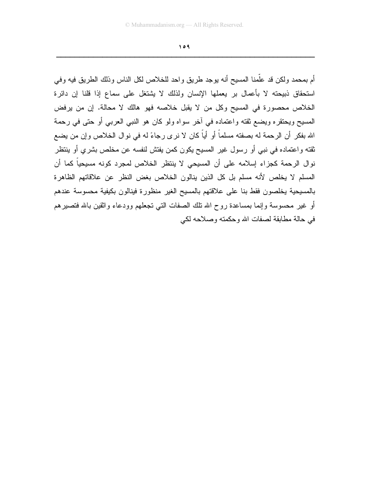أم بمحمد ولكن قد علَّمنا المسيح أنه بوجد طريق واحد للخلاص لكل الناس وذلك الطريق فيه وفي استحقاق ذبيحته لا بأعمال بر يعملها الإنسان ولذلك لا يشتغل على سماع إذا قلنا إن دائرة الخلاص محصورة في المسيح وكل من لا يقبل خلاصه فهو هالك لا محالة. إن من يرفض المسيح ويحتقره ويضع ثقته واعتماده في أخر سواه ولو كان هو النبي العربي أو حتى في رحمة الله بفكرٍ أن الرحمة له بصفته مسلماً أو أياً كان لا نرى رجاءً له في نوال الخلاص وإن من يضع ثقته واعتماده في نبي أو رسول غير المسيح يكون كمن يفتش لنفسه عن مخلص بشري أو ينتظر نوال الرحمة كجزاء إسلامه على أن المسيحي لا ينتظر الخلاص لمجرد كونه مسيحياً كما أن المسلم لا يخلص لأنه مسلم بل كل الذين ينالون الخلاص بغض النظر عن علاقاتهم الظاهرة بالمسيحية يخلصون فقط بنا على علاقتهم بالمسيح الغير منظورة فينالون بكيفية محسوسة عندهم أو غير محسوسة وإنما بمساعدة روح الله نلك الصفات التبي تجعلهم وودعاء وانقين بالله فتصيرهم في حالة مطابقة لصفات الله وحكمته وصلاحه لكي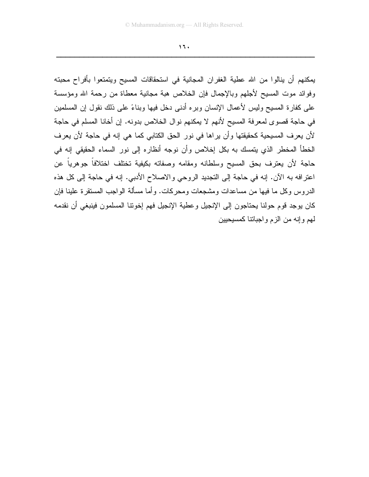$15.$ 

يمكنهم أن ينالوا من الله عطية الغفران المجانية في استحقاقات المسيح ويتمتعوا بأفراح محبته وفوائد موت المسيح لأجلهم وبالإجمال فإن الخلاص هبة مجانية معطاة من رحمة الله ومؤسسة على كفارة المسيح وليس لأعمال الإنسان وبره أدنى دخل فيها وبناءً على ذلك نقول إن المسلمين في حاجة قصوى لمعرفة المسيح لأنهم لا يمكنهم نوال الخلاص بدونه. إن أخانا المسلم في حاجة لأن يعرف المسيحية كحقيقتها وأن يراها في نور الحق الكتابي كما هي إنه في حاجة لأن يعرف الخطأ المخطر الذي يتمسك به بكل إخلاص وأن نوجه أنظاره إلى نور السماء الحقيقي إنه في حاجة لأن يعترف بحق المسيح وسلطانه ومقامه وصفاته بكيفية تختلف اختلافاً جوهرياً عن اعترافه به الآن. إنه في حاجة إلى التجديد الروحي والاصلاح الأدبي. إنه في حاجة إلى كل هذه الدر وس وكل ما فيها من مساعدات ومشجعات ومحركات. و أما مسألة الواجب المستقر ة علينا فإن كان يوجد قوم حولنا يحتاجون إلى الإنجيل و عطية الإنجيل فهم إخونتا المسلمون فينبغي أن نقدمه لمهم وإنه من الزم واجباتنا كمسيحيين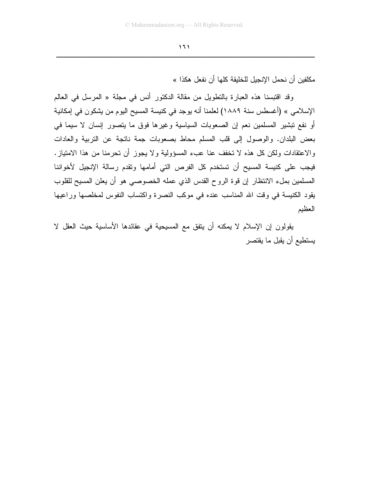مكلفين أن نحمل الإنجيل للخليقة كلها أن نفعل هكذا »

وقد اقتبسنا هذه العبارة بالتطويل من مقالة الدكتور أنس في مجلة « المرسل في العالم الإسلامي » (أغسطس سنة ١٨٨٩) لعلمنا أنه يوجد في كنيسة المسيح اليوم من يشكون في إمكانية أو نفع نبشير المسلمين نعم إن الصعوبات السياسية وغيرها فوق ما يتصور إنسان لا سيما في بعض البلدان. والوصول إلى قلب المسلم محاط بصعوبات جمة ناتجة عن النربية والعادات والاعتقادات ولكن كل هذه لا تخفف عنا عبء المسؤولية ولا يجوز أن تحرمنا من هذا الامتياز. فيجب على كنيسة المسيح أن تستخدم كل الفرص التي أمامها وتقدم رسالة الإنجيل لأخواننا المسلمين بملء الانتظار إن قوة الروح القدس الذي عمله الخصوصي هو أن يعلن المسيح للقلوب يقود الكنيسة في وقت الله المناسب عنده في موكب النصرة واكتساب النفوس لمخلصها وراعيها العظيم

يقولون إن الإسلام لا يمكنه أن يتفق مع المسيحية في عقائدها الأساسية حيث العقل لا يستطيع أن يقبل ما يقتصر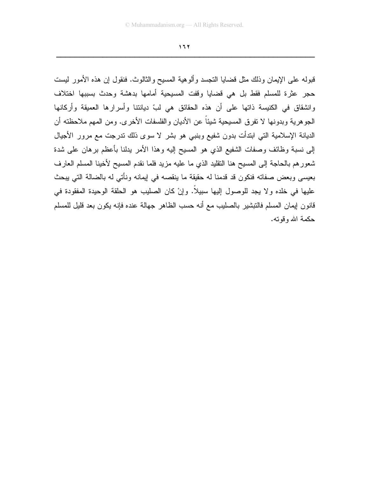قبوله على الإيمان وذلك مثل قضايا النجسد وألوهية المسيح والثالوث. فنقول إن هذه الأمور ليست حجر عثرة للمسلم فقط بل هي قضايا وقفت المسيحية أمامها بدهشة وحدث بسببها اختلاف وانشقاق في الكنيسة ذاتها على أن هذه الحقائق هي لبِّ ديانتنا وأسرارها العميقة وأركانها الجوهرية وبدونها لا نفرق المسيحية شيئاً عن الأديان والفلسفات الأخرى. ومن المهم ملاحظته أن الديانة الإسلامية التي ابتدأت بدون شفيع وبنبي هو بشر لا سوى ذلك ندرجت مع مرور الأجيال إلى نسبة وظائف وصفات الشفيع الذي هو المسيح إليه وهذا الأمر يدلنا بأعظم برهان على شدة شعورهم بالحاجة إلى المسيح هنا النقليد الذي ما عليه مزيد فلما نقدم المسيح لأخينا المسلم العارف بعيسى وبعض صفاته فنكون قد قدمنا له حقيقة ما ينقصه في إيمانه ونأتي له بالضالة التي يبحث عليها في خلده ولا يجد للوصول اليها سبيلاً. وإنْ كان الصليب هو الحلقة الوحيدة المفقودة في قانون إيمان المسلم فالتبشير بالصليب مع أنه حسب الظاهر جهالة عنده فإنه يكون بعد قليل للمسلم حكمة الله وقوته.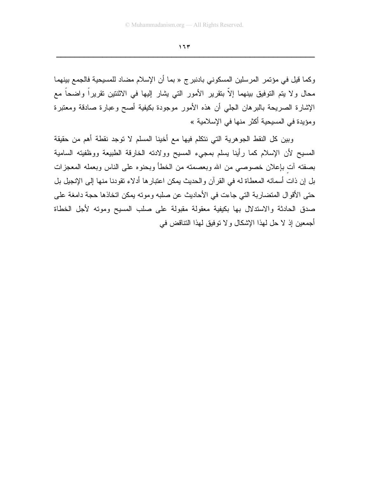وكما قيل في مؤتمر المرسلين المسكوني بادنبرج « بما أن الإسلام مضاد للمسيحية فالجمع بينهما محال ولا يتم التوفيق بينهما إلاّ بتقرير الأمور التي يشار إليها في الاثنتين تقريراً واضحاً مع الإشارة الصريحة بالبرهان الجلي أن هذه الأمور موجودة بكيفية أصح وعبارة صادقة ومعتبرة ومؤيدة في المسيحية أكثر منها في الإسلامية »

وبين كل النقط الجوهرية التي نتكلم فيها مع أخينا المسلم لا توجد نقطة أهم من حقيقة المسيح لأن الإسلام كما رأينا يسلم بمجيء المسيح وولادته الخارقة الطبيعة ووظفيته السامية بصفته أت بإعلان خصوصي من الله وبعصمته من الخطأ وبحنوه على الناس وبعمله المعجزات بل إن ذات أسمائه المعطاة له في القرآن والحديث يمكن اعتبارها أدلاء تقودنا منها إلى الإنجيل بل حتى الأقوال المتضاربة التي جاءت في الأحاديث عن صلبه وموته يمكن اتخاذها حجة دامغة على صدق الحادثة والاستدلال بها بكيفية معقولة مقبولة على صلب المسيح وموته لأجل الخطاة أجمعين إذ لا حل لهذا الإشكال و لا نوفيق لهذا النتاقض في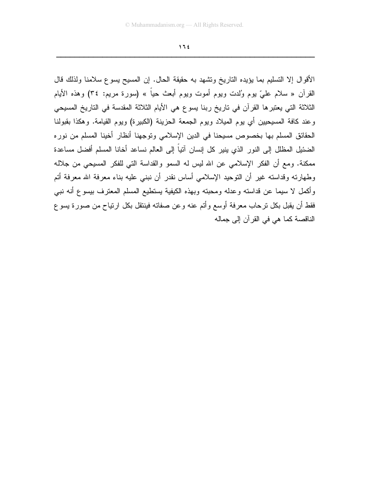الأقوال إلا التسليم بما يؤيده الناريخ وتشهد به حقيقة الحال. إن المسيح يسوع سلامنا ولذلك قال القرآن « سلام علـيّ يوم وُلدت ويوم أموت ويوم أبـعث حياً » (سورة مريم: ٣٤) وهذه الأيام الثلاثة التي يعتبر ها القرآن في تاريخ ربنا يسوع هي الأيام الثلاثة المقدسة في التاريخ المسيحي وعند كافة المسيحيين أي يوم الميلاد ويوم الجمعة الحزينة (الكبيرة) ويوم القيامة. وهكذا بقبولنا الحقائق المسلم بها بخصوص مسيحنا في الدين الإسلامي وتوجهنا أنظار أخينا المسلم من نوره الضئيل المظلل إلى النور الذي ينير كل إنسان آتياً إلى العالم نساعد أخانا المسلم أفضل مساعدة ممكنة. ومع أن الفكر الإسلامي عن الله ليس له السمو والقداسة التي للفكر المسيحي من جلاله وطهارته وقداسته غير أن التوحيد الإسلامي أساس نقدر أن نبنى عليه بناء معرفة الله معرفة أتم وأكمل لا سيما عن قداسته وعدله ومحبته وبهذه الكيفية يستطيع المسلم المعترف بيسوع أنه نبي فقط أن يقبل بكل ترحاب معرفة أوسع وأتم عنه وعن صفاته فينتقل بكل ارتياح من صورة يسوع الناقصة كما هي في القرآن إلى جماله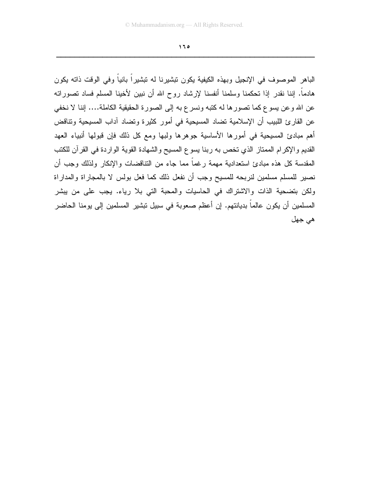الباهر الموصوف في الإنجيل وبهذه الكيفية يكون تبشيرنا له تبشير أ بانياً وفي الوقت ذاته يكون هادماً. إننا نقدر إذا تحكمنا وسلمنا أنفسنا لإرشاد روح الله أن نبين لأخينا المسلم فساد تصوراته عن الله وعن يسوع كما تصورها له كتبه ونسرع به إلى الصورة الحقيقية الكاملة.... إننا لا نخفي عن القارئ اللبيب أن الإسلامية تضاد المسيحية في أمور كثيرة وتضاد آداب المسيحية وتناقض أهم مبادئ المسيحية في أمورها الأساسية جوهرها ولبها ومع كل ذلك فإن قبولها أنبياء العهد القديم والإكرام الممتاز الذي تخص به ربنا يسوع المسيح والشهادة القوية الواردة في القرآن للكتب المقدسة كل هذه مبادئ استعدادية مهمة رغماً مما جاء من التناقضات والإنكار ولذلك وجب أن نصير للمسلم مسلمين لنربحه للمسيح وجب أن نفعل ذلك كما فعل بولس لا بالمجاراة والمداراة ولكن بتضحية الذات والاشتراك في الحاسيات والمحبة التي بلا رياء. يجب على من بيشر المسلمين أن يكون عالماً بديانتهم. إن أعظم صعوبة في سبيل نبشير المسلمين إلى يومنا الحاضر هي جهل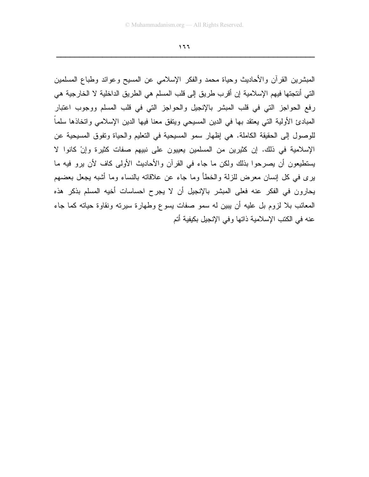المبشرين القرأن والأحاديث وحياة محمد والفكر الإسلامي عن المسيح وعوائد وطباع المسلمين التي أنتجتها فيهم الإسلامية إن أقرب طريق إلى قلب المسلم هي الطريق الداخلية لا الخارجية هي رفع الحواجز التي في قلب المبشر بالإنجيل والحواجز التي في قلب المسلم ووجوب اعتبار المبادئ الأولية التي يعتقد بها في الدين المسيحي ويتفق معنا فيها الدين الإسلامي واتخاذها سلما للوصول إلى الحقيقة الكاملة. هي إظهار سمو المسيحية في التعليم والحياة وتفوق المسيحية عن الإسلامية في ذلك. إن كثيرين من المسلمين يعييون على نبيهم صفات كثيرة وإنْ كانوا لا يستطيعون أن يصرحوا بذلك ولكن ما جاء في القرآن والأحاديث الأولى كاف لأن يرو فيه ما برى في كل إنسان معرض للزلة والخطأ وما جاء عن علاقاته بالنساء وما أشبه بجعل بعضهم يحارون في الفكر عنه فعلى المبشر بالإنجيل أن لا يجرح احساسات أخيه المسلم بذكر هذه المعائب بلا لزوم بل عليه أن يبين له سمو صفات يسوع وطهارة سيرته ونقاوة حياته كما جاء عنه في الكتب الإسلامية ذاتها وفي الإنجيل بكيفية أتم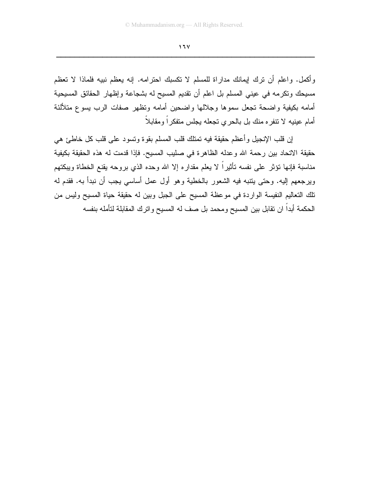وأكمل. وإعلم أن نرك إيمانك مداراة للمسلم لا نكسبك احترامه. إنه يعظم نبيه فلماذا لا نعظم مسيحك وتكرمه في عيني المسلم بل اعلم أن تقديم المسيح له بشجاعة وإظهار الحقائق المسيحية أمامه بكيفية واضحة تجعل سموها وجلالها واضحين أمامه وتظهر صفات الرب يسوع متلألئة أمام عينيه لا نتفر ه منك بل بالحر ي نجعله يجلس متفكر أ و مقابلاً

إن قلب الإنجيل وأعظم حقيقة فيه تمتلك قلب المسلم بقوة وتسود على قلب كل خاطئ هي حقيقة الاتحاد بين رحمة الله وعدله الظاهرة في صليب المسيح. فإذا قدمت له هذه الحقيقة بكيفية مناسبة فإنها نؤثر على نفسه نأثيراً لا يعلم مقداره إلا الله وحده الذي بروحه يقنع الخطاة ويبكنهم ويرجعهم إليه. وحتى يتتبه فيه الشعور بالخطية وهو أول عمل أساسي يجب أن نبدأ به. فقدم له تلك التعاليم النفيسة الواردة في موعظة المسيح على الجبل وبين له حقيقة حياة المسيح وليس من الحكمة أبداً ان نقابل بين المسيح ومحمد بل صف له المسيح واترك المقابلة لتأمله بنفسه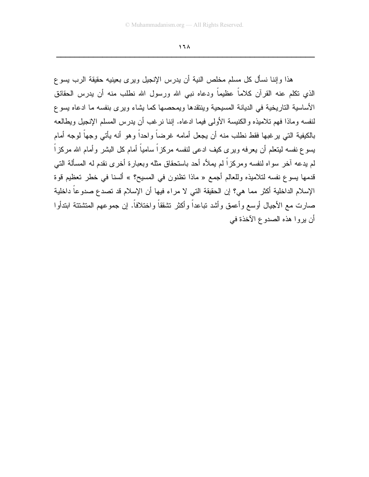$17<sub>A</sub>$ 

هذا وإننا نسأل كل مسلم مخلص النية أن يدرس الإنجيل ويرى بعينيه حقيقة الرب يسوع الذي نكلم عنه القرآن كلاماً عظيماً ودعاه نبي الله ورسول الله نطلب منه أن بدرس الحقائق الأساسية الناريخية في الديانة المسيحية وينتقدها ويمحصها كما يشاء ويرى بنفسه ما ادعاه يسوع لنفسه وماذا فهم نلاميذه والكنيسة الأولى فيما ادعاه. إننا نرغب أن يدرس المسلم الإنجيل ويطالعه بالكيفية التي يرغبها فقط نطلب منه أن يجعل أمامه غرضاً واحداً وهو أنه يأتي وجهاً لوجه أمام يسوع نفسه ليتعلم أن يعرفه ويرى كيف ادعى لنفسه مركزاً سامياً أمام كل البشر وأمام الله مركزاً لم يدعه آخر سواه لنفسه ومركزاً لم يملأه أحد باستحقاق مثله وبعبارة أخرى نقدم له المسألة التي قدمها بسوع نفسه لتلاميذه وللعالم أجمع « ماذا تظنون في المسيح؟ » ألسنا في خطر تعظيم قوة الإسلام الداخلية أكثر مما هي؟ إن الحقيقة التي لا مراء فيها أن الإسلام قد تصدع صدوعاً داخلية صارت مع الأجيال أوسع وأعمق وأشد تباعداً وأكثر تشققاً و اختلافاً. إن جمو عهم المتشتتة ابتدأو ا أن يروا هذه الصدوع الآخذة في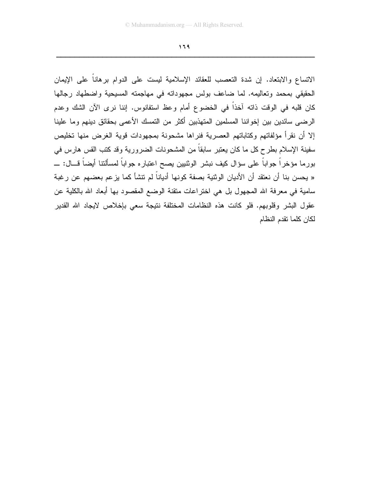الاتساع والابتعاد. إن شدة التعصب للعقائد الإسلامية ليست على الدوام برهانا على الإيمان الحقيقى بمحمد وتعاليمه. لما ضاعف بولس مجهوداته في مهاجمته المسيحية واضطهاد رجالها كان قلبه في الوقت ذاته آخذاً في الخضوع أمام وعظ استفانوس. إننا نرى الآن الشك وعدم الرضيي سائدين بين إخواننا المسلمين المتهذبين أكثر من التمسك الأعمى بحقائق دينهم وما علينا إلا أن نقرأ مؤلفاتهم وكتاباتهم العصرية فنراها مشحونة بمجهودات قوية الغرض منها تخليص سفينة الإسلام بطرح كل ما كان يعتبر سابقاً من المشحونات الضرورية وقد كتب القس هارس في بورما مؤخراً جواباً على سؤال كيف نبشر الوثنيين يصح اعتباره جواباً لمسألتنا أيضاً قـــال: \_\_ « يحسن بنا أن نعتقد أن الأديان الوثنية بصفة كونها أدياناً لم نتشأ كما يزعم بعضهم عن رغبة سامية في معرفة الله المجهول بل هي اختراعات متقنة الوضع المقصود بها أبعاد الله بالكلية عن عقول البشر وقلوبهم. فلو كانت هذه النظامات المختلفة نتيجة سعى بإخلاص لايجاد الله القدير لكان كلما تقدم النظام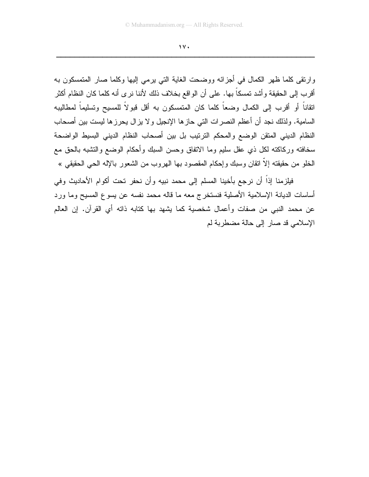$\gamma$ 

وارنقى كلما ظهر الكمال في أجزائه ووضحت الغاية التي برمي إليها وكلما صار المتمسكون به أقرب إلى الحقيقة وأشد تمسكاً بـها. على أن الواقع بخلاف ذلك لأننا نر ي أنه كلما كان النظام أكثر اتقاناً أو أقرب إلى الكمال وضعاً كلما كان المتمسكون به أقل قبولاً للمسيح وتسليماً لمطاليبه السامية. ولذلك نجد أن أعظم النصرات التي حازها الإنجيل ولا يزال يحرزها ليست بين أصحاب النظام الديني المنقن الوضع والمحكم النرنيب بل بين أصحاب النظام الديني البسيط الواضحة سخافته وركاكته لكل ذي عقل سليم وما الاتفاق وحسن السبك وأحكام الوضع والتشبه بالحق مع الخلو من حقيقته إلاَّ انقان وسبك وإحكام المقصود بها الـهروب من الشعور بـالإله الـحي الـحقيقي »

فيلزمنا إذاً أن نرجع بأخينا المسلم إلى محمد نبيه وأن نحفر تحت أكوام الأحاديث وفي أساسات الديانة الإسلامية الأصلية فنستخرج معه ما قاله محمد نفسه عن يسوع المسيح وما ورد عن محمد النبي من صفات وأعمال شخصية كما يشهد بها كتابه ذاته أي القرآن. إن العالم الإسلامي قد صار إلى حالة مضطربة لم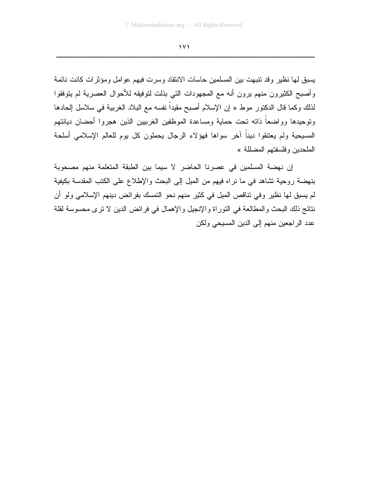يسبق لها نظير وقد نتبهت بين المسلمين حاسات الانتقاد وسرت فيهم عوامل ومؤثرات كانت نائمة وأصبح الكثيرون منهم يرون أنه مع المجهودات التي بذلت لتوفيقه للأحوال العصرية لم يتوفقوا لذلك وكما قال الدكتور موط « إن الإسلام أصبح مقيداً نفسه مع البلاد الغربية في سلاسل إلحادها ونوحيدها وواضعاً ذاته تحت حماية ومساعدة الموظفين الغرببين الذين هجروا أحضان ديانتهم المسيحية ولم يعتنقوا ديناً أخر سواها فهؤلاء الرجال يحملون كل يوم للعالم الإسلامي أسلحة الملحدين وفلسفتهم المضللة »

إن نهضة المسلمين في عصرنا الحاضر لا سيما بين الطبقة المتعلمة منهم مصحوبة بنهضة روحية تشاهد في ما نراه فيهم من الميل إلى البحث والإطلاع على الكتب المقدسة بكيفية لم يسبق لها نظير وفي تناقص الميل في كثير منهم نحو التمسك بفرائض دينهم الإسلامي ولو أن نتائج ذلك البحث والمطالعة في التوراة والإنجيل والإهمال في فرائض الدين لا نرى محسوسة لقلة عدد الراجعين منهم إلى الدين المسيحي ولكن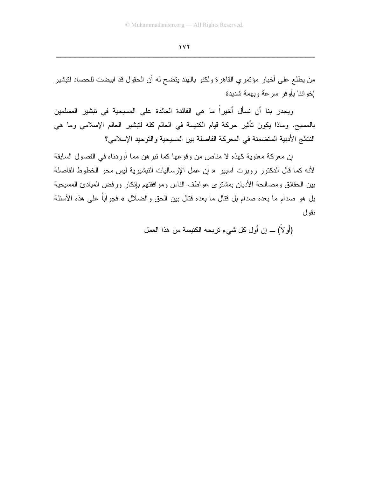من يطلع على أخبار مؤتمري القاهرة ولكنو بالهند يتضح له أن الحقول قد ابيضت للحصاد لتبشير إخو اننا بأو فر سر عة وبهمة شدبدة

ويجدر بنا أن نسأل أخيراً ما هي الفائدة العائدة على المسيحية في تبشير المسلمين بالمسيح. وماذا يكون نأثير حركة قيام الكنيسة في العالم كله لتبشير العالم الإسلامي وما هي النتائج الأدبية المتضمنة في المعركة الفاصلة بين المسيحية والتوحيد الإسلامي؟

إن معركة معنوية كهذه لا مناص من وقوعها كما نبر هن مما أوردناه في الفصول السابقة لأنه كما قال الدكتور روبرت اسبير « إن عمل الإرساليات التبشيرية ليس محو الخطوط الفاصلة بين الحقائق ومصالحة الأديان بمشترى عواطف الناس وموافقتهم بإنكار ورفض المبادئ المسيحية بل هو صدام ما بعده صدام بل قتال ما بعده قتال بين الحق والضلال » فجواباً على هذه الأسئلة نقو ل

(أَو لاً) \_ إن أول كل شيء نزيحه الكنيسة من هذا العمل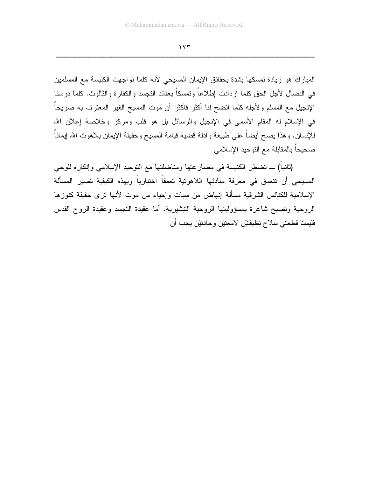المبارك هو زيادة تمسكها بشدة بحقائق الإيمان المسيحي لأنه كلما تواجهت الكنيسة مع المسلمين في النضال لأجل الحق كلما ازدادت إطلاعاً وتمسكاً بعقائد النجسد والكفارة والثالوث. كلما درسنا الإنجيل مع المسلم ولأجله كلما انضح لنا أكثر فأكثر أن موت المسيح الغير المعترف به صريحاً في الإسلام له المقام الأسمى في الإنجيل والرسائل بل هو قلب ومركز وخلاصة إعلان الله للإنسان. وهذا يصح أيضـاً علـى طبيعة وأدلـة قضية قيامـة المسيح وحقيقة الإيمان بـلاهوت الله إيمانـاً صحيحاً بالمقابلة مع التوحيد الإسلامي

(ثانياً) ـــ تضطر الكنيسة في مصار عتها ومناضلتها مع التوحيد الإسلامي وإنكاره للوحي المسيحي أن تتعمق في معرفة مبادئها اللاهونية تعمقاً اختبارياً وبهذه الكيفية تصير المسألة الإسلامية للكنائس الشرقية مسألة إنهاض من سبات وإحياء من موت لأنها نرى حقيقة كنوزها الروحية وتصبح شاعرة بمسؤوليتها الروحية التبشيرية. أما عقيدة التجسد وعقيدة الروح القدس فليسنا قطعتي سلاح نظيفتين لامعتين وحادنين يجب أن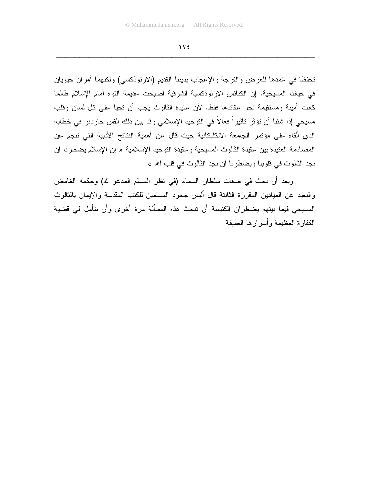$\gamma \vee \epsilon$ 

تحفظا في غمدها للعرض والفرجة والإعجاب بديننا القديم (الارثوذكسي) ولكنهما أمران حيويان في حياتنا المسيحية. إن الكنائس الارثوذكسية الشرقية أصبحت عديمة القوة أمام الإسلام طالما كانت أمينة ومستقيمة نحو عقائدها فقط. لأن عقيدة الثالوث يجب أن تحيا على كل لسان وقلب مسيحي إذا شئنا أن نؤثر تأثيراً فعالاً في النوحيد الإسلامي وقد بين ذلك القس جاردنر في خطابه الذي ألقاه على مؤتمر الجامعة الانكليكانية حيث قال عن أهمية النتائج الأدبية التي نتجم عن المصادمة العنيدة بين عقيدة الثالوث المسيحية وعقيدة التوحيد الإسلامية « إن الإسلام يضطرنـا أن نجد الثالوث في قلوبنا ويضطرنا أن نجد الثالوث في قلب الله »

وبعد أن بحث في صفات سلطان السماء (في نظر المسلم المدعو لله) وحكمه الغامض والبعيد عن الميادين المقررة الثابتة قال أليس جحود المسلمين للكتب المقدسة والإيمان بالثالوث المسيحي فيما بينهم يضطر ان الكنيسة أن تبحث هذه المسألة مر ة أخر ي و أن تتأمل في قضية الكفارة العظيمة وأسرارها العميقة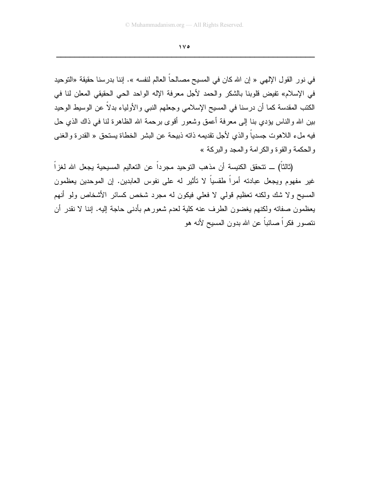$\sqrt{6}$ 

في نور القول الإلهي « إن الله كان في المسيح مصالحاً العالم لنفسه ». إننا بدرسنا حقيقة «النوحيد في الإسلام» تفيض قلوبنا بالشكر والحمد لأجل معرفة الإله الواحد الحي الحقيقي المعلن لنا في الكتب المقدسة كما أن درسنا في المسيح الإسلامي وجعلهم النبي والأولياء بدلاً عن الوسيط الوحيد بين الله والناس يؤدي بنا إلى معرفة أعمق وشعور أقوى برحمة الله الظاهرة لنا في ذاك الذي حل فيه ملء اللاهوت جسدياً والذي لأجل تقديمه ذاته ذبيحة عن البشر الخطاة يستحق « القدرة والغنبي و الحكمة و القو ة و الكر امة و المجد و البر كة »

(ثالثاً) ـــ تتحقق الكنيسة أن مذهب التوحيد مجرداً عن التعاليم المسيحية يجعل الله لغزاً غير مفهوم ويجعل عبادته أمراً طقسياً لا تأثير له على نفوس العابدين. إن الموحدين يعظمون المسيح ولا شك ولكنه تعظيم قولبي لا فعلبي فيكون له مجرد شخص كسائر الأشخاص ولمو أنهم يعظمون صفاته ولكنهم يغضون الطرف عنه كلية لعدم شعورهم بأدنى حاجة إليه. إننا لا نقدر أن نتصور فكراً صائباً عن الله بدون المسيح لأنه هو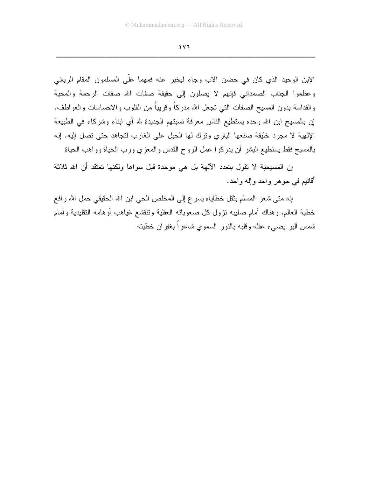الإبن الوحيد الذي كان في حضن الآب وجاء ليخبر عنه فمهما على المسلمون المقام الرباني وعظموا الجناب الصمداني فإنهم لا يصلون إلى حقيقة صفات الله صفات الرحمة والمحبة والقداسة بدون المسيح الصفات التبي تجعل الله مدركاً وقريباً من القلوب والاحساسات والعواطف. إن بالمسيح ابن الله وحده يستطيع الناس معرفة نسبتهم الجديدة لله أي ابناء وشركاء في الطبيعة الإلهية لا مجرد خليقة صنعها الباري ونرك لها الحبل على الغارب لتجاهد حتى نصل إليه. إنه بالمسيح فقط يستطيع البشر أن يدركوا عمل الروح القدس والمعزي ورب الحياة وواهب الحياة

إن المسيحية لا نقول بتعدد الآلهة بل هي موحدة قبل سواها ولكنها تعتقد أن الله ثلاثة أقانيم في جوهر واحد وإله واحد.

إنه متى شعر المسلم بثقل خطاياه يسر ع إلى المخلص الحي ابن الله الحقيقي حمل الله رافع خطية العالم. وهناك أمام صليبه نزول كل صعوباته العقلية ونتقشع غياهب أوهامه النقليدية وأمام شمس البر يضبىء عقله وقلبه بالنور السموي شاعراً بغفران خطيته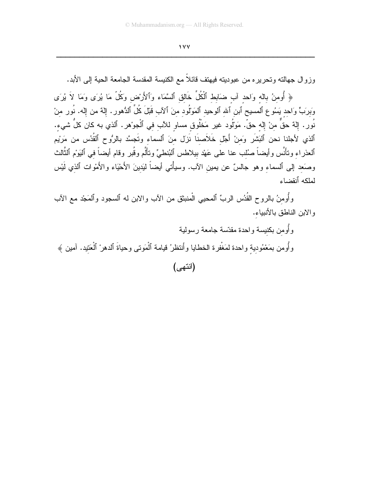وزوال جهالته وتحريره من عبوديته فيهتف فائلاً مع الكنيسة المقدسة الجامعة الحية إلى الأبد.

﴿ أُومنُ بالله وَاحد آب ضَابِط ٱلْكُلِّ خَالق ٱلسَّمَاء وَٱلأَرْض وَكُلّ مَا يُرَى وَمَا لاَ يُرَى وَبِرَبٍّ وَاحِدٍ يَسُوعِ ٱلمسيحِ ٱبنِ ٱللهِ ٱلوحيدِ ٱلمَوْلُودِ منَ ٱلآبِ قَبْلَ كُلِّ ٱلدُّهورِ . إلهم من إله. نُور منْ نُورِ . إِلَّهٌ حقٌّ منْ إِلَّه حقٌّ. مَوَلُّود غير مَخْلُوق مساو للآب في ٱلْجوْهرِ . ٱلذي به كان كلُّ شيء. ٱلذي لأجلنا نحن ٱلبَشَر وَمنْ أَجْل خَلاَصنَا نَزل منَ ٱلسماء وتَجسَّد بالرُوح ٱلقُدُس من مَرْيِم ٱلعذراء ونأنَّس وأيضاً صُلب عنا على عَهْد بيلاطس ٱلبُنطيِّ ونألَّم وقُبر وقام أيضاً في ٱلبَوْم ٱلثَّالث وصَعد إلى ٱلسماء وهو جالسٌ عن يمين الآب. وسيأْتي أيضاً ليَدينَ الأَحْيَاء والأَمْوات ٱلذي لَيْس لملكه أنقضاء

وأُومنُ بالروح القُدُس الربِّ ٱلمحيى الْمنبثق من الآب والابن له ٱلسجود وٱلمَجْد مع الآب والابن الناطق بالأنبياء.

وأومن بكنيسة واحدة مقدّسة جامعة رسولية وأُومن بمَعْمُودية واحدة لمَغْفرة الخطايا وأنتظرُ قيامة ٱلْمَوتي وحياةَ ٱلدهرْ ٱلْعَتيد. آمين ﴾ (انتهى)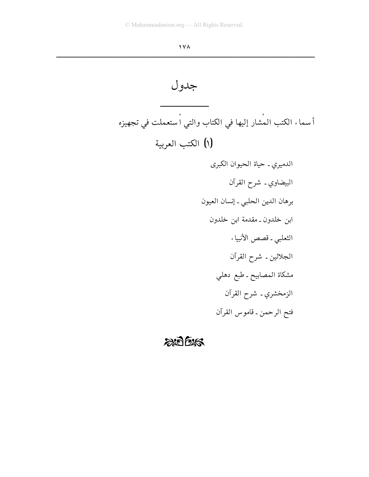